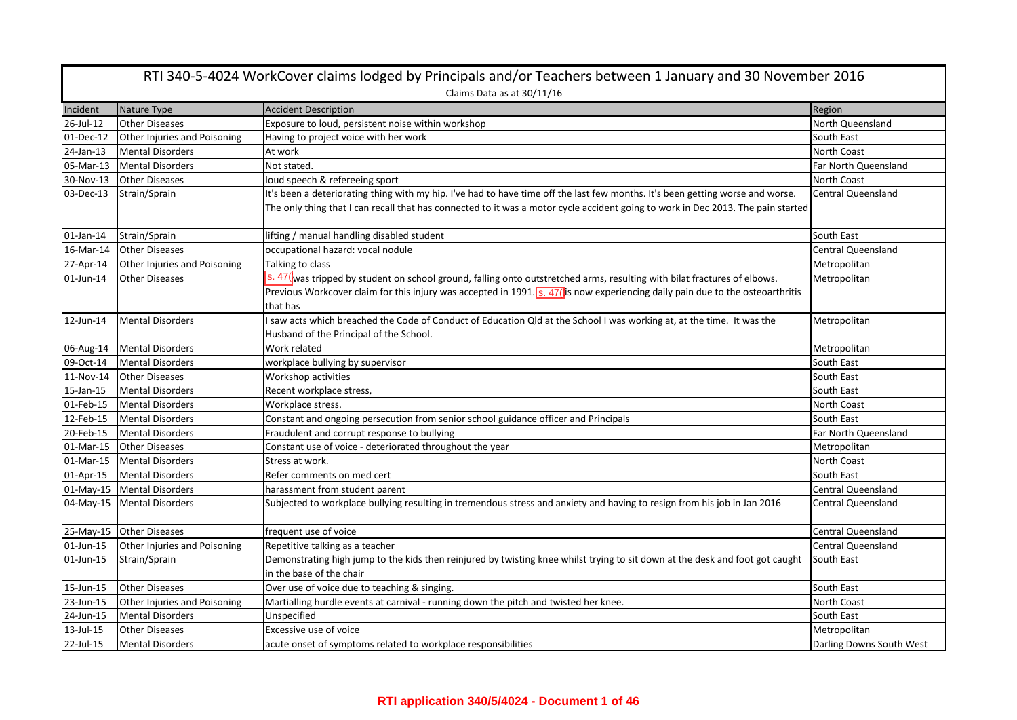|              | RTI 340-5-4024 WorkCover claims lodged by Principals and/or Teachers between 1 January and 30 November 2016 |                                                                                                                                                                                                                                                                    |                           |  |
|--------------|-------------------------------------------------------------------------------------------------------------|--------------------------------------------------------------------------------------------------------------------------------------------------------------------------------------------------------------------------------------------------------------------|---------------------------|--|
|              |                                                                                                             | Claims Data as at 30/11/16                                                                                                                                                                                                                                         |                           |  |
| Incident     | Nature Type                                                                                                 | <b>Accident Description</b>                                                                                                                                                                                                                                        | Region                    |  |
| 26-Jul-12    | <b>Other Diseases</b>                                                                                       | Exposure to loud, persistent noise within workshop                                                                                                                                                                                                                 | North Queensland          |  |
| 01-Dec-12    | Other Injuries and Poisoning                                                                                | Having to project voice with her work                                                                                                                                                                                                                              | South East                |  |
| 24-Jan-13    | <b>Mental Disorders</b>                                                                                     | At work                                                                                                                                                                                                                                                            | North Coast               |  |
| 05-Mar-13    | <b>Mental Disorders</b>                                                                                     | Not stated.                                                                                                                                                                                                                                                        | Far North Queensland      |  |
| 30-Nov-13    | <b>Other Diseases</b>                                                                                       | loud speech & refereeing sport                                                                                                                                                                                                                                     | North Coast               |  |
| 03-Dec-13    | Strain/Sprain                                                                                               | It's been a deteriorating thing with my hip. I've had to have time off the last few months. It's been getting worse and worse.<br>The only thing that I can recall that has connected to it was a motor cycle accident going to work in Dec 2013. The pain started | <b>Central Queensland</b> |  |
| $01$ -Jan-14 | Strain/Sprain                                                                                               | lifting / manual handling disabled student                                                                                                                                                                                                                         | South East                |  |
| 16-Mar-14    | <b>Other Diseases</b>                                                                                       | occupational hazard: vocal nodule                                                                                                                                                                                                                                  | <b>Central Queensland</b> |  |
| 27-Apr-14    | Other Injuries and Poisoning                                                                                | Talking to class                                                                                                                                                                                                                                                   | Metropolitan              |  |
| 01-Jun-14    | <b>Other Diseases</b>                                                                                       | s. 47(was tripped by student on school ground, falling onto outstretched arms, resulting with bilat fractures of elbows.                                                                                                                                           | Metropolitan              |  |
|              |                                                                                                             | Previous Workcover claim for this injury was accepted in 1991. $s. 47$ (is now experiencing daily pain due to the osteoarthritis<br>that has                                                                                                                       |                           |  |
| 12-Jun-14    | <b>Mental Disorders</b>                                                                                     | I saw acts which breached the Code of Conduct of Education Qld at the School I was working at, at the time. It was the                                                                                                                                             | Metropolitan              |  |
|              |                                                                                                             | Husband of the Principal of the School.                                                                                                                                                                                                                            |                           |  |
| 06-Aug-14    | <b>Mental Disorders</b>                                                                                     | Work related                                                                                                                                                                                                                                                       | Metropolitan              |  |
| 09-Oct-14    | <b>Mental Disorders</b>                                                                                     | workplace bullying by supervisor                                                                                                                                                                                                                                   | South East                |  |
| 11-Nov-14    | <b>Other Diseases</b>                                                                                       | Workshop activities                                                                                                                                                                                                                                                | South East                |  |
| 15-Jan-15    | <b>Mental Disorders</b>                                                                                     | Recent workplace stress,                                                                                                                                                                                                                                           | South East                |  |
| 01-Feb-15    | <b>Mental Disorders</b>                                                                                     | Workplace stress.                                                                                                                                                                                                                                                  | North Coast               |  |
| 12-Feb-15    | Mental Disorders                                                                                            | Constant and ongoing persecution from senior school guidance officer and Principals                                                                                                                                                                                | South East                |  |
| 20-Feb-15    | <b>Mental Disorders</b>                                                                                     | Fraudulent and corrupt response to bullying                                                                                                                                                                                                                        | Far North Queensland      |  |
| 01-Mar-15    | <b>Other Diseases</b>                                                                                       | Constant use of voice - deteriorated throughout the year                                                                                                                                                                                                           | Metropolitan              |  |
| 01-Mar-15    | <b>Mental Disorders</b>                                                                                     | Stress at work.                                                                                                                                                                                                                                                    | North Coast               |  |
| 01-Apr-15    | <b>Mental Disorders</b>                                                                                     | Refer comments on med cert                                                                                                                                                                                                                                         | South East                |  |
| 01-May-15    | <b>Mental Disorders</b>                                                                                     | harassment from student parent                                                                                                                                                                                                                                     | <b>Central Queensland</b> |  |
| 04-May-15    | <b>Mental Disorders</b>                                                                                     | Subjected to workplace bullying resulting in tremendous stress and anxiety and having to resign from his job in Jan 2016                                                                                                                                           | <b>Central Queensland</b> |  |
| 25-May-15    | Other Diseases                                                                                              | frequent use of voice                                                                                                                                                                                                                                              | <b>Central Queensland</b> |  |
| 01-Jun-15    | Other Injuries and Poisoning                                                                                | Repetitive talking as a teacher                                                                                                                                                                                                                                    | Central Queensland        |  |
| 01-Jun-15    | Strain/Sprain                                                                                               | Demonstrating high jump to the kids then reinjured by twisting knee whilst trying to sit down at the desk and foot got caught<br>in the base of the chair                                                                                                          | South East                |  |
| 15-Jun-15    | <b>Other Diseases</b>                                                                                       | Over use of voice due to teaching & singing.                                                                                                                                                                                                                       | South East                |  |
| 23-Jun-15    | Other Injuries and Poisoning                                                                                | Martialling hurdle events at carnival - running down the pitch and twisted her knee.                                                                                                                                                                               | North Coast               |  |
| 24-Jun-15    | <b>Mental Disorders</b>                                                                                     | Unspecified                                                                                                                                                                                                                                                        | South East                |  |
|              |                                                                                                             |                                                                                                                                                                                                                                                                    |                           |  |
| 13-Jul-15    | <b>Other Diseases</b>                                                                                       | Excessive use of voice                                                                                                                                                                                                                                             | Metropolitan              |  |
| 22-Jul-15    | <b>Mental Disorders</b>                                                                                     | acute onset of symptoms related to workplace responsibilities                                                                                                                                                                                                      | Darling Downs South West  |  |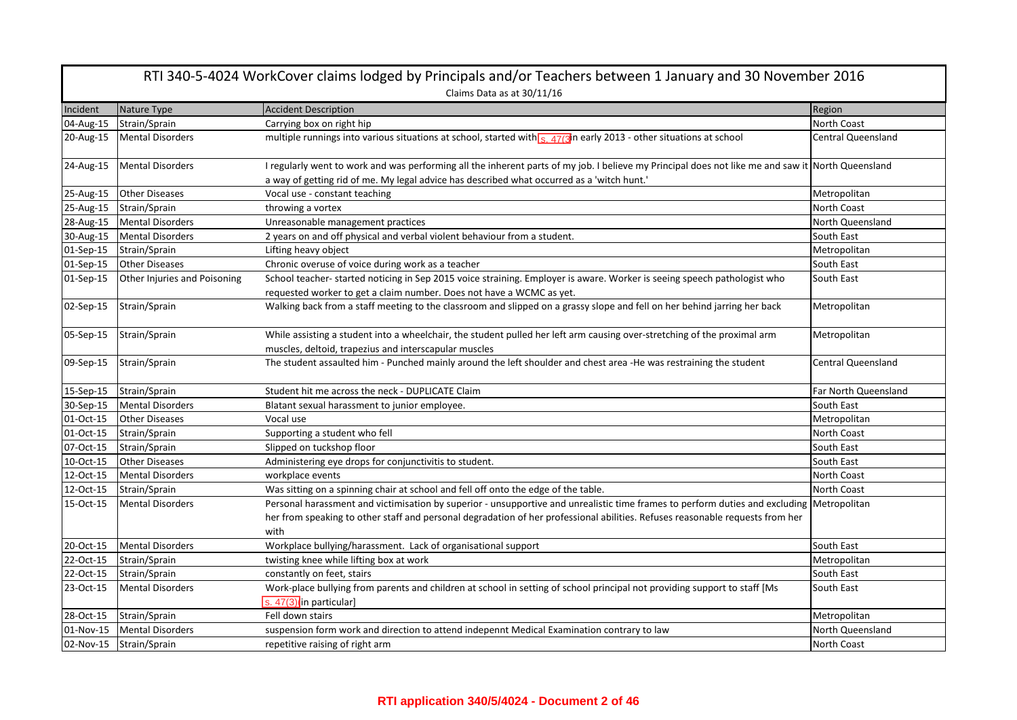| RTI 340-5-4024 WorkCover claims lodged by Principals and/or Teachers between 1 January and 30 November 2016 |                              |                                                                                                                                                                                                                                                                                    |                           |  |
|-------------------------------------------------------------------------------------------------------------|------------------------------|------------------------------------------------------------------------------------------------------------------------------------------------------------------------------------------------------------------------------------------------------------------------------------|---------------------------|--|
|                                                                                                             | Claims Data as at 30/11/16   |                                                                                                                                                                                                                                                                                    |                           |  |
| Incident                                                                                                    | Nature Type                  | <b>Accident Description</b>                                                                                                                                                                                                                                                        | Region                    |  |
| 04-Aug-15                                                                                                   | Strain/Sprain                | Carrying box on right hip                                                                                                                                                                                                                                                          | <b>North Coast</b>        |  |
| 20-Aug-15                                                                                                   | <b>Mental Disorders</b>      | multiple runnings into various situations at school, started with $\frac{1}{s}$ , 47(3) in early 2013 - other situations at school                                                                                                                                                 | <b>Central Queensland</b> |  |
| 24-Aug-15                                                                                                   | <b>Mental Disorders</b>      | I regularly went to work and was performing all the inherent parts of my job. I believe my Principal does not like me and saw it North Queensland<br>a way of getting rid of me. My legal advice has described what occurred as a 'witch hunt.'                                    |                           |  |
| 25-Aug-15                                                                                                   | <b>Other Diseases</b>        | Vocal use - constant teaching                                                                                                                                                                                                                                                      | Metropolitan              |  |
| 25-Aug-15                                                                                                   | Strain/Sprain                | throwing a vortex                                                                                                                                                                                                                                                                  | North Coast               |  |
| 28-Aug-15                                                                                                   | <b>Mental Disorders</b>      | Unreasonable management practices                                                                                                                                                                                                                                                  | North Queensland          |  |
| 30-Aug-15                                                                                                   | <b>Mental Disorders</b>      | 2 years on and off physical and verbal violent behaviour from a student.                                                                                                                                                                                                           | South East                |  |
| 01-Sep-15                                                                                                   | Strain/Sprain                | Lifting heavy object                                                                                                                                                                                                                                                               | Metropolitan              |  |
| 01-Sep-15                                                                                                   | <b>Other Diseases</b>        | Chronic overuse of voice during work as a teacher                                                                                                                                                                                                                                  | South East                |  |
| 01-Sep-15                                                                                                   | Other Injuries and Poisoning | School teacher- started noticing in Sep 2015 voice straining. Employer is aware. Worker is seeing speech pathologist who<br>requested worker to get a claim number. Does not have a WCMC as yet.                                                                                   | South East                |  |
| 02-Sep-15                                                                                                   | Strain/Sprain                | Walking back from a staff meeting to the classroom and slipped on a grassy slope and fell on her behind jarring her back                                                                                                                                                           | Metropolitan              |  |
| 05-Sep-15                                                                                                   | Strain/Sprain                | While assisting a student into a wheelchair, the student pulled her left arm causing over-stretching of the proximal arm<br>muscles, deltoid, trapezius and interscapular muscles                                                                                                  | Metropolitan              |  |
| 09-Sep-15                                                                                                   | Strain/Sprain                | The student assaulted him - Punched mainly around the left shoulder and chest area -He was restraining the student                                                                                                                                                                 | <b>Central Queensland</b> |  |
| 15-Sep-15                                                                                                   | Strain/Sprain                | Student hit me across the neck - DUPLICATE Claim                                                                                                                                                                                                                                   | Far North Queensland      |  |
| 30-Sep-15                                                                                                   | <b>Mental Disorders</b>      | Blatant sexual harassment to junior employee.                                                                                                                                                                                                                                      | South East                |  |
| 01-Oct-15                                                                                                   | <b>Other Diseases</b>        | Vocal use                                                                                                                                                                                                                                                                          | Metropolitan              |  |
| 01-Oct-15                                                                                                   | Strain/Sprain                | Supporting a student who fell                                                                                                                                                                                                                                                      | North Coast               |  |
| 07-Oct-15                                                                                                   | Strain/Sprain                | Slipped on tuckshop floor                                                                                                                                                                                                                                                          | South East                |  |
| 10-Oct-15                                                                                                   | <b>Other Diseases</b>        | Administering eye drops for conjunctivitis to student.                                                                                                                                                                                                                             | South East                |  |
| 12-Oct-15                                                                                                   | <b>Mental Disorders</b>      | workplace events                                                                                                                                                                                                                                                                   | North Coast               |  |
| 12-Oct-15                                                                                                   | Strain/Sprain                | Was sitting on a spinning chair at school and fell off onto the edge of the table.                                                                                                                                                                                                 | <b>North Coast</b>        |  |
| 15-Oct-15                                                                                                   | <b>Mental Disorders</b>      | Personal harassment and victimisation by superior - unsupportive and unrealistic time frames to perform duties and excluding Metropolitan<br>her from speaking to other staff and personal degradation of her professional abilities. Refuses reasonable requests from her<br>with |                           |  |
| 20-Oct-15                                                                                                   | <b>Mental Disorders</b>      | Workplace bullying/harassment. Lack of organisational support                                                                                                                                                                                                                      | South East                |  |
| 22-Oct-15                                                                                                   | Strain/Sprain                | twisting knee while lifting box at work                                                                                                                                                                                                                                            | Metropolitan              |  |
| 22-Oct-15                                                                                                   | Strain/Sprain                | constantly on feet, stairs                                                                                                                                                                                                                                                         | South East                |  |
| 23-Oct-15                                                                                                   | <b>Mental Disorders</b>      | Work-place bullying from parents and children at school in setting of school principal not providing support to staff [Ms<br>s. $47(3)$ in particular]                                                                                                                             | South East                |  |
| 28-Oct-15                                                                                                   | Strain/Sprain                | Fell down stairs                                                                                                                                                                                                                                                                   | Metropolitan              |  |
| 01-Nov-15                                                                                                   | <b>Mental Disorders</b>      | suspension form work and direction to attend indepennt Medical Examination contrary to law                                                                                                                                                                                         | North Queensland          |  |
| 02-Nov-15                                                                                                   | Strain/Sprain                | repetitive raising of right arm                                                                                                                                                                                                                                                    | North Coast               |  |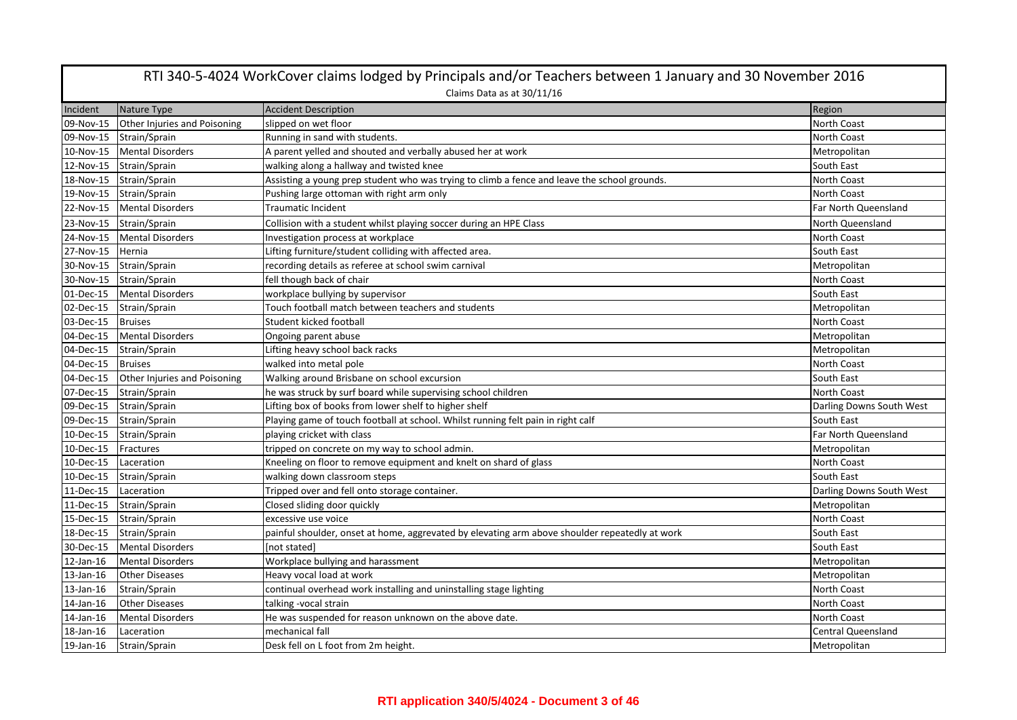| RTI 340-5-4024 WorkCover claims lodged by Principals and/or Teachers between 1 January and 30 November 2016 |                              |                                                                                                |                           |  |
|-------------------------------------------------------------------------------------------------------------|------------------------------|------------------------------------------------------------------------------------------------|---------------------------|--|
|                                                                                                             | Claims Data as at 30/11/16   |                                                                                                |                           |  |
| Incident                                                                                                    | Nature Type                  | <b>Accident Description</b>                                                                    | Region                    |  |
| 09-Nov-15                                                                                                   | Other Injuries and Poisoning | slipped on wet floor                                                                           | <b>North Coast</b>        |  |
| 09-Nov-15                                                                                                   | Strain/Sprain                | Running in sand with students.                                                                 | North Coast               |  |
| 10-Nov-15                                                                                                   | <b>Mental Disorders</b>      | A parent yelled and shouted and verbally abused her at work                                    | Metropolitan              |  |
| 12-Nov-15                                                                                                   | Strain/Sprain                | walking along a hallway and twisted knee                                                       | South East                |  |
| 18-Nov-15                                                                                                   | Strain/Sprain                | Assisting a young prep student who was trying to climb a fence and leave the school grounds.   | North Coast               |  |
| 19-Nov-15                                                                                                   | Strain/Sprain                | Pushing large ottoman with right arm only                                                      | North Coast               |  |
| 22-Nov-15                                                                                                   | <b>Mental Disorders</b>      | Traumatic Incident                                                                             | Far North Queensland      |  |
| 23-Nov-15                                                                                                   | Strain/Sprain                | Collision with a student whilst playing soccer during an HPE Class                             | North Queensland          |  |
|                                                                                                             | 24-Nov-15 Mental Disorders   | Investigation process at workplace                                                             | <b>North Coast</b>        |  |
| 27-Nov-15                                                                                                   | <b>Hernia</b>                | Lifting furniture/student colliding with affected area.                                        | South East                |  |
| 30-Nov-15                                                                                                   | Strain/Sprain                | recording details as referee at school swim carnival                                           | Metropolitan              |  |
| 30-Nov-15                                                                                                   | Strain/Sprain                | fell though back of chair                                                                      | North Coast               |  |
| 01-Dec-15                                                                                                   | <b>Mental Disorders</b>      | workplace bullying by supervisor                                                               | South East                |  |
| 02-Dec-15                                                                                                   | Strain/Sprain                | Touch football match between teachers and students                                             | Metropolitan              |  |
| 03-Dec-15                                                                                                   | <b>Bruises</b>               | Student kicked football                                                                        | North Coast               |  |
| 04-Dec-15                                                                                                   | <b>Mental Disorders</b>      | Ongoing parent abuse                                                                           | Metropolitan              |  |
| 04-Dec-15                                                                                                   | Strain/Sprain                | Lifting heavy school back racks                                                                | Metropolitan              |  |
| 04-Dec-15                                                                                                   | <b>Bruises</b>               | walked into metal pole                                                                         | North Coast               |  |
| 04-Dec-15                                                                                                   | Other Injuries and Poisoning | Walking around Brisbane on school excursion                                                    | South East                |  |
| 07-Dec-15                                                                                                   | Strain/Sprain                | he was struck by surf board while supervising school children                                  | <b>North Coast</b>        |  |
| 09-Dec-15                                                                                                   | Strain/Sprain                | Lifting box of books from lower shelf to higher shelf                                          | Darling Downs South West  |  |
| 09-Dec-15                                                                                                   | Strain/Sprain                | Playing game of touch football at school. Whilst running felt pain in right calf               | South East                |  |
| 10-Dec-15                                                                                                   | Strain/Sprain                | playing cricket with class                                                                     | Far North Queensland      |  |
| 10-Dec-15                                                                                                   | Fractures                    | tripped on concrete on my way to school admin.                                                 | Metropolitan              |  |
| 10-Dec-15                                                                                                   | Laceration                   | Kneeling on floor to remove equipment and knelt on shard of glass                              | North Coast               |  |
| 10-Dec-15                                                                                                   | Strain/Sprain                | walking down classroom steps                                                                   | South East                |  |
| 11-Dec-15                                                                                                   | Laceration                   | Tripped over and fell onto storage container.                                                  | Darling Downs South West  |  |
| 11-Dec-15                                                                                                   | Strain/Sprain                | Closed sliding door quickly                                                                    | Metropolitan              |  |
| 15-Dec-15                                                                                                   | Strain/Sprain                | excessive use voice                                                                            | North Coast               |  |
| 18-Dec-15                                                                                                   | Strain/Sprain                | painful shoulder, onset at home, aggrevated by elevating arm above shoulder repeatedly at work | South East                |  |
| 30-Dec-15                                                                                                   | <b>Mental Disorders</b>      | [not stated]                                                                                   | South East                |  |
| 12-Jan-16                                                                                                   | <b>Mental Disorders</b>      | Workplace bullying and harassment                                                              | Metropolitan              |  |
| 13-Jan-16                                                                                                   | <b>Other Diseases</b>        | Heavy vocal load at work                                                                       | Metropolitan              |  |
| 13-Jan-16                                                                                                   | Strain/Sprain                | continual overhead work installing and uninstalling stage lighting                             | North Coast               |  |
| 14-Jan-16                                                                                                   | <b>Other Diseases</b>        | talking -vocal strain                                                                          | North Coast               |  |
| 14-Jan-16                                                                                                   | <b>Mental Disorders</b>      | He was suspended for reason unknown on the above date.                                         | North Coast               |  |
| 18-Jan-16                                                                                                   | Laceration                   | mechanical fall                                                                                | <b>Central Queensland</b> |  |
| 19-Jan-16                                                                                                   | Strain/Sprain                | Desk fell on L foot from 2m height.                                                            | Metropolitan              |  |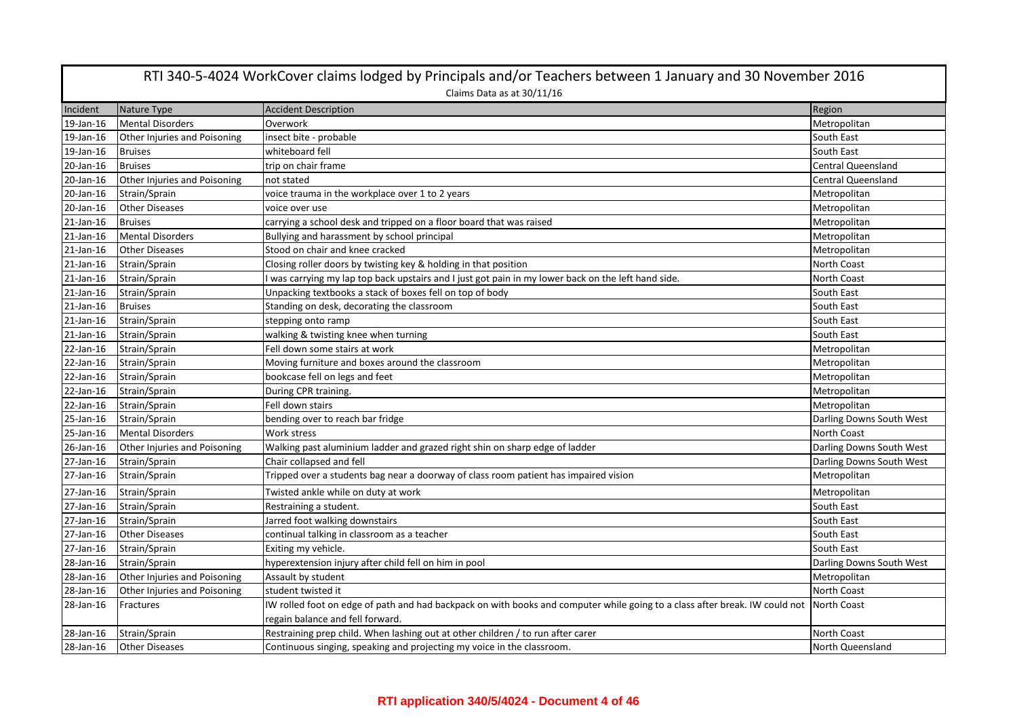|           | RTI 340-5-4024 WorkCover claims lodged by Principals and/or Teachers between 1 January and 30 November 2016 |                                                                                                                             |                           |  |
|-----------|-------------------------------------------------------------------------------------------------------------|-----------------------------------------------------------------------------------------------------------------------------|---------------------------|--|
|           | Claims Data as at 30/11/16                                                                                  |                                                                                                                             |                           |  |
| Incident  | Nature Type                                                                                                 | <b>Accident Description</b>                                                                                                 | Region                    |  |
| 19-Jan-16 | <b>Mental Disorders</b>                                                                                     | Overwork                                                                                                                    | Metropolitan              |  |
| 19-Jan-16 | Other Injuries and Poisoning                                                                                | insect bite - probable                                                                                                      | South East                |  |
| 19-Jan-16 | <b>Bruises</b>                                                                                              | whiteboard fell                                                                                                             | South East                |  |
| 20-Jan-16 | <b>Bruises</b>                                                                                              | trip on chair frame                                                                                                         | <b>Central Queensland</b> |  |
| 20-Jan-16 | Other Injuries and Poisoning                                                                                | not stated                                                                                                                  | <b>Central Queensland</b> |  |
| 20-Jan-16 | Strain/Sprain                                                                                               | voice trauma in the workplace over 1 to 2 years                                                                             | Metropolitan              |  |
| 20-Jan-16 | <b>Other Diseases</b>                                                                                       | voice over use                                                                                                              | Metropolitan              |  |
| 21-Jan-16 | <b>Bruises</b>                                                                                              | carrying a school desk and tripped on a floor board that was raised                                                         | Metropolitan              |  |
| 21-Jan-16 | <b>Mental Disorders</b>                                                                                     | Bullying and harassment by school principal                                                                                 | Metropolitan              |  |
| 21-Jan-16 | <b>Other Diseases</b>                                                                                       | Stood on chair and knee cracked                                                                                             | Metropolitan              |  |
| 21-Jan-16 | Strain/Sprain                                                                                               | Closing roller doors by twisting key & holding in that position                                                             | North Coast               |  |
| 21-Jan-16 | Strain/Sprain                                                                                               | I was carrying my lap top back upstairs and I just got pain in my lower back on the left hand side.                         | North Coast               |  |
| 21-Jan-16 | Strain/Sprain                                                                                               | Unpacking textbooks a stack of boxes fell on top of body                                                                    | South East                |  |
| 21-Jan-16 | <b>Bruises</b>                                                                                              | Standing on desk, decorating the classroom                                                                                  | South East                |  |
| 21-Jan-16 | Strain/Sprain                                                                                               | stepping onto ramp                                                                                                          | South East                |  |
| 21-Jan-16 | Strain/Sprain                                                                                               | walking & twisting knee when turning                                                                                        | South East                |  |
| 22-Jan-16 | Strain/Sprain                                                                                               | Fell down some stairs at work                                                                                               | Metropolitan              |  |
| 22-Jan-16 | Strain/Sprain                                                                                               | Moving furniture and boxes around the classroom                                                                             | Metropolitan              |  |
| 22-Jan-16 | Strain/Sprain                                                                                               | bookcase fell on legs and feet                                                                                              | Metropolitan              |  |
| 22-Jan-16 | Strain/Sprain                                                                                               | During CPR training.                                                                                                        | Metropolitan              |  |
| 22-Jan-16 | Strain/Sprain                                                                                               | Fell down stairs                                                                                                            | Metropolitan              |  |
| 25-Jan-16 | Strain/Sprain                                                                                               | bending over to reach bar fridge                                                                                            | Darling Downs South West  |  |
| 25-Jan-16 | <b>Mental Disorders</b>                                                                                     | Work stress                                                                                                                 | North Coast               |  |
| 26-Jan-16 | Other Injuries and Poisoning                                                                                | Walking past aluminium ladder and grazed right shin on sharp edge of ladder                                                 | Darling Downs South West  |  |
| 27-Jan-16 | Strain/Sprain                                                                                               | Chair collapsed and fell                                                                                                    | Darling Downs South West  |  |
| 27-Jan-16 | Strain/Sprain                                                                                               | Tripped over a students bag near a doorway of class room patient has impaired vision                                        | Metropolitan              |  |
| 27-Jan-16 | Strain/Sprain                                                                                               | Twisted ankle while on duty at work                                                                                         | Metropolitan              |  |
| 27-Jan-16 | Strain/Sprain                                                                                               | Restraining a student.                                                                                                      | South East                |  |
| 27-Jan-16 | Strain/Sprain                                                                                               | Jarred foot walking downstairs                                                                                              | South East                |  |
| 27-Jan-16 | <b>Other Diseases</b>                                                                                       | continual talking in classroom as a teacher                                                                                 | South East                |  |
| 27-Jan-16 | Strain/Sprain                                                                                               | Exiting my vehicle.                                                                                                         | South East                |  |
| 28-Jan-16 | Strain/Sprain                                                                                               | hyperextension injury after child fell on him in pool                                                                       | Darling Downs South West  |  |
| 28-Jan-16 | Other Injuries and Poisoning                                                                                | Assault by student                                                                                                          | Metropolitan              |  |
| 28-Jan-16 | Other Injuries and Poisoning                                                                                | student twisted it                                                                                                          | <b>North Coast</b>        |  |
| 28-Jan-16 | Fractures                                                                                                   | IW rolled foot on edge of path and had backpack on with books and computer while going to a class after break. IW could not | <b>North Coast</b>        |  |
|           |                                                                                                             | regain balance and fell forward.                                                                                            |                           |  |
| 28-Jan-16 | Strain/Sprain                                                                                               | Restraining prep child. When lashing out at other children / to run after carer                                             | North Coast               |  |
| 28-Jan-16 | <b>Other Diseases</b>                                                                                       | Continuous singing, speaking and projecting my voice in the classroom.                                                      | North Queensland          |  |

## **RTI application 340/5/4024 - Document 4 of 46**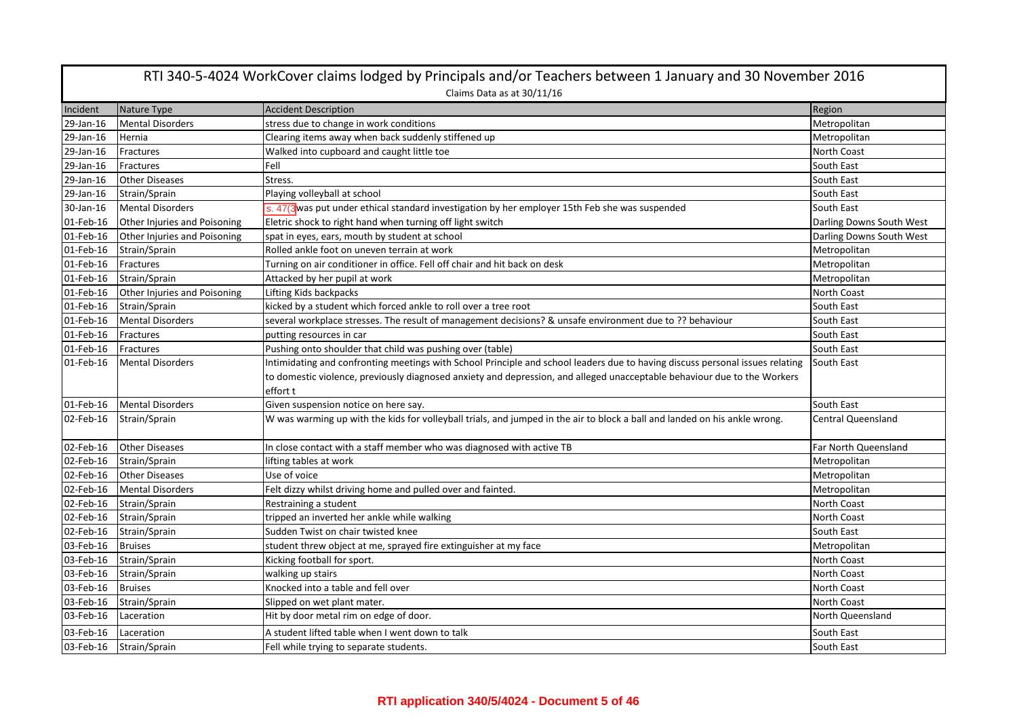| RTI 340-5-4024 WorkCover claims lodged by Principals and/or Teachers between 1 January and 30 November 2016 |                              |                                                                                                                               |                           |  |
|-------------------------------------------------------------------------------------------------------------|------------------------------|-------------------------------------------------------------------------------------------------------------------------------|---------------------------|--|
|                                                                                                             | Claims Data as at 30/11/16   |                                                                                                                               |                           |  |
| Incident                                                                                                    | Nature Type                  | <b>Accident Description</b>                                                                                                   | Region                    |  |
| 29-Jan-16                                                                                                   | <b>Mental Disorders</b>      | stress due to change in work conditions                                                                                       | Metropolitan              |  |
| 29-Jan-16                                                                                                   | Hernia                       | Clearing items away when back suddenly stiffened up                                                                           | Metropolitan              |  |
| 29-Jan-16                                                                                                   | Fractures                    | Walked into cupboard and caught little toe                                                                                    | North Coast               |  |
| 29-Jan-16                                                                                                   | Fractures                    | Fell                                                                                                                          | South East                |  |
| 29-Jan-16                                                                                                   | <b>Other Diseases</b>        | Stress.                                                                                                                       | South East                |  |
| 29-Jan-16                                                                                                   | Strain/Sprain                | Playing volleyball at school                                                                                                  | South East                |  |
| 30-Jan-16                                                                                                   | <b>Mental Disorders</b>      | s. 47(3 was put under ethical standard investigation by her employer 15th Feb she was suspended                               | South East                |  |
| 01-Feb-16                                                                                                   | Other Injuries and Poisoning | Eletric shock to right hand when turning off light switch                                                                     | Darling Downs South West  |  |
| 01-Feb-16                                                                                                   | Other Injuries and Poisoning | spat in eyes, ears, mouth by student at school                                                                                | Darling Downs South West  |  |
| 01-Feb-16                                                                                                   | Strain/Sprain                | Rolled ankle foot on uneven terrain at work                                                                                   | Metropolitan              |  |
| 01-Feb-16                                                                                                   | Fractures                    | Turning on air conditioner in office. Fell off chair and hit back on desk                                                     | Metropolitan              |  |
| 01-Feb-16                                                                                                   | Strain/Sprain                | Attacked by her pupil at work                                                                                                 | Metropolitan              |  |
| 01-Feb-16                                                                                                   | Other Injuries and Poisoning | Lifting Kids backpacks                                                                                                        | North Coast               |  |
| 01-Feb-16                                                                                                   | Strain/Sprain                | kicked by a student which forced ankle to roll over a tree root                                                               | South East                |  |
| 01-Feb-16                                                                                                   | <b>Mental Disorders</b>      | several workplace stresses. The result of management decisions? & unsafe environment due to ?? behaviour                      | South East                |  |
| 01-Feb-16                                                                                                   | Fractures                    | putting resources in car                                                                                                      | South East                |  |
| 01-Feb-16                                                                                                   | Fractures                    | Pushing onto shoulder that child was pushing over (table)                                                                     | South East                |  |
| 01-Feb-16                                                                                                   | <b>Mental Disorders</b>      | Intimidating and confronting meetings with School Principle and school leaders due to having discuss personal issues relating | South East                |  |
|                                                                                                             |                              | to domestic violence, previously diagnosed anxiety and depression, and alleged unacceptable behaviour due to the Workers      |                           |  |
|                                                                                                             |                              | effort t                                                                                                                      |                           |  |
| 01-Feb-16                                                                                                   | <b>Mental Disorders</b>      | Given suspension notice on here say.                                                                                          | South East                |  |
| 02-Feb-16                                                                                                   | Strain/Sprain                | W was warming up with the kids for volleyball trials, and jumped in the air to block a ball and landed on his ankle wrong.    | <b>Central Queensland</b> |  |
|                                                                                                             |                              |                                                                                                                               |                           |  |
| 02-Feb-16                                                                                                   | <b>Other Diseases</b>        | In close contact with a staff member who was diagnosed with active TB                                                         | Far North Queensland      |  |
| 02-Feb-16                                                                                                   | Strain/Sprain                | lifting tables at work                                                                                                        | Metropolitan              |  |
| 02-Feb-16                                                                                                   | <b>Other Diseases</b>        | Use of voice                                                                                                                  | Metropolitan              |  |
| 02-Feb-16                                                                                                   | <b>Mental Disorders</b>      | Felt dizzy whilst driving home and pulled over and fainted.                                                                   | Metropolitan              |  |
| 02-Feb-16                                                                                                   | Strain/Sprain                | Restraining a student                                                                                                         | <b>North Coast</b>        |  |
| 02-Feb-16                                                                                                   | Strain/Sprain                | tripped an inverted her ankle while walking                                                                                   | North Coast               |  |
| 02-Feb-16                                                                                                   | Strain/Sprain                | Sudden Twist on chair twisted knee                                                                                            | South East                |  |
| 03-Feb-16                                                                                                   | <b>Bruises</b>               | student threw object at me, sprayed fire extinguisher at my face                                                              | Metropolitan              |  |
| 03-Feb-16                                                                                                   | Strain/Sprain                | Kicking football for sport.                                                                                                   | <b>North Coast</b>        |  |
| 03-Feb-16                                                                                                   | Strain/Sprain                | walking up stairs                                                                                                             | North Coast               |  |
| 03-Feb-16                                                                                                   | <b>Bruises</b>               | Knocked into a table and fell over                                                                                            | North Coast               |  |
| 03-Feb-16                                                                                                   | Strain/Sprain                | Slipped on wet plant mater.                                                                                                   | North Coast               |  |
| 03-Feb-16                                                                                                   | Laceration                   | Hit by door metal rim on edge of door.                                                                                        | North Queensland          |  |
| 03-Feb-16                                                                                                   | Laceration                   | A student lifted table when I went down to talk                                                                               | South East                |  |
|                                                                                                             | 03-Feb-16 Strain/Sprain      | Fell while trying to separate students.                                                                                       | South East                |  |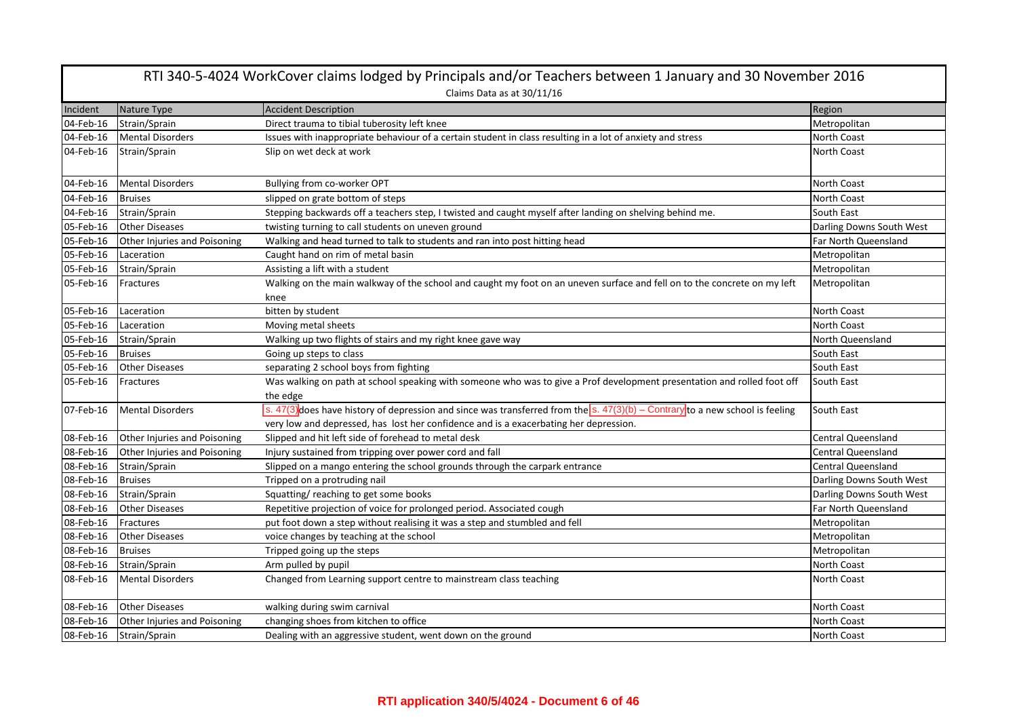|           | RTI 340-5-4024 WorkCover claims lodged by Principals and/or Teachers between 1 January and 30 November 2016 |                                                                                                                                                                                                                                      |                           |  |
|-----------|-------------------------------------------------------------------------------------------------------------|--------------------------------------------------------------------------------------------------------------------------------------------------------------------------------------------------------------------------------------|---------------------------|--|
|           |                                                                                                             | Claims Data as at 30/11/16                                                                                                                                                                                                           |                           |  |
| Incident  | Nature Type                                                                                                 | <b>Accident Description</b>                                                                                                                                                                                                          | Region                    |  |
| 04-Feb-16 | Strain/Sprain                                                                                               | Direct trauma to tibial tuberosity left knee                                                                                                                                                                                         | Metropolitan              |  |
| 04-Feb-16 | <b>Mental Disorders</b>                                                                                     | Issues with inappropriate behaviour of a certain student in class resulting in a lot of anxiety and stress                                                                                                                           | North Coast               |  |
| 04-Feb-16 | Strain/Sprain                                                                                               | Slip on wet deck at work                                                                                                                                                                                                             | North Coast               |  |
| 04-Feb-16 | <b>Mental Disorders</b>                                                                                     | Bullying from co-worker OPT                                                                                                                                                                                                          | <b>North Coast</b>        |  |
| 04-Feb-16 | <b>Bruises</b>                                                                                              | slipped on grate bottom of steps                                                                                                                                                                                                     | <b>North Coast</b>        |  |
| 04-Feb-16 | Strain/Sprain                                                                                               | Stepping backwards off a teachers step, I twisted and caught myself after landing on shelving behind me.                                                                                                                             | South East                |  |
| 05-Feb-16 | <b>Other Diseases</b>                                                                                       | twisting turning to call students on uneven ground                                                                                                                                                                                   | Darling Downs South West  |  |
| 05-Feb-16 | Other Injuries and Poisoning                                                                                | Walking and head turned to talk to students and ran into post hitting head                                                                                                                                                           | Far North Queensland      |  |
| 05-Feb-16 | Laceration                                                                                                  | Caught hand on rim of metal basin                                                                                                                                                                                                    | Metropolitan              |  |
| 05-Feb-16 | Strain/Sprain                                                                                               | Assisting a lift with a student                                                                                                                                                                                                      | Metropolitan              |  |
| 05-Feb-16 | Fractures                                                                                                   | Walking on the main walkway of the school and caught my foot on an uneven surface and fell on to the concrete on my left<br>knee                                                                                                     | Metropolitan              |  |
| 05-Feb-16 | Laceration                                                                                                  | bitten by student                                                                                                                                                                                                                    | <b>North Coast</b>        |  |
| 05-Feb-16 | Laceration                                                                                                  | Moving metal sheets                                                                                                                                                                                                                  | <b>North Coast</b>        |  |
| 05-Feb-16 | Strain/Sprain                                                                                               | Walking up two flights of stairs and my right knee gave way                                                                                                                                                                          | North Queensland          |  |
| 05-Feb-16 | <b>Bruises</b>                                                                                              | Going up steps to class                                                                                                                                                                                                              | South East                |  |
| 05-Feb-16 | <b>Other Diseases</b>                                                                                       | separating 2 school boys from fighting                                                                                                                                                                                               | South East                |  |
| 05-Feb-16 | Fractures                                                                                                   | Was walking on path at school speaking with someone who was to give a Prof development presentation and rolled foot off<br>the edge                                                                                                  | South East                |  |
| 07-Feb-16 | <b>Mental Disorders</b>                                                                                     | s. 47(3) does have history of depression and since was transferred from the $\overline{s}$ . 47(3)(b) – Contrary to a new school is feeling<br>very low and depressed, has lost her confidence and is a exacerbating her depression. | South East                |  |
| 08-Feb-16 | Other Injuries and Poisoning                                                                                | Slipped and hit left side of forehead to metal desk                                                                                                                                                                                  | <b>Central Queensland</b> |  |
| 08-Feb-16 | Other Injuries and Poisoning                                                                                | Injury sustained from tripping over power cord and fall                                                                                                                                                                              | <b>Central Queensland</b> |  |
| 08-Feb-16 | Strain/Sprain                                                                                               | Slipped on a mango entering the school grounds through the carpark entrance                                                                                                                                                          | <b>Central Queensland</b> |  |
| 08-Feb-16 | <b>Bruises</b>                                                                                              | Tripped on a protruding nail                                                                                                                                                                                                         | Darling Downs South West  |  |
| 08-Feb-16 | Strain/Sprain                                                                                               | Squatting/reaching to get some books                                                                                                                                                                                                 | Darling Downs South West  |  |
| 08-Feb-16 | <b>Other Diseases</b>                                                                                       | Repetitive projection of voice for prolonged period. Associated cough                                                                                                                                                                | Far North Queensland      |  |
| 08-Feb-16 | Fractures                                                                                                   | put foot down a step without realising it was a step and stumbled and fell                                                                                                                                                           | Metropolitan              |  |
| 08-Feb-16 | <b>Other Diseases</b>                                                                                       | voice changes by teaching at the school                                                                                                                                                                                              | Metropolitan              |  |
| 08-Feb-16 | <b>Bruises</b>                                                                                              | Tripped going up the steps                                                                                                                                                                                                           | Metropolitan              |  |
| 08-Feb-16 | Strain/Sprain                                                                                               | Arm pulled by pupil                                                                                                                                                                                                                  | North Coast               |  |
| 08-Feb-16 | <b>Mental Disorders</b>                                                                                     | Changed from Learning support centre to mainstream class teaching                                                                                                                                                                    | <b>North Coast</b>        |  |
| 08-Feb-16 | <b>Other Diseases</b>                                                                                       | walking during swim carnival                                                                                                                                                                                                         | <b>North Coast</b>        |  |
| 08-Feb-16 | Other Injuries and Poisoning                                                                                | changing shoes from kitchen to office                                                                                                                                                                                                | North Coast               |  |
|           | 08-Feb-16 Strain/Sprain                                                                                     | Dealing with an aggressive student, went down on the ground                                                                                                                                                                          | <b>North Coast</b>        |  |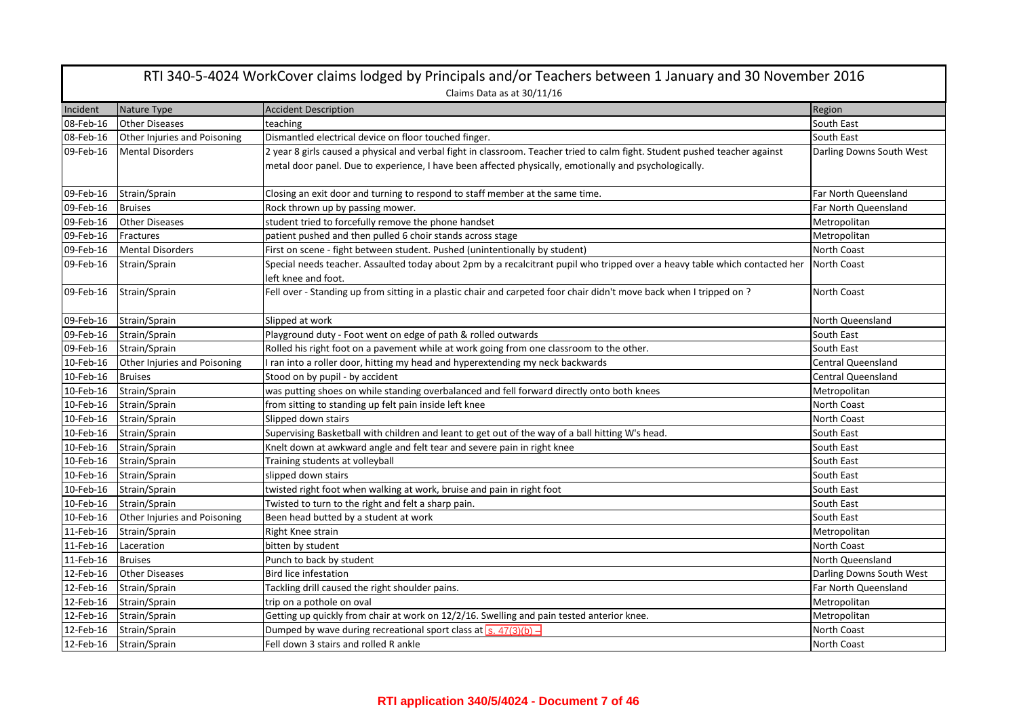| RTI 340-5-4024 WorkCover claims lodged by Principals and/or Teachers between 1 January and 30 November 2016 |                                     |                                                                                                                                                                                                                                       |                           |  |
|-------------------------------------------------------------------------------------------------------------|-------------------------------------|---------------------------------------------------------------------------------------------------------------------------------------------------------------------------------------------------------------------------------------|---------------------------|--|
|                                                                                                             | Claims Data as at 30/11/16          |                                                                                                                                                                                                                                       |                           |  |
| Incident                                                                                                    | Nature Type                         | <b>Accident Description</b>                                                                                                                                                                                                           | Region                    |  |
| 08-Feb-16                                                                                                   | <b>Other Diseases</b>               | teaching                                                                                                                                                                                                                              | South East                |  |
| 08-Feb-16                                                                                                   | <b>Other Injuries and Poisoning</b> | Dismantled electrical device on floor touched finger.                                                                                                                                                                                 | South East                |  |
| 09-Feb-16                                                                                                   | <b>Mental Disorders</b>             | 2 year 8 girls caused a physical and verbal fight in classroom. Teacher tried to calm fight. Student pushed teacher against<br>metal door panel. Due to experience, I have been affected physically, emotionally and psychologically. | Darling Downs South West  |  |
| 09-Feb-16                                                                                                   | Strain/Sprain                       | Closing an exit door and turning to respond to staff member at the same time.                                                                                                                                                         | Far North Queensland      |  |
| 09-Feb-16                                                                                                   | <b>Bruises</b>                      | Rock thrown up by passing mower.                                                                                                                                                                                                      | Far North Queensland      |  |
| 09-Feb-16                                                                                                   | <b>Other Diseases</b>               | student tried to forcefully remove the phone handset                                                                                                                                                                                  | Metropolitan              |  |
| 09-Feb-16                                                                                                   | Fractures                           | patient pushed and then pulled 6 choir stands across stage                                                                                                                                                                            | Metropolitan              |  |
| 09-Feb-16                                                                                                   | <b>Mental Disorders</b>             | First on scene - fight between student. Pushed (unintentionally by student)                                                                                                                                                           | North Coast               |  |
| 09-Feb-16                                                                                                   | Strain/Sprain                       | Special needs teacher. Assaulted today about 2pm by a recalcitrant pupil who tripped over a heavy table which contacted her<br>left knee and foot.                                                                                    | North Coast               |  |
| 09-Feb-16                                                                                                   | Strain/Sprain                       | Fell over - Standing up from sitting in a plastic chair and carpeted foor chair didn't move back when I tripped on?                                                                                                                   | North Coast               |  |
| 09-Feb-16                                                                                                   | Strain/Sprain                       | Slipped at work                                                                                                                                                                                                                       | North Queensland          |  |
| 09-Feb-16                                                                                                   | Strain/Sprain                       | Playground duty - Foot went on edge of path & rolled outwards                                                                                                                                                                         | South East                |  |
| 09-Feb-16                                                                                                   | Strain/Sprain                       | Rolled his right foot on a pavement while at work going from one classroom to the other.                                                                                                                                              | South East                |  |
| 10-Feb-16                                                                                                   | Other Injuries and Poisoning        | I ran into a roller door, hitting my head and hyperextending my neck backwards                                                                                                                                                        | <b>Central Queensland</b> |  |
| 10-Feb-16                                                                                                   | <b>Bruises</b>                      | Stood on by pupil - by accident                                                                                                                                                                                                       | <b>Central Queensland</b> |  |
| 10-Feb-16                                                                                                   | Strain/Sprain                       | was putting shoes on while standing overbalanced and fell forward directly onto both knees                                                                                                                                            | Metropolitan              |  |
| 10-Feb-16                                                                                                   | Strain/Sprain                       | from sitting to standing up felt pain inside left knee                                                                                                                                                                                | North Coast               |  |
| 10-Feb-16                                                                                                   | Strain/Sprain                       | Slipped down stairs                                                                                                                                                                                                                   | North Coast               |  |
| 10-Feb-16                                                                                                   | Strain/Sprain                       | Supervising Basketball with children and leant to get out of the way of a ball hitting W's head.                                                                                                                                      | South East                |  |
| 10-Feb-16                                                                                                   | Strain/Sprain                       | Knelt down at awkward angle and felt tear and severe pain in right knee                                                                                                                                                               | South East                |  |
| 10-Feb-16                                                                                                   | Strain/Sprain                       | Training students at volleyball                                                                                                                                                                                                       | South East                |  |
| 10-Feb-16                                                                                                   | Strain/Sprain                       | slipped down stairs                                                                                                                                                                                                                   | South East                |  |
| 10-Feb-16                                                                                                   | Strain/Sprain                       | twisted right foot when walking at work, bruise and pain in right foot                                                                                                                                                                | South East                |  |
| 10-Feb-16                                                                                                   | Strain/Sprain                       | Twisted to turn to the right and felt a sharp pain.                                                                                                                                                                                   | South East                |  |
| 10-Feb-16                                                                                                   | Other Injuries and Poisoning        | Been head butted by a student at work                                                                                                                                                                                                 | South East                |  |
| 11-Feb-16                                                                                                   | Strain/Sprain                       | Right Knee strain                                                                                                                                                                                                                     | Metropolitan              |  |
| 11-Feb-16                                                                                                   | Laceration                          | bitten by student                                                                                                                                                                                                                     | North Coast               |  |
| 11-Feb-16                                                                                                   | <b>Bruises</b>                      | Punch to back by student                                                                                                                                                                                                              | North Queensland          |  |
| 12-Feb-16                                                                                                   | <b>Other Diseases</b>               | <b>Bird lice infestation</b>                                                                                                                                                                                                          | Darling Downs South West  |  |
| 12-Feb-16                                                                                                   | Strain/Sprain                       | Tackling drill caused the right shoulder pains.                                                                                                                                                                                       | Far North Queensland      |  |
| 12-Feb-16                                                                                                   | Strain/Sprain                       | trip on a pothole on oval                                                                                                                                                                                                             | Metropolitan              |  |
| 12-Feb-16                                                                                                   | Strain/Sprain                       | Getting up quickly from chair at work on 12/2/16. Swelling and pain tested anterior knee.                                                                                                                                             | Metropolitan              |  |
| 12-Feb-16                                                                                                   | Strain/Sprain                       | Dumped by wave during recreational sport class at $\sqrt{s. 47(3)(b)}$ .                                                                                                                                                              | North Coast               |  |
| 12-Feb-16                                                                                                   | Strain/Sprain                       | Fell down 3 stairs and rolled R ankle                                                                                                                                                                                                 | North Coast               |  |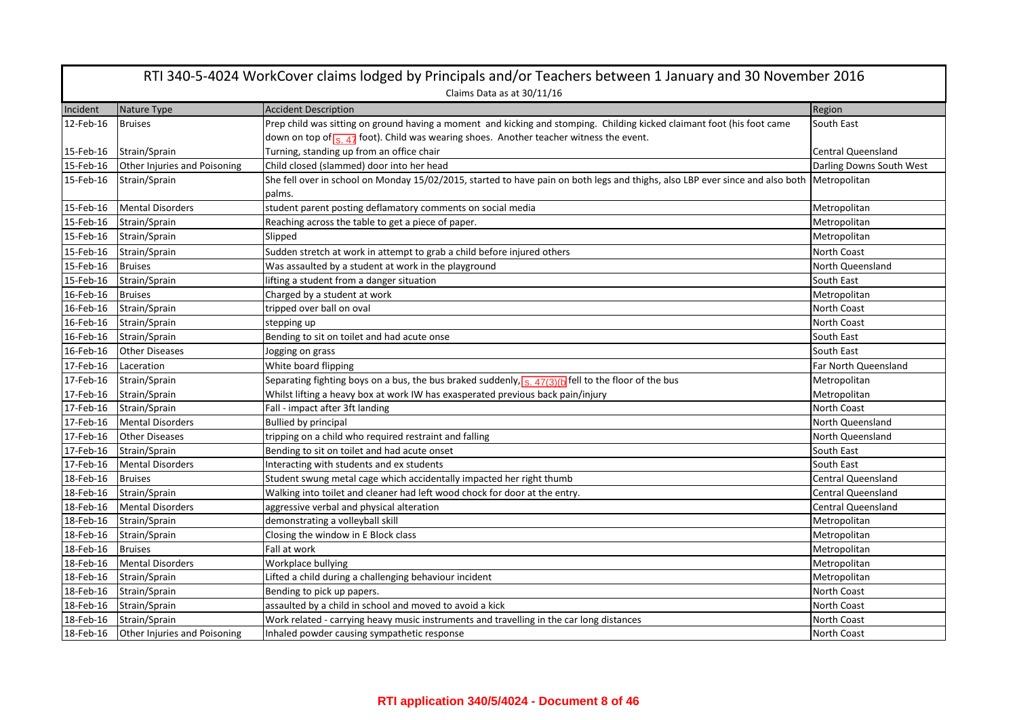| RTI 340-5-4024 WorkCover claims lodged by Principals and/or Teachers between 1 January and 30 November 2016 |                              |                                                                                                                                            |                           |  |
|-------------------------------------------------------------------------------------------------------------|------------------------------|--------------------------------------------------------------------------------------------------------------------------------------------|---------------------------|--|
|                                                                                                             | Claims Data as at 30/11/16   |                                                                                                                                            |                           |  |
| Incident                                                                                                    | Nature Type                  | <b>Accident Description</b>                                                                                                                | Region                    |  |
| 12-Feb-16                                                                                                   | <b>Bruises</b>               | Prep child was sitting on ground having a moment and kicking and stomping. Childing kicked claimant foot (his foot came                    | South East                |  |
|                                                                                                             |                              | down on top of $\frac{1}{s}$ 47 foot). Child was wearing shoes. Another teacher witness the event.                                         |                           |  |
| 15-Feb-16                                                                                                   | Strain/Sprain                | Turning, standing up from an office chair                                                                                                  | <b>Central Queensland</b> |  |
| 15-Feb-16                                                                                                   | Other Injuries and Poisoning | Child closed (slammed) door into her head                                                                                                  | Darling Downs South West  |  |
| 15-Feb-16                                                                                                   | Strain/Sprain                | She fell over in school on Monday 15/02/2015, started to have pain on both legs and thighs, also LBP ever since and also both Metropolitan |                           |  |
|                                                                                                             |                              | palms.                                                                                                                                     |                           |  |
| 15-Feb-16                                                                                                   | <b>Mental Disorders</b>      | student parent posting deflamatory comments on social media                                                                                | Metropolitan              |  |
| 15-Feb-16                                                                                                   | Strain/Sprain                | Reaching across the table to get a piece of paper.                                                                                         | Metropolitan              |  |
| 15-Feb-16                                                                                                   | Strain/Sprain                | Slipped                                                                                                                                    | Metropolitan              |  |
| 15-Feb-16                                                                                                   | Strain/Sprain                | Sudden stretch at work in attempt to grab a child before injured others                                                                    | North Coast               |  |
| 15-Feb-16                                                                                                   | <b>Bruises</b>               | Was assaulted by a student at work in the playground                                                                                       | North Queensland          |  |
| 15-Feb-16                                                                                                   | Strain/Sprain                | lifting a student from a danger situation                                                                                                  | South East                |  |
| 16-Feb-16                                                                                                   | <b>Bruises</b>               | Charged by a student at work                                                                                                               | Metropolitan              |  |
| 16-Feb-16                                                                                                   | Strain/Sprain                | tripped over ball on oval                                                                                                                  | North Coast               |  |
| 16-Feb-16                                                                                                   | Strain/Sprain                | stepping up                                                                                                                                | North Coast               |  |
| 16-Feb-16                                                                                                   | Strain/Sprain                | Bending to sit on toilet and had acute onse                                                                                                | South East                |  |
| 16-Feb-16                                                                                                   | <b>Other Diseases</b>        | Jogging on grass                                                                                                                           | South East                |  |
| 17-Feb-16                                                                                                   | Laceration                   | White board flipping                                                                                                                       | Far North Queensland      |  |
| 17-Feb-16                                                                                                   | Strain/Sprain                | Separating fighting boys on a bus, the bus braked suddenly, <sub>S. 47(3)(b</sub> fell to the floor of the bus                             | Metropolitan              |  |
| 17-Feb-16                                                                                                   | Strain/Sprain                | Whilst lifting a heavy box at work IW has exasperated previous back pain/injury                                                            | Metropolitan              |  |
| 17-Feb-16                                                                                                   | Strain/Sprain                | Fall - impact after 3ft landing                                                                                                            | North Coast               |  |
| 17-Feb-16                                                                                                   | <b>Mental Disorders</b>      | <b>Bullied by principal</b>                                                                                                                | North Queensland          |  |
| 17-Feb-16                                                                                                   | <b>Other Diseases</b>        | tripping on a child who required restraint and falling                                                                                     | North Queensland          |  |
| 17-Feb-16                                                                                                   | Strain/Sprain                | Bending to sit on toilet and had acute onset                                                                                               | South East                |  |
| 17-Feb-16                                                                                                   | <b>Mental Disorders</b>      | Interacting with students and ex students                                                                                                  | South East                |  |
| 18-Feb-16                                                                                                   | <b>Bruises</b>               | Student swung metal cage which accidentally impacted her right thumb                                                                       | <b>Central Queensland</b> |  |
| 18-Feb-16                                                                                                   | Strain/Sprain                | Walking into toilet and cleaner had left wood chock for door at the entry.                                                                 | <b>Central Queensland</b> |  |
| 18-Feb-16                                                                                                   | <b>Mental Disorders</b>      | aggressive verbal and physical alteration                                                                                                  | <b>Central Queensland</b> |  |
| 18-Feb-16                                                                                                   | Strain/Sprain                | demonstrating a volleyball skill                                                                                                           | Metropolitan              |  |
| 18-Feb-16                                                                                                   | Strain/Sprain                | Closing the window in E Block class                                                                                                        | Metropolitan              |  |
| 18-Feb-16                                                                                                   | <b>Bruises</b>               | Fall at work                                                                                                                               | Metropolitan              |  |
| 18-Feb-16                                                                                                   | <b>Mental Disorders</b>      | Workplace bullying                                                                                                                         | Metropolitan              |  |
| 18-Feb-16                                                                                                   | Strain/Sprain                | Lifted a child during a challenging behaviour incident                                                                                     | Metropolitan              |  |
| 18-Feb-16                                                                                                   | Strain/Sprain                | Bending to pick up papers.                                                                                                                 | North Coast               |  |
| 18-Feb-16                                                                                                   | Strain/Sprain                | assaulted by a child in school and moved to avoid a kick                                                                                   | North Coast               |  |
| 18-Feb-16                                                                                                   | Strain/Sprain                | Work related - carrying heavy music instruments and travelling in the car long distances                                                   | North Coast               |  |
| 18-Feb-16                                                                                                   | Other Injuries and Poisoning | Inhaled powder causing sympathetic response                                                                                                | <b>North Coast</b>        |  |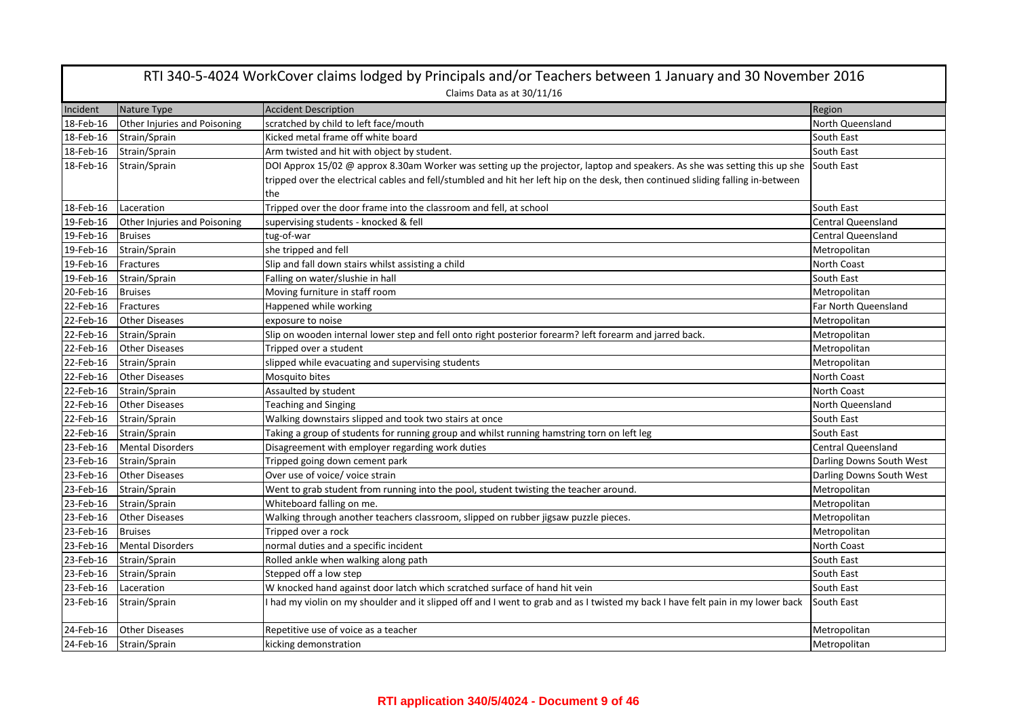| RTI 340-5-4024 WorkCover claims lodged by Principals and/or Teachers between 1 January and 30 November 2016 |                              |                                                                                                                                                                                                                                                               |                           |
|-------------------------------------------------------------------------------------------------------------|------------------------------|---------------------------------------------------------------------------------------------------------------------------------------------------------------------------------------------------------------------------------------------------------------|---------------------------|
|                                                                                                             |                              | Claims Data as at 30/11/16                                                                                                                                                                                                                                    |                           |
| Incident                                                                                                    | Nature Type                  | <b>Accident Description</b>                                                                                                                                                                                                                                   | Region                    |
| 18-Feb-16                                                                                                   | Other Injuries and Poisoning | scratched by child to left face/mouth                                                                                                                                                                                                                         | North Queensland          |
| 18-Feb-16                                                                                                   | Strain/Sprain                | Kicked metal frame off white board                                                                                                                                                                                                                            | South East                |
| 18-Feb-16                                                                                                   | Strain/Sprain                | Arm twisted and hit with object by student.                                                                                                                                                                                                                   | South East                |
| 18-Feb-16                                                                                                   | Strain/Sprain                | DOI Approx 15/02 @ approx 8.30am Worker was setting up the projector, laptop and speakers. As she was setting this up she<br>tripped over the electrical cables and fell/stumbled and hit her left hip on the desk, then continued sliding falling in-between | South East                |
|                                                                                                             |                              | the                                                                                                                                                                                                                                                           |                           |
| 18-Feb-16                                                                                                   | Laceration                   | Tripped over the door frame into the classroom and fell, at school                                                                                                                                                                                            | South East                |
| 19-Feb-16                                                                                                   | Other Injuries and Poisoning | supervising students - knocked & fell                                                                                                                                                                                                                         | <b>Central Queensland</b> |
| 19-Feb-16                                                                                                   | <b>Bruises</b>               | tug-of-war                                                                                                                                                                                                                                                    | <b>Central Queensland</b> |
| 19-Feb-16                                                                                                   | Strain/Sprain                | she tripped and fell                                                                                                                                                                                                                                          | Metropolitan              |
| 19-Feb-16                                                                                                   | <b>Fractures</b>             | Slip and fall down stairs whilst assisting a child                                                                                                                                                                                                            | <b>North Coast</b>        |
| 19-Feb-16                                                                                                   | Strain/Sprain                | Falling on water/slushie in hall                                                                                                                                                                                                                              | South East                |
| 20-Feb-16                                                                                                   | <b>Bruises</b>               | Moving furniture in staff room                                                                                                                                                                                                                                | Metropolitan              |
| 22-Feb-16                                                                                                   | Fractures                    | Happened while working                                                                                                                                                                                                                                        | Far North Queensland      |
| 22-Feb-16                                                                                                   | <b>Other Diseases</b>        | exposure to noise                                                                                                                                                                                                                                             | Metropolitan              |
| 22-Feb-16                                                                                                   | Strain/Sprain                | Slip on wooden internal lower step and fell onto right posterior forearm? left forearm and jarred back.                                                                                                                                                       | Metropolitan              |
| 22-Feb-16                                                                                                   | <b>Other Diseases</b>        | Tripped over a student                                                                                                                                                                                                                                        | Metropolitan              |
| 22-Feb-16                                                                                                   | Strain/Sprain                | slipped while evacuating and supervising students                                                                                                                                                                                                             | Metropolitan              |
| 22-Feb-16                                                                                                   | <b>Other Diseases</b>        | Mosquito bites                                                                                                                                                                                                                                                | North Coast               |
| 22-Feb-16                                                                                                   | Strain/Sprain                | Assaulted by student                                                                                                                                                                                                                                          | <b>North Coast</b>        |
| 22-Feb-16                                                                                                   | <b>Other Diseases</b>        | <b>Teaching and Singing</b>                                                                                                                                                                                                                                   | North Queensland          |
| 22-Feb-16                                                                                                   | Strain/Sprain                | Walking downstairs slipped and took two stairs at once                                                                                                                                                                                                        | South East                |
| 22-Feb-16                                                                                                   | Strain/Sprain                | Taking a group of students for running group and whilst running hamstring torn on left leg                                                                                                                                                                    | South East                |
| 23-Feb-16                                                                                                   | <b>Mental Disorders</b>      | Disagreement with employer regarding work duties                                                                                                                                                                                                              | <b>Central Queensland</b> |
| 23-Feb-16                                                                                                   | Strain/Sprain                | Tripped going down cement park                                                                                                                                                                                                                                | Darling Downs South West  |
| 23-Feb-16                                                                                                   | <b>Other Diseases</b>        | Over use of voice/ voice strain                                                                                                                                                                                                                               | Darling Downs South West  |
| 23-Feb-16                                                                                                   | Strain/Sprain                | Went to grab student from running into the pool, student twisting the teacher around.                                                                                                                                                                         | Metropolitan              |
| 23-Feb-16                                                                                                   | Strain/Sprain                | Whiteboard falling on me.                                                                                                                                                                                                                                     | Metropolitan              |
| 23-Feb-16                                                                                                   | <b>Other Diseases</b>        | Walking through another teachers classroom, slipped on rubber jigsaw puzzle pieces.                                                                                                                                                                           | Metropolitan              |
| 23-Feb-16                                                                                                   | <b>Bruises</b>               | Tripped over a rock                                                                                                                                                                                                                                           | Metropolitan              |
| 23-Feb-16                                                                                                   | <b>Mental Disorders</b>      | normal duties and a specific incident                                                                                                                                                                                                                         | <b>North Coast</b>        |
| 23-Feb-16                                                                                                   | Strain/Sprain                | Rolled ankle when walking along path                                                                                                                                                                                                                          | South East                |
| 23-Feb-16                                                                                                   | Strain/Sprain                | Stepped off a low step                                                                                                                                                                                                                                        | South East                |
| 23-Feb-16                                                                                                   | Laceration                   | W knocked hand against door latch which scratched surface of hand hit vein                                                                                                                                                                                    | South East                |
| 23-Feb-16                                                                                                   | Strain/Sprain                | I had my violin on my shoulder and it slipped off and I went to grab and as I twisted my back I have felt pain in my lower back                                                                                                                               | South East                |
| 24-Feb-16                                                                                                   | <b>Other Diseases</b>        | Repetitive use of voice as a teacher                                                                                                                                                                                                                          | Metropolitan              |
|                                                                                                             | 24-Feb-16 Strain/Sprain      | kicking demonstration                                                                                                                                                                                                                                         | Metropolitan              |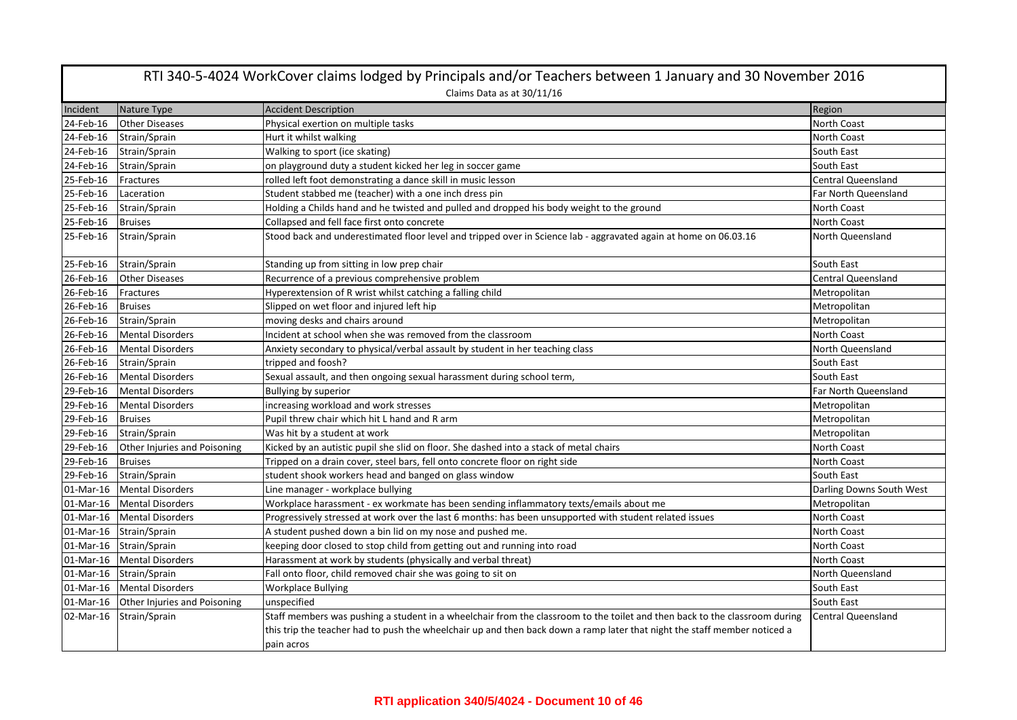| RTI 340-5-4024 WorkCover claims lodged by Principals and/or Teachers between 1 January and 30 November 2016 |                              |                                                                                                                            |                           |  |  |
|-------------------------------------------------------------------------------------------------------------|------------------------------|----------------------------------------------------------------------------------------------------------------------------|---------------------------|--|--|
|                                                                                                             | Claims Data as at 30/11/16   |                                                                                                                            |                           |  |  |
| Incident                                                                                                    | Nature Type                  | <b>Accident Description</b>                                                                                                | Region                    |  |  |
| 24-Feb-16                                                                                                   | <b>Other Diseases</b>        | Physical exertion on multiple tasks                                                                                        | <b>North Coast</b>        |  |  |
| 24-Feb-16                                                                                                   | Strain/Sprain                | Hurt it whilst walking                                                                                                     | North Coast               |  |  |
| 24-Feb-16                                                                                                   | Strain/Sprain                | Walking to sport (ice skating)                                                                                             | South East                |  |  |
| 24-Feb-16                                                                                                   | Strain/Sprain                | on playground duty a student kicked her leg in soccer game                                                                 | South East                |  |  |
| 25-Feb-16                                                                                                   | Fractures                    | rolled left foot demonstrating a dance skill in music lesson                                                               | <b>Central Queensland</b> |  |  |
| 25-Feb-16                                                                                                   | Laceration                   | Student stabbed me (teacher) with a one inch dress pin                                                                     | Far North Queensland      |  |  |
| 25-Feb-16                                                                                                   | Strain/Sprain                | Holding a Childs hand and he twisted and pulled and dropped his body weight to the ground                                  | North Coast               |  |  |
| 25-Feb-16                                                                                                   | <b>Bruises</b>               | Collapsed and fell face first onto concrete                                                                                | North Coast               |  |  |
| 25-Feb-16                                                                                                   | Strain/Sprain                | Stood back and underestimated floor level and tripped over in Science lab - aggravated again at home on 06.03.16           | North Queensland          |  |  |
| 25-Feb-16                                                                                                   | Strain/Sprain                | Standing up from sitting in low prep chair                                                                                 | South East                |  |  |
| 26-Feb-16                                                                                                   | <b>Other Diseases</b>        | Recurrence of a previous comprehensive problem                                                                             | <b>Central Queensland</b> |  |  |
| 26-Feb-16                                                                                                   | Fractures                    | Hyperextension of R wrist whilst catching a falling child                                                                  | Metropolitan              |  |  |
| 26-Feb-16                                                                                                   | <b>Bruises</b>               | Slipped on wet floor and injured left hip                                                                                  | Metropolitan              |  |  |
| 26-Feb-16                                                                                                   | Strain/Sprain                | moving desks and chairs around                                                                                             | Metropolitan              |  |  |
| 26-Feb-16                                                                                                   | <b>Mental Disorders</b>      | Incident at school when she was removed from the classroom                                                                 | <b>North Coast</b>        |  |  |
| 26-Feb-16                                                                                                   | Mental Disorders             | Anxiety secondary to physical/verbal assault by student in her teaching class                                              | North Queensland          |  |  |
| 26-Feb-16                                                                                                   | Strain/Sprain                | tripped and foosh?                                                                                                         | South East                |  |  |
| 26-Feb-16                                                                                                   | <b>Mental Disorders</b>      | Sexual assault, and then ongoing sexual harassment during school term,                                                     | South East                |  |  |
| 29-Feb-16                                                                                                   | <b>Mental Disorders</b>      | Bullying by superior                                                                                                       | Far North Queensland      |  |  |
| 29-Feb-16                                                                                                   | <b>Mental Disorders</b>      | increasing workload and work stresses                                                                                      | Metropolitan              |  |  |
| 29-Feb-16                                                                                                   | <b>Bruises</b>               | Pupil threw chair which hit L hand and R arm                                                                               | Metropolitan              |  |  |
| 29-Feb-16                                                                                                   | Strain/Sprain                | Was hit by a student at work                                                                                               | Metropolitan              |  |  |
| 29-Feb-16                                                                                                   | Other Injuries and Poisoning | Kicked by an autistic pupil she slid on floor. She dashed into a stack of metal chairs                                     | <b>North Coast</b>        |  |  |
| 29-Feb-16                                                                                                   | <b>Bruises</b>               | Tripped on a drain cover, steel bars, fell onto concrete floor on right side                                               | North Coast               |  |  |
| 29-Feb-16                                                                                                   | Strain/Sprain                | student shook workers head and banged on glass window                                                                      | South East                |  |  |
| 01-Mar-16                                                                                                   | <b>Mental Disorders</b>      | Line manager - workplace bullying                                                                                          | Darling Downs South West  |  |  |
|                                                                                                             | 01-Mar-16 Mental Disorders   | Workplace harassment - ex workmate has been sending inflammatory texts/emails about me                                     | Metropolitan              |  |  |
| 01-Mar-16                                                                                                   | <b>Mental Disorders</b>      | Progressively stressed at work over the last 6 months: has been unsupported with student related issues                    | <b>North Coast</b>        |  |  |
|                                                                                                             | 01-Mar-16 Strain/Sprain      | A student pushed down a bin lid on my nose and pushed me.                                                                  | North Coast               |  |  |
| 01-Mar-16                                                                                                   | Strain/Sprain                | keeping door closed to stop child from getting out and running into road                                                   | North Coast               |  |  |
| 01-Mar-16                                                                                                   | <b>Mental Disorders</b>      | Harassment at work by students (physically and verbal threat)                                                              | <b>North Coast</b>        |  |  |
|                                                                                                             | 01-Mar-16 Strain/Sprain      | Fall onto floor, child removed chair she was going to sit on                                                               | North Queensland          |  |  |
| 01-Mar-16                                                                                                   | <b>Mental Disorders</b>      | <b>Workplace Bullying</b>                                                                                                  | South East                |  |  |
| 01-Mar-16                                                                                                   | Other Injuries and Poisoning | unspecified                                                                                                                | South East                |  |  |
| 02-Mar-16                                                                                                   | Strain/Sprain                | Staff members was pushing a student in a wheelchair from the classroom to the toilet and then back to the classroom during | Central Queensland        |  |  |
|                                                                                                             |                              | this trip the teacher had to push the wheelchair up and then back down a ramp later that night the staff member noticed a  |                           |  |  |
|                                                                                                             |                              | pain acros                                                                                                                 |                           |  |  |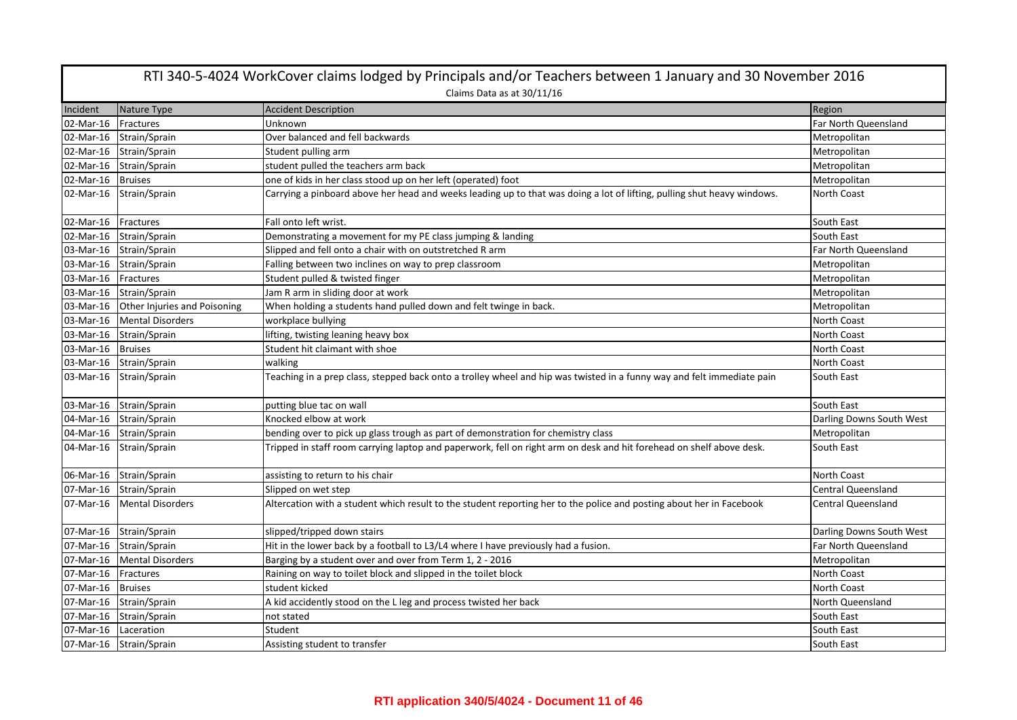| RTI 340-5-4024 WorkCover claims lodged by Principals and/or Teachers between 1 January and 30 November 2016 |                              |                                                                                                                         |                           |  |
|-------------------------------------------------------------------------------------------------------------|------------------------------|-------------------------------------------------------------------------------------------------------------------------|---------------------------|--|
|                                                                                                             | Claims Data as at 30/11/16   |                                                                                                                         |                           |  |
| Incident                                                                                                    | Nature Type                  | <b>Accident Description</b>                                                                                             | Region                    |  |
| 02-Mar-16                                                                                                   | Fractures                    | Unknown                                                                                                                 | Far North Queensland      |  |
| 02-Mar-16                                                                                                   | Strain/Sprain                | Over balanced and fell backwards                                                                                        | Metropolitan              |  |
| 02-Mar-16                                                                                                   | Strain/Sprain                | Student pulling arm                                                                                                     | Metropolitan              |  |
| 02-Mar-16                                                                                                   | Strain/Sprain                | student pulled the teachers arm back                                                                                    | Metropolitan              |  |
| 02-Mar-16                                                                                                   | <b>Bruises</b>               | one of kids in her class stood up on her left (operated) foot                                                           | Metropolitan              |  |
| 02-Mar-16                                                                                                   | Strain/Sprain                | Carrying a pinboard above her head and weeks leading up to that was doing a lot of lifting, pulling shut heavy windows. | North Coast               |  |
| 02-Mar-16                                                                                                   | Fractures                    | Fall onto left wrist.                                                                                                   | South East                |  |
| 02-Mar-16                                                                                                   | Strain/Sprain                | Demonstrating a movement for my PE class jumping & landing                                                              | South East                |  |
| 03-Mar-16                                                                                                   | Strain/Sprain                | Slipped and fell onto a chair with on outstretched R arm                                                                | Far North Queensland      |  |
| 03-Mar-16                                                                                                   | Strain/Sprain                | Falling between two inclines on way to prep classroom                                                                   | Metropolitan              |  |
| 03-Mar-16                                                                                                   | Fractures                    | Student pulled & twisted finger                                                                                         | Metropolitan              |  |
|                                                                                                             | 03-Mar-16 Strain/Sprain      | Jam R arm in sliding door at work                                                                                       | Metropolitan              |  |
| 03-Mar-16                                                                                                   | Other Injuries and Poisoning | When holding a students hand pulled down and felt twinge in back.                                                       | Metropolitan              |  |
| 03-Mar-16                                                                                                   | <b>Mental Disorders</b>      | workplace bullying                                                                                                      | North Coast               |  |
| 03-Mar-16                                                                                                   | Strain/Sprain                | lifting, twisting leaning heavy box                                                                                     | North Coast               |  |
| 03-Mar-16                                                                                                   | <b>Bruises</b>               | Student hit claimant with shoe                                                                                          | <b>North Coast</b>        |  |
|                                                                                                             | 03-Mar-16 Strain/Sprain      | walking                                                                                                                 | North Coast               |  |
| 03-Mar-16                                                                                                   | Strain/Sprain                | Teaching in a prep class, stepped back onto a trolley wheel and hip was twisted in a funny way and felt immediate pain  | South East                |  |
| 03-Mar-16                                                                                                   | Strain/Sprain                | putting blue tac on wall                                                                                                | South East                |  |
| 04-Mar-16                                                                                                   | Strain/Sprain                | Knocked elbow at work                                                                                                   | Darling Downs South West  |  |
|                                                                                                             | 04-Mar-16 Strain/Sprain      | bending over to pick up glass trough as part of demonstration for chemistry class                                       | Metropolitan              |  |
| 04-Mar-16                                                                                                   | Strain/Sprain                | Tripped in staff room carrying laptop and paperwork, fell on right arm on desk and hit forehead on shelf above desk.    | South East                |  |
| 06-Mar-16                                                                                                   | Strain/Sprain                | assisting to return to his chair                                                                                        | North Coast               |  |
|                                                                                                             | 07-Mar-16 Strain/Sprain      | Slipped on wet step                                                                                                     | <b>Central Queensland</b> |  |
| 07-Mar-16                                                                                                   | <b>Mental Disorders</b>      | Altercation with a student which result to the student reporting her to the police and posting about her in Facebook    | <b>Central Queensland</b> |  |
| 07-Mar-16                                                                                                   | Strain/Sprain                | slipped/tripped down stairs                                                                                             | Darling Downs South West  |  |
| 07-Mar-16                                                                                                   | Strain/Sprain                | Hit in the lower back by a football to L3/L4 where I have previously had a fusion.                                      | Far North Queensland      |  |
| 07-Mar-16                                                                                                   | <b>Mental Disorders</b>      | Barging by a student over and over from Term 1, 2 - 2016                                                                | Metropolitan              |  |
| 07-Mar-16                                                                                                   | Fractures                    | Raining on way to toilet block and slipped in the toilet block                                                          | North Coast               |  |
| 07-Mar-16                                                                                                   | <b>Bruises</b>               | student kicked                                                                                                          | <b>North Coast</b>        |  |
| 07-Mar-16                                                                                                   | Strain/Sprain                | A kid accidently stood on the L leg and process twisted her back                                                        | North Queensland          |  |
| 07-Mar-16                                                                                                   | Strain/Sprain                | not stated                                                                                                              | South East                |  |
| 07-Mar-16                                                                                                   | Laceration                   | Student                                                                                                                 | South East                |  |
|                                                                                                             | 07-Mar-16 Strain/Sprain      | Assisting student to transfer                                                                                           | South East                |  |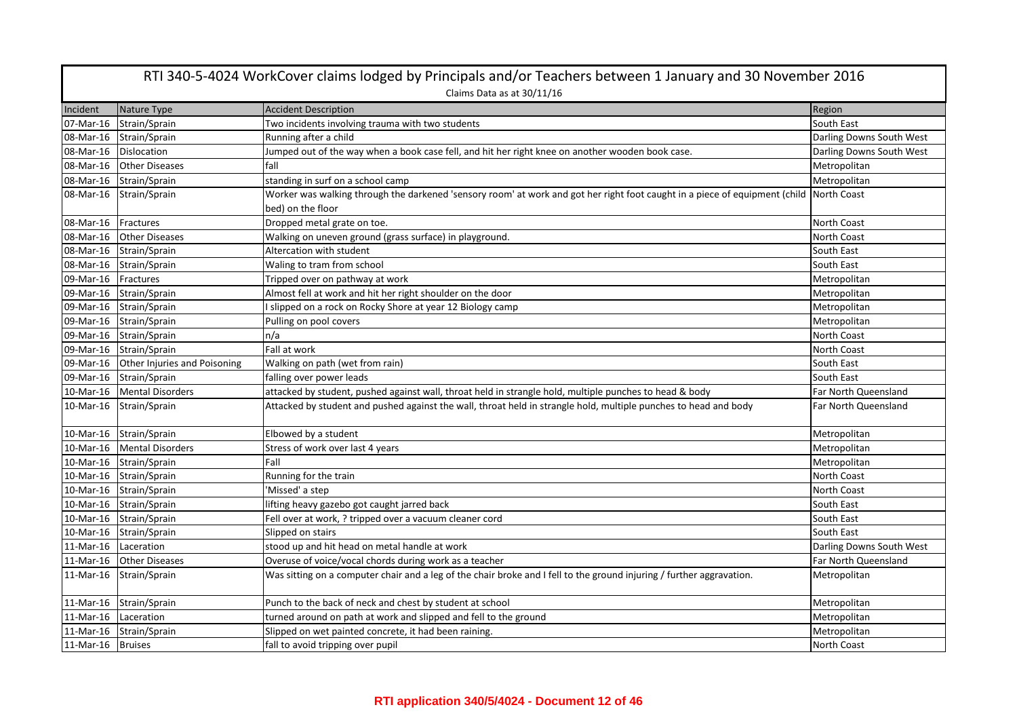| RTI 340-5-4024 WorkCover claims lodged by Principals and/or Teachers between 1 January and 30 November 2016<br>Claims Data as at 30/11/16 |                                        |                                                                                                                                                  |                          |
|-------------------------------------------------------------------------------------------------------------------------------------------|----------------------------------------|--------------------------------------------------------------------------------------------------------------------------------------------------|--------------------------|
| Incident                                                                                                                                  | Nature Type                            | <b>Accident Description</b>                                                                                                                      | Region                   |
| 07-Mar-16                                                                                                                                 | Strain/Sprain                          | Two incidents involving trauma with two students                                                                                                 | South East               |
|                                                                                                                                           | 08-Mar-16 Strain/Sprain                | Running after a child                                                                                                                            | Darling Downs South West |
| 08-Mar-16 Dislocation                                                                                                                     |                                        | Jumped out of the way when a book case fell, and hit her right knee on another wooden book case.                                                 | Darling Downs South West |
| 08-Mar-16                                                                                                                                 | <b>Other Diseases</b>                  | fall                                                                                                                                             | Metropolitan             |
|                                                                                                                                           | 08-Mar-16 Strain/Sprain                | standing in surf on a school camp                                                                                                                | Metropolitan             |
| 08-Mar-16                                                                                                                                 | Strain/Sprain                          | Worker was walking through the darkened 'sensory room' at work and got her right foot caught in a piece of equipment (child<br>bed) on the floor | North Coast              |
| 08-Mar-16   Fractures                                                                                                                     |                                        | Dropped metal grate on toe.                                                                                                                      | North Coast              |
| 08-Mar-16                                                                                                                                 | <b>Other Diseases</b>                  | Walking on uneven ground (grass surface) in playground.                                                                                          | North Coast              |
|                                                                                                                                           | 08-Mar-16 Strain/Sprain                | Altercation with student                                                                                                                         | South East               |
|                                                                                                                                           | 08-Mar-16 Strain/Sprain                | Waling to tram from school                                                                                                                       | South East               |
| 09-Mar-16 Fractures                                                                                                                       |                                        | Tripped over on pathway at work                                                                                                                  | Metropolitan             |
|                                                                                                                                           | 09-Mar-16 Strain/Sprain                | Almost fell at work and hit her right shoulder on the door                                                                                       | Metropolitan             |
|                                                                                                                                           | 09-Mar-16 Strain/Sprain                | I slipped on a rock on Rocky Shore at year 12 Biology camp                                                                                       | Metropolitan             |
|                                                                                                                                           | 09-Mar-16 Strain/Sprain                | Pulling on pool covers                                                                                                                           | Metropolitan             |
|                                                                                                                                           | 09-Mar-16 Strain/Sprain                | n/a                                                                                                                                              | North Coast              |
|                                                                                                                                           | 09-Mar-16 Strain/Sprain                | Fall at work                                                                                                                                     | North Coast              |
|                                                                                                                                           | 09-Mar-16 Other Injuries and Poisoning | Walking on path (wet from rain)                                                                                                                  | South East               |
|                                                                                                                                           | 09-Mar-16 Strain/Sprain                | falling over power leads                                                                                                                         | South East               |
| 10-Mar-16                                                                                                                                 | <b>Mental Disorders</b>                | attacked by student, pushed against wall, throat held in strangle hold, multiple punches to head & body                                          | Far North Queensland     |
|                                                                                                                                           | 10-Mar-16 Strain/Sprain                | Attacked by student and pushed against the wall, throat held in strangle hold, multiple punches to head and body                                 | Far North Queensland     |
|                                                                                                                                           | 10-Mar-16 Strain/Sprain                | Elbowed by a student                                                                                                                             | Metropolitan             |
|                                                                                                                                           | 10-Mar-16   Mental Disorders           | Stress of work over last 4 years                                                                                                                 | Metropolitan             |
|                                                                                                                                           | 10-Mar-16 Strain/Sprain                | Fall                                                                                                                                             | Metropolitan             |
|                                                                                                                                           | 10-Mar-16 Strain/Sprain                | Running for the train                                                                                                                            | North Coast              |
|                                                                                                                                           | 10-Mar-16 Strain/Sprain                | 'Missed' a step                                                                                                                                  | North Coast              |
|                                                                                                                                           | 10-Mar-16 Strain/Sprain                | lifting heavy gazebo got caught jarred back                                                                                                      | South East               |
|                                                                                                                                           | 10-Mar-16 Strain/Sprain                | Fell over at work, ? tripped over a vacuum cleaner cord                                                                                          | South East               |
|                                                                                                                                           | 10-Mar-16 Strain/Sprain                | Slipped on stairs                                                                                                                                | South East               |
| 11-Mar-16                                                                                                                                 | Laceration                             | stood up and hit head on metal handle at work                                                                                                    | Darling Downs South West |
| 11-Mar-16                                                                                                                                 | <b>Other Diseases</b>                  | Overuse of voice/vocal chords during work as a teacher                                                                                           | Far North Queensland     |
|                                                                                                                                           | 11-Mar-16 Strain/Sprain                | Was sitting on a computer chair and a leg of the chair broke and I fell to the ground injuring / further aggravation.                            | Metropolitan             |
|                                                                                                                                           | 11-Mar-16 Strain/Sprain                | Punch to the back of neck and chest by student at school                                                                                         | Metropolitan             |
| 11-Mar-16                                                                                                                                 | Laceration                             | turned around on path at work and slipped and fell to the ground                                                                                 | Metropolitan             |
|                                                                                                                                           | 11-Mar-16 Strain/Sprain                | Slipped on wet painted concrete, it had been raining.                                                                                            | Metropolitan             |
| 11-Mar-16 Bruises                                                                                                                         |                                        | fall to avoid tripping over pupil                                                                                                                | North Coast              |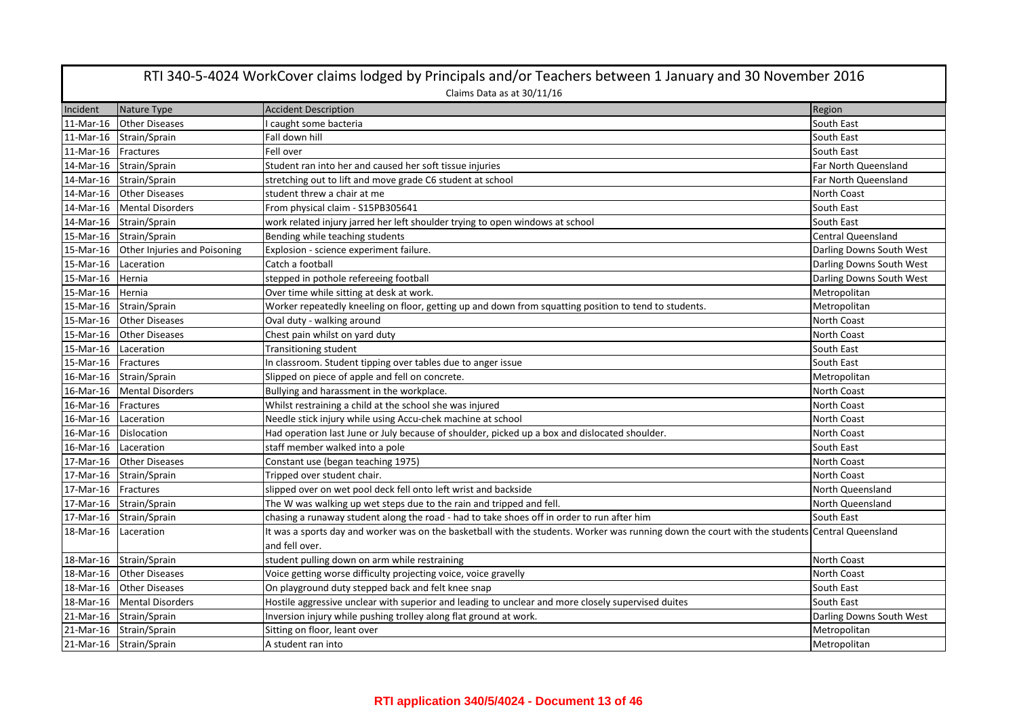| RTI 340-5-4024 WorkCover claims lodged by Principals and/or Teachers between 1 January and 30 November 2016 |                              |                                                                                                                                                |                           |
|-------------------------------------------------------------------------------------------------------------|------------------------------|------------------------------------------------------------------------------------------------------------------------------------------------|---------------------------|
|                                                                                                             |                              | Claims Data as at 30/11/16                                                                                                                     |                           |
| Incident                                                                                                    | Nature Type                  | <b>Accident Description</b>                                                                                                                    | Region                    |
| 11-Mar-16                                                                                                   | <b>Other Diseases</b>        | caught some bacteria                                                                                                                           | South East                |
| 11-Mar-16                                                                                                   | Strain/Sprain                | Fall down hill                                                                                                                                 | South East                |
| 11-Mar-16 Fractures                                                                                         |                              | Fell over                                                                                                                                      | South East                |
| 14-Mar-16                                                                                                   | Strain/Sprain                | Student ran into her and caused her soft tissue injuries                                                                                       | Far North Queensland      |
| 14-Mar-16                                                                                                   | Strain/Sprain                | stretching out to lift and move grade C6 student at school                                                                                     | Far North Queensland      |
| 14-Mar-16                                                                                                   | <b>Other Diseases</b>        | student threw a chair at me                                                                                                                    | North Coast               |
| 14-Mar-16                                                                                                   | <b>Mental Disorders</b>      | From physical claim - S15PB305641                                                                                                              | South East                |
|                                                                                                             | 14-Mar-16 Strain/Sprain      | work related injury jarred her left shoulder trying to open windows at school                                                                  | South East                |
|                                                                                                             | 15-Mar-16 Strain/Sprain      | Bending while teaching students                                                                                                                | <b>Central Queensland</b> |
| 15-Mar-16                                                                                                   | Other Injuries and Poisoning | Explosion - science experiment failure.                                                                                                        | Darling Downs South West  |
| 15-Mar-16 Laceration                                                                                        |                              | Catch a football                                                                                                                               | Darling Downs South West  |
| 15-Mar-16                                                                                                   | Hernia                       | stepped in pothole refereeing football                                                                                                         | Darling Downs South West  |
| 15-Mar-16 Hernia                                                                                            |                              | Over time while sitting at desk at work.                                                                                                       | Metropolitan              |
| 15-Mar-16                                                                                                   | Strain/Sprain                | Worker repeatedly kneeling on floor, getting up and down from squatting position to tend to students.                                          | Metropolitan              |
| 15-Mar-16                                                                                                   | <b>Other Diseases</b>        | Oval duty - walking around                                                                                                                     | North Coast               |
| 15-Mar-16                                                                                                   | <b>Other Diseases</b>        | Chest pain whilst on yard duty                                                                                                                 | North Coast               |
| 15-Mar-16 Laceration                                                                                        |                              | Transitioning student                                                                                                                          | South East                |
| 15-Mar-16 Fractures                                                                                         |                              | In classroom. Student tipping over tables due to anger issue                                                                                   | South East                |
|                                                                                                             | 16-Mar-16 Strain/Sprain      | Slipped on piece of apple and fell on concrete.                                                                                                | Metropolitan              |
| 16-Mar-16                                                                                                   | <b>Mental Disorders</b>      | Bullying and harassment in the workplace.                                                                                                      | North Coast               |
| 16-Mar-16                                                                                                   | Fractures                    | Whilst restraining a child at the school she was injured                                                                                       | North Coast               |
| 16-Mar-16                                                                                                   | Laceration                   | Needle stick injury while using Accu-chek machine at school                                                                                    | North Coast               |
| 16-Mar-16 Dislocation                                                                                       |                              | Had operation last June or July because of shoulder, picked up a box and dislocated shoulder.                                                  | North Coast               |
| 16-Mar-16                                                                                                   | Laceration                   | staff member walked into a pole                                                                                                                | South East                |
| 17-Mar-16                                                                                                   | <b>Other Diseases</b>        | Constant use (began teaching 1975)                                                                                                             | North Coast               |
| 17-Mar-16                                                                                                   | Strain/Sprain                | Tripped over student chair.                                                                                                                    | <b>North Coast</b>        |
| 17-Mar-16 Fractures                                                                                         |                              | slipped over on wet pool deck fell onto left wrist and backside                                                                                | North Queensland          |
|                                                                                                             | 17-Mar-16 Strain/Sprain      | The W was walking up wet steps due to the rain and tripped and fell.                                                                           | North Queensland          |
| 17-Mar-16                                                                                                   | Strain/Sprain                | chasing a runaway student along the road - had to take shoes off in order to run after him                                                     | South East                |
| 18-Mar-16                                                                                                   | Laceration                   | It was a sports day and worker was on the basketball with the students. Worker was running down the court with the students Central Queensland |                           |
|                                                                                                             |                              | and fell over.                                                                                                                                 |                           |
|                                                                                                             | 18-Mar-16 Strain/Sprain      | student pulling down on arm while restraining                                                                                                  | North Coast               |
|                                                                                                             | 18-Mar-16 Other Diseases     | Voice getting worse difficulty projecting voice, voice gravelly                                                                                | North Coast               |
| 18-Mar-16                                                                                                   | <b>Other Diseases</b>        | On playground duty stepped back and felt knee snap                                                                                             | South East                |
| 18-Mar-16                                                                                                   | <b>Mental Disorders</b>      | Hostile aggressive unclear with superior and leading to unclear and more closely supervised duites                                             | South East                |
| 21-Mar-16                                                                                                   | Strain/Sprain                | Inversion injury while pushing trolley along flat ground at work.                                                                              | Darling Downs South West  |
| 21-Mar-16                                                                                                   | Strain/Sprain                | Sitting on floor, leant over                                                                                                                   | Metropolitan              |
|                                                                                                             | 21-Mar-16 Strain/Sprain      | A student ran into                                                                                                                             | Metropolitan              |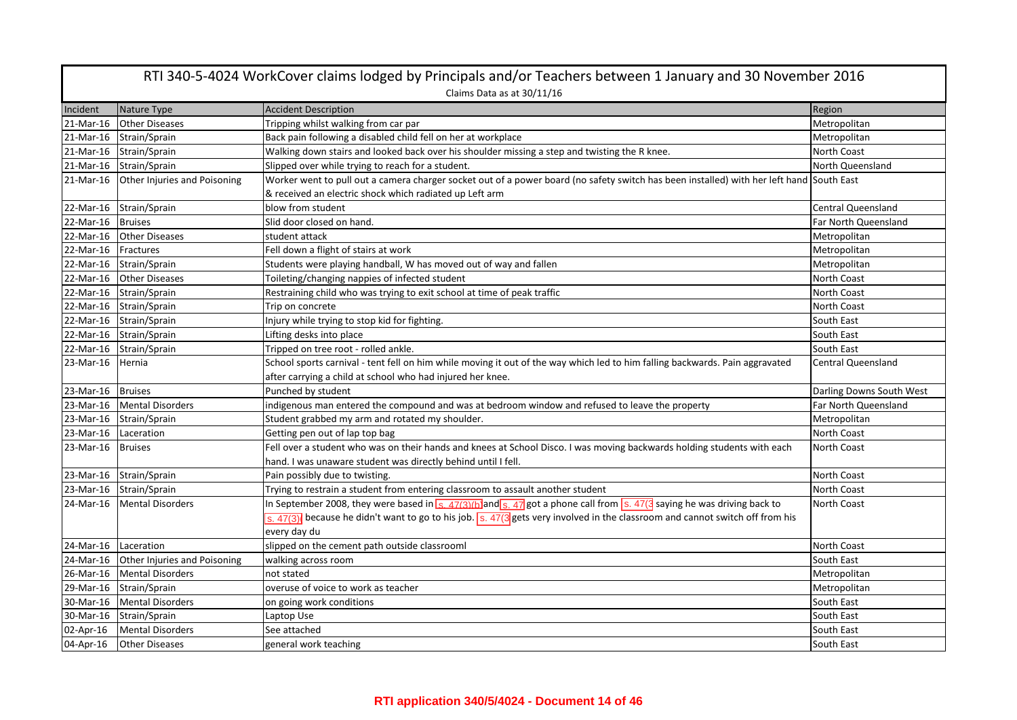| RTI 340-5-4024 WorkCover claims lodged by Principals and/or Teachers between 1 January and 30 November 2016 |                              |                                                                                                                                                                |                           |  |
|-------------------------------------------------------------------------------------------------------------|------------------------------|----------------------------------------------------------------------------------------------------------------------------------------------------------------|---------------------------|--|
|                                                                                                             | Claims Data as at 30/11/16   |                                                                                                                                                                |                           |  |
| Incident                                                                                                    | Nature Type                  | <b>Accident Description</b>                                                                                                                                    | Region                    |  |
| 21-Mar-16                                                                                                   | <b>Other Diseases</b>        | Tripping whilst walking from car par                                                                                                                           | Metropolitan              |  |
| 21-Mar-16                                                                                                   | Strain/Sprain                | Back pain following a disabled child fell on her at workplace                                                                                                  | Metropolitan              |  |
|                                                                                                             | 21-Mar-16 Strain/Sprain      | Walking down stairs and looked back over his shoulder missing a step and twisting the R knee.                                                                  | North Coast               |  |
| 21-Mar-16                                                                                                   | Strain/Sprain                | Slipped over while trying to reach for a student.                                                                                                              | North Queensland          |  |
| 21-Mar-16                                                                                                   | Other Injuries and Poisoning | Worker went to pull out a camera charger socket out of a power board (no safety switch has been installed) with her left hand South East                       |                           |  |
|                                                                                                             |                              | & received an electric shock which radiated up Left arm                                                                                                        |                           |  |
|                                                                                                             | 22-Mar-16 Strain/Sprain      | blow from student                                                                                                                                              | Central Queensland        |  |
| 22-Mar-16 Bruises                                                                                           |                              | Slid door closed on hand.                                                                                                                                      | Far North Queensland      |  |
|                                                                                                             | 22-Mar-16 Other Diseases     | student attack                                                                                                                                                 | Metropolitan              |  |
| 22-Mar-16                                                                                                   | Fractures                    | Fell down a flight of stairs at work                                                                                                                           | Metropolitan              |  |
|                                                                                                             | 22-Mar-16 Strain/Sprain      | Students were playing handball, W has moved out of way and fallen                                                                                              | Metropolitan              |  |
| 22-Mar-16                                                                                                   | <b>Other Diseases</b>        | Toileting/changing nappies of infected student                                                                                                                 | North Coast               |  |
|                                                                                                             | 22-Mar-16 Strain/Sprain      | Restraining child who was trying to exit school at time of peak traffic                                                                                        | North Coast               |  |
|                                                                                                             | 22-Mar-16 Strain/Sprain      | Trip on concrete                                                                                                                                               | <b>North Coast</b>        |  |
|                                                                                                             | 22-Mar-16 Strain/Sprain      | Injury while trying to stop kid for fighting.                                                                                                                  | South East                |  |
|                                                                                                             | 22-Mar-16 Strain/Sprain      | Lifting desks into place                                                                                                                                       | South East                |  |
| 22-Mar-16                                                                                                   | Strain/Sprain                | Tripped on tree root - rolled ankle.                                                                                                                           | South East                |  |
| 23-Mar-16                                                                                                   | Hernia                       | School sports carnival - tent fell on him while moving it out of the way which led to him falling backwards. Pain aggravated                                   | <b>Central Queensland</b> |  |
|                                                                                                             |                              | after carrying a child at school who had injured her knee.                                                                                                     |                           |  |
| 23-Mar-16                                                                                                   | <b>Bruises</b>               | Punched by student                                                                                                                                             | Darling Downs South West  |  |
| 23-Mar-16                                                                                                   | <b>Mental Disorders</b>      | indigenous man entered the compound and was at bedroom window and refused to leave the property                                                                | Far North Queensland      |  |
| 23-Mar-16                                                                                                   | Strain/Sprain                | Student grabbed my arm and rotated my shoulder.                                                                                                                | Metropolitan              |  |
| 23-Mar-16                                                                                                   | Laceration                   | Getting pen out of lap top bag                                                                                                                                 | North Coast               |  |
| 23-Mar-16                                                                                                   | <b>Bruises</b>               | Fell over a student who was on their hands and knees at School Disco. I was moving backwards holding students with each                                        | <b>North Coast</b>        |  |
|                                                                                                             |                              | hand. I was unaware student was directly behind until I fell.                                                                                                  |                           |  |
|                                                                                                             | 23-Mar-16 Strain/Sprain      | Pain possibly due to twisting.                                                                                                                                 | North Coast               |  |
|                                                                                                             | 23-Mar-16 Strain/Sprain      | Trying to restrain a student from entering classroom to assault another student                                                                                | North Coast               |  |
| 24-Mar-16                                                                                                   | <b>Mental Disorders</b>      | In September 2008, they were based in $\frac{1}{s}$ , 47(3)(b) and $\frac{s}{s}$ , 47 got a phone call from $\frac{s}{s}$ . 47(3 saying he was driving back to | North Coast               |  |
|                                                                                                             |                              | s. $47(3)$ because he didn't want to go to his job. s. $47(3)$ gets very involved in the classroom and cannot switch off from his                              |                           |  |
|                                                                                                             |                              | every day du                                                                                                                                                   |                           |  |
| 24-Mar-16                                                                                                   | Laceration                   | slipped on the cement path outside classrooml                                                                                                                  | North Coast               |  |
| 24-Mar-16                                                                                                   | Other Injuries and Poisoning | walking across room                                                                                                                                            | South East                |  |
|                                                                                                             | 26-Mar-16 Mental Disorders   | not stated                                                                                                                                                     | Metropolitan              |  |
| 29-Mar-16                                                                                                   | Strain/Sprain                | overuse of voice to work as teacher                                                                                                                            | Metropolitan              |  |
| 30-Mar-16                                                                                                   | <b>Mental Disorders</b>      | on going work conditions                                                                                                                                       | South East                |  |
|                                                                                                             | 30-Mar-16 Strain/Sprain      | Laptop Use                                                                                                                                                     | South East                |  |
| 02-Apr-16                                                                                                   | <b>Mental Disorders</b>      | See attached                                                                                                                                                   | South East                |  |
| 04-Apr-16                                                                                                   | <b>Other Diseases</b>        | general work teaching                                                                                                                                          | South East                |  |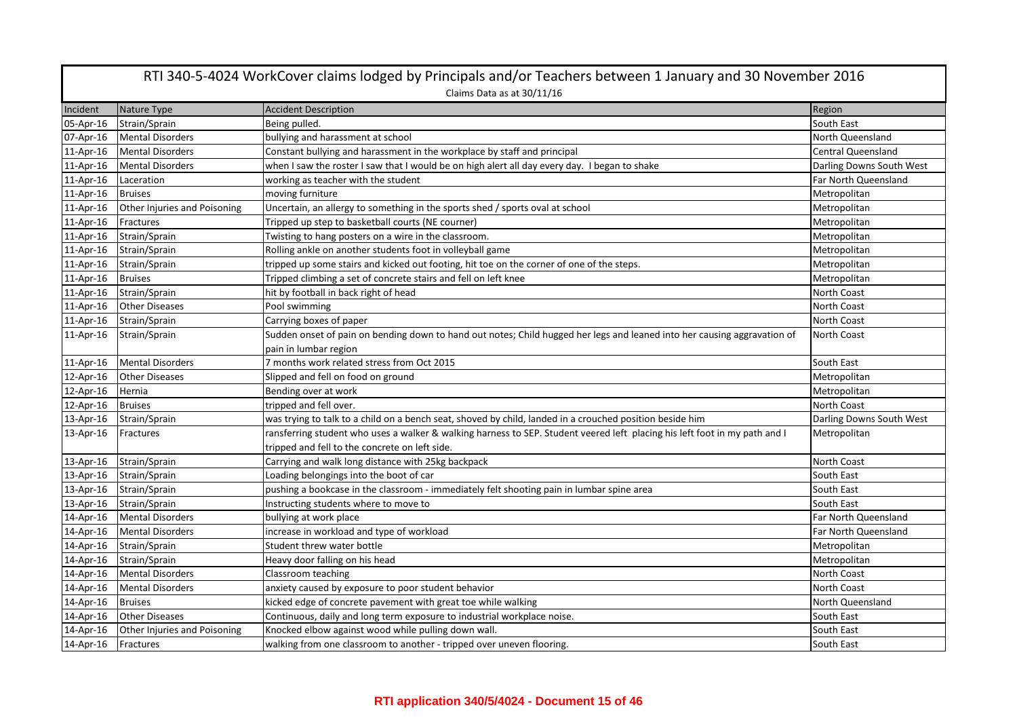|              | RTI 340-5-4024 WorkCover claims lodged by Principals and/or Teachers between 1 January and 30 November 2016 |                                                                                                                            |                           |  |
|--------------|-------------------------------------------------------------------------------------------------------------|----------------------------------------------------------------------------------------------------------------------------|---------------------------|--|
|              | Claims Data as at 30/11/16                                                                                  |                                                                                                                            |                           |  |
| Incident     | Nature Type                                                                                                 | <b>Accident Description</b>                                                                                                | Region                    |  |
| 05-Apr-16    | Strain/Sprain                                                                                               | Being pulled.                                                                                                              | South East                |  |
| 07-Apr-16    | <b>Mental Disorders</b>                                                                                     | bullying and harassment at school                                                                                          | North Queensland          |  |
| $11$ -Apr-16 | <b>Mental Disorders</b>                                                                                     | Constant bullying and harassment in the workplace by staff and principal                                                   | <b>Central Queensland</b> |  |
| 11-Apr-16    | <b>Mental Disorders</b>                                                                                     | when I saw the roster I saw that I would be on high alert all day every day. I began to shake                              | Darling Downs South West  |  |
| 11-Apr-16    | Laceration                                                                                                  | working as teacher with the student                                                                                        | Far North Queensland      |  |
| 11-Apr-16    | <b>Bruises</b>                                                                                              | moving furniture                                                                                                           | Metropolitan              |  |
| 11-Apr-16    | Other Injuries and Poisoning                                                                                | Uncertain, an allergy to something in the sports shed / sports oval at school                                              | Metropolitan              |  |
| 11-Apr-16    | Fractures                                                                                                   | Tripped up step to basketball courts (NE courner)                                                                          | Metropolitan              |  |
| 11-Apr-16    | Strain/Sprain                                                                                               | Twisting to hang posters on a wire in the classroom.                                                                       | Metropolitan              |  |
| 11-Apr-16    | Strain/Sprain                                                                                               | Rolling ankle on another students foot in volleyball game                                                                  | Metropolitan              |  |
| 11-Apr-16    | Strain/Sprain                                                                                               | tripped up some stairs and kicked out footing, hit toe on the corner of one of the steps.                                  | Metropolitan              |  |
| 11-Apr-16    | <b>Bruises</b>                                                                                              | Tripped climbing a set of concrete stairs and fell on left knee                                                            | Metropolitan              |  |
| 11-Apr-16    | Strain/Sprain                                                                                               | hit by football in back right of head                                                                                      | North Coast               |  |
| 11-Apr-16    | <b>Other Diseases</b>                                                                                       | Pool swimming                                                                                                              | <b>North Coast</b>        |  |
| 11-Apr-16    | Strain/Sprain                                                                                               | Carrying boxes of paper                                                                                                    | <b>North Coast</b>        |  |
| 11-Apr-16    | Strain/Sprain                                                                                               | Sudden onset of pain on bending down to hand out notes; Child hugged her legs and leaned into her causing aggravation of   | <b>North Coast</b>        |  |
|              |                                                                                                             | pain in lumbar region                                                                                                      |                           |  |
| 11-Apr-16    | <b>Mental Disorders</b>                                                                                     | 7 months work related stress from Oct 2015                                                                                 | South East                |  |
| 12-Apr-16    | <b>Other Diseases</b>                                                                                       | Slipped and fell on food on ground                                                                                         | Metropolitan              |  |
| 12-Apr-16    | Hernia                                                                                                      | Bending over at work                                                                                                       | Metropolitan              |  |
| 12-Apr-16    | <b>Bruises</b>                                                                                              | tripped and fell over.                                                                                                     | North Coast               |  |
| 13-Apr-16    | Strain/Sprain                                                                                               | was trying to talk to a child on a bench seat, shoved by child, landed in a crouched position beside him                   | Darling Downs South West  |  |
| 13-Apr-16    | Fractures                                                                                                   | ransferring student who uses a walker & walking harness to SEP. Student veered left placing his left foot in my path and I | Metropolitan              |  |
|              |                                                                                                             | tripped and fell to the concrete on left side.                                                                             |                           |  |
| 13-Apr-16    | Strain/Sprain                                                                                               | Carrying and walk long distance with 25kg backpack                                                                         | North Coast               |  |
| 13-Apr-16    | Strain/Sprain                                                                                               | Loading belongings into the boot of car                                                                                    | South East                |  |
| 13-Apr-16    | Strain/Sprain                                                                                               | pushing a bookcase in the classroom - immediately felt shooting pain in lumbar spine area                                  | South East                |  |
| 13-Apr-16    | Strain/Sprain                                                                                               | Instructing students where to move to                                                                                      | South East                |  |
| 14-Apr-16    | <b>Mental Disorders</b>                                                                                     | bullying at work place                                                                                                     | Far North Queensland      |  |
| 14-Apr-16    | <b>Mental Disorders</b>                                                                                     | increase in workload and type of workload                                                                                  | Far North Queensland      |  |
| 14-Apr-16    | Strain/Sprain                                                                                               | Student threw water bottle                                                                                                 | Metropolitan              |  |
| 14-Apr-16    | Strain/Sprain                                                                                               | Heavy door falling on his head                                                                                             | Metropolitan              |  |
| 14-Apr-16    | <b>Mental Disorders</b>                                                                                     | Classroom teaching                                                                                                         | <b>North Coast</b>        |  |
| 14-Apr-16    | <b>Mental Disorders</b>                                                                                     | anxiety caused by exposure to poor student behavior                                                                        | <b>North Coast</b>        |  |
| 14-Apr-16    | <b>Bruises</b>                                                                                              | kicked edge of concrete pavement with great toe while walking                                                              | North Queensland          |  |
| 14-Apr-16    | <b>Other Diseases</b>                                                                                       | Continuous, daily and long term exposure to industrial workplace noise.                                                    | South East                |  |
| 14-Apr-16    | Other Injuries and Poisoning                                                                                | Knocked elbow against wood while pulling down wall.                                                                        | South East                |  |
| 14-Apr-16    | Fractures                                                                                                   | walking from one classroom to another - tripped over uneven flooring.                                                      | South East                |  |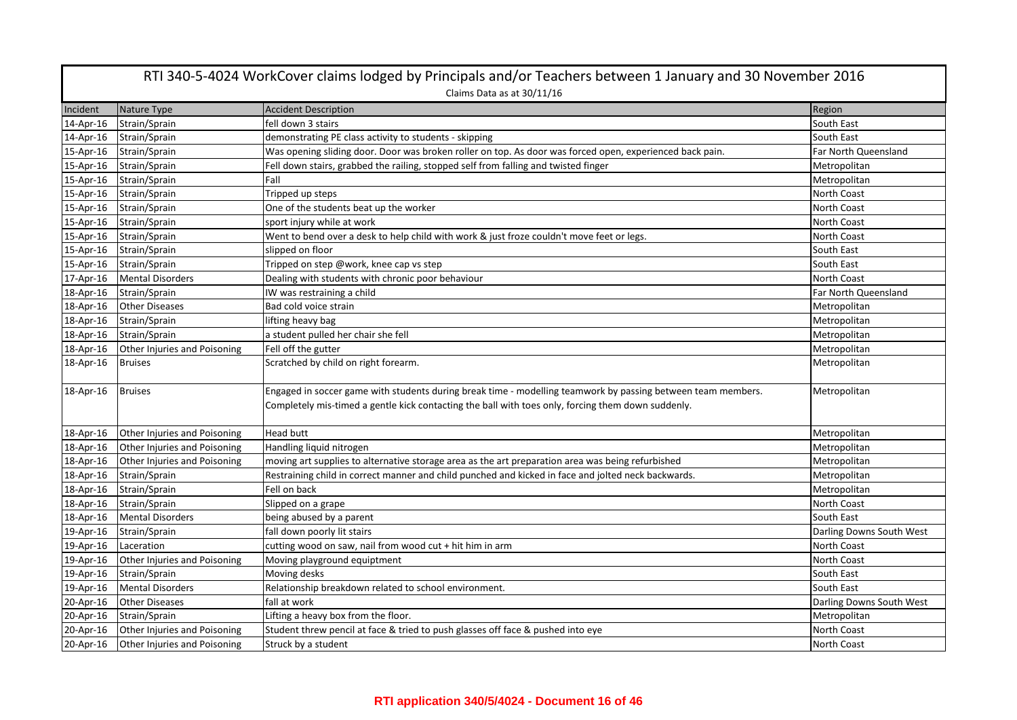|           | RTI 340-5-4024 WorkCover claims lodged by Principals and/or Teachers between 1 January and 30 November 2016 |                                                                                                                                                                                                                    |                          |  |
|-----------|-------------------------------------------------------------------------------------------------------------|--------------------------------------------------------------------------------------------------------------------------------------------------------------------------------------------------------------------|--------------------------|--|
|           | Claims Data as at 30/11/16                                                                                  |                                                                                                                                                                                                                    |                          |  |
| Incident  | Nature Type                                                                                                 | <b>Accident Description</b>                                                                                                                                                                                        | Region                   |  |
| 14-Apr-16 | Strain/Sprain                                                                                               | fell down 3 stairs                                                                                                                                                                                                 | South East               |  |
| 14-Apr-16 | Strain/Sprain                                                                                               | demonstrating PE class activity to students - skipping                                                                                                                                                             | South East               |  |
| 15-Apr-16 | Strain/Sprain                                                                                               | Was opening sliding door. Door was broken roller on top. As door was forced open, experienced back pain.                                                                                                           | Far North Queensland     |  |
| 15-Apr-16 | Strain/Sprain                                                                                               | Fell down stairs, grabbed the railing, stopped self from falling and twisted finger                                                                                                                                | Metropolitan             |  |
| 15-Apr-16 | Strain/Sprain                                                                                               | Fall                                                                                                                                                                                                               | Metropolitan             |  |
| 15-Apr-16 | Strain/Sprain                                                                                               | Tripped up steps                                                                                                                                                                                                   | North Coast              |  |
| 15-Apr-16 | Strain/Sprain                                                                                               | One of the students beat up the worker                                                                                                                                                                             | North Coast              |  |
| 15-Apr-16 | Strain/Sprain                                                                                               | sport injury while at work                                                                                                                                                                                         | North Coast              |  |
| 15-Apr-16 | Strain/Sprain                                                                                               | Went to bend over a desk to help child with work & just froze couldn't move feet or legs.                                                                                                                          | North Coast              |  |
| 15-Apr-16 | Strain/Sprain                                                                                               | slipped on floor                                                                                                                                                                                                   | South East               |  |
| 15-Apr-16 | Strain/Sprain                                                                                               | Tripped on step @work, knee cap vs step                                                                                                                                                                            | South East               |  |
| 17-Apr-16 | <b>Mental Disorders</b>                                                                                     | Dealing with students with chronic poor behaviour                                                                                                                                                                  | North Coast              |  |
| 18-Apr-16 | Strain/Sprain                                                                                               | IW was restraining a child                                                                                                                                                                                         | Far North Queensland     |  |
| 18-Apr-16 | <b>Other Diseases</b>                                                                                       | Bad cold voice strain                                                                                                                                                                                              | Metropolitan             |  |
| 18-Apr-16 | Strain/Sprain                                                                                               | lifting heavy bag                                                                                                                                                                                                  | Metropolitan             |  |
| 18-Apr-16 | Strain/Sprain                                                                                               | a student pulled her chair she fell                                                                                                                                                                                | Metropolitan             |  |
| 18-Apr-16 | Other Injuries and Poisoning                                                                                | Fell off the gutter                                                                                                                                                                                                | Metropolitan             |  |
| 18-Apr-16 | <b>Bruises</b>                                                                                              | Scratched by child on right forearm.                                                                                                                                                                               | Metropolitan             |  |
| 18-Apr-16 | <b>Bruises</b>                                                                                              | Engaged in soccer game with students during break time - modelling teamwork by passing between team members.<br>Completely mis-timed a gentle kick contacting the ball with toes only, forcing them down suddenly. | Metropolitan             |  |
| 18-Apr-16 | Other Injuries and Poisoning                                                                                | <b>Head butt</b>                                                                                                                                                                                                   | Metropolitan             |  |
| 18-Apr-16 | Other Injuries and Poisoning                                                                                | Handling liquid nitrogen                                                                                                                                                                                           | Metropolitan             |  |
| 18-Apr-16 | Other Injuries and Poisoning                                                                                | moving art supplies to alternative storage area as the art preparation area was being refurbished                                                                                                                  | Metropolitan             |  |
| 18-Apr-16 | Strain/Sprain                                                                                               | Restraining child in correct manner and child punched and kicked in face and jolted neck backwards.                                                                                                                | Metropolitan             |  |
| 18-Apr-16 | Strain/Sprain                                                                                               | Fell on back                                                                                                                                                                                                       | Metropolitan             |  |
| 18-Apr-16 | Strain/Sprain                                                                                               | Slipped on a grape                                                                                                                                                                                                 | <b>North Coast</b>       |  |
| 18-Apr-16 | <b>Mental Disorders</b>                                                                                     | being abused by a parent                                                                                                                                                                                           | South East               |  |
| 19-Apr-16 | Strain/Sprain                                                                                               | fall down poorly lit stairs                                                                                                                                                                                        | Darling Downs South West |  |
| 19-Apr-16 | Laceration                                                                                                  | cutting wood on saw, nail from wood cut + hit him in arm                                                                                                                                                           | North Coast              |  |
| 19-Apr-16 | Other Injuries and Poisoning                                                                                | Moving playground equiptment                                                                                                                                                                                       | <b>North Coast</b>       |  |
| 19-Apr-16 | Strain/Sprain                                                                                               | Moving desks                                                                                                                                                                                                       | South East               |  |
| 19-Apr-16 | <b>Mental Disorders</b>                                                                                     | Relationship breakdown related to school environment.                                                                                                                                                              | South East               |  |
| 20-Apr-16 | <b>Other Diseases</b>                                                                                       | fall at work                                                                                                                                                                                                       | Darling Downs South West |  |
| 20-Apr-16 | Strain/Sprain                                                                                               | Lifting a heavy box from the floor.                                                                                                                                                                                | Metropolitan             |  |
| 20-Apr-16 | Other Injuries and Poisoning                                                                                | Student threw pencil at face & tried to push glasses off face & pushed into eye                                                                                                                                    | North Coast              |  |
| 20-Apr-16 | Other Injuries and Poisoning                                                                                | Struck by a student                                                                                                                                                                                                | <b>North Coast</b>       |  |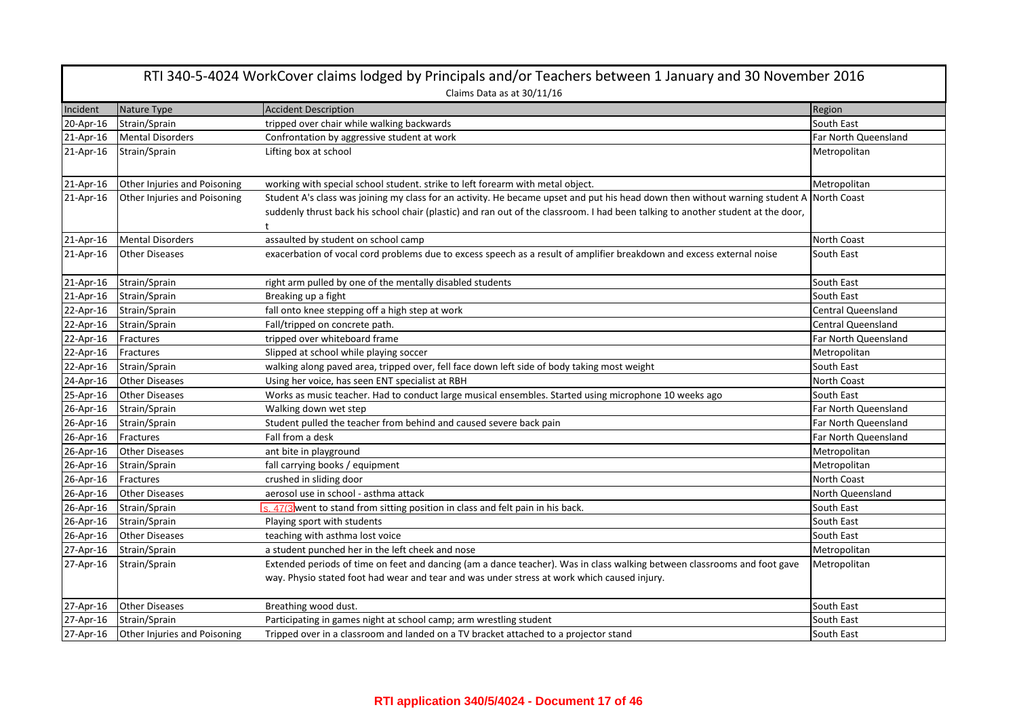| RTI 340-5-4024 WorkCover claims lodged by Principals and/or Teachers between 1 January and 30 November 2016<br>Claims Data as at 30/11/16 |                              |                                                                                                                                                                                                                                                                  |                           |
|-------------------------------------------------------------------------------------------------------------------------------------------|------------------------------|------------------------------------------------------------------------------------------------------------------------------------------------------------------------------------------------------------------------------------------------------------------|---------------------------|
| Incident                                                                                                                                  | Nature Type                  | <b>Accident Description</b>                                                                                                                                                                                                                                      | Region                    |
| 20-Apr-16                                                                                                                                 | Strain/Sprain                | tripped over chair while walking backwards                                                                                                                                                                                                                       | South East                |
| 21-Apr-16                                                                                                                                 | <b>Mental Disorders</b>      | Confrontation by aggressive student at work                                                                                                                                                                                                                      | Far North Queensland      |
| 21-Apr-16                                                                                                                                 | Strain/Sprain                | Lifting box at school                                                                                                                                                                                                                                            | Metropolitan              |
| 21-Apr-16                                                                                                                                 | Other Injuries and Poisoning | working with special school student. strike to left forearm with metal object.                                                                                                                                                                                   | Metropolitan              |
| 21-Apr-16                                                                                                                                 | Other Injuries and Poisoning | Student A's class was joining my class for an activity. He became upset and put his head down then without warning student A<br>suddenly thrust back his school chair (plastic) and ran out of the classroom. I had been talking to another student at the door, | <b>North Coast</b>        |
| 21-Apr-16                                                                                                                                 | <b>Mental Disorders</b>      | assaulted by student on school camp                                                                                                                                                                                                                              | North Coast               |
| 21-Apr-16                                                                                                                                 | <b>Other Diseases</b>        | exacerbation of vocal cord problems due to excess speech as a result of amplifier breakdown and excess external noise                                                                                                                                            | South East                |
| 21-Apr-16                                                                                                                                 | Strain/Sprain                | right arm pulled by one of the mentally disabled students                                                                                                                                                                                                        | South East                |
| 21-Apr-16                                                                                                                                 | Strain/Sprain                | Breaking up a fight                                                                                                                                                                                                                                              | South East                |
| 22-Apr-16                                                                                                                                 | Strain/Sprain                | fall onto knee stepping off a high step at work                                                                                                                                                                                                                  | Central Queensland        |
| 22-Apr-16                                                                                                                                 | Strain/Sprain                | Fall/tripped on concrete path.                                                                                                                                                                                                                                   | <b>Central Queensland</b> |
| 22-Apr-16                                                                                                                                 | Fractures                    | tripped over whiteboard frame                                                                                                                                                                                                                                    | Far North Queensland      |
| 22-Apr-16                                                                                                                                 | Fractures                    | Slipped at school while playing soccer                                                                                                                                                                                                                           | Metropolitan              |
| 22-Apr-16                                                                                                                                 | Strain/Sprain                | walking along paved area, tripped over, fell face down left side of body taking most weight                                                                                                                                                                      | South East                |
| 24-Apr-16                                                                                                                                 | <b>Other Diseases</b>        | Using her voice, has seen ENT specialist at RBH                                                                                                                                                                                                                  | North Coast               |
| 25-Apr-16                                                                                                                                 | <b>Other Diseases</b>        | Works as music teacher. Had to conduct large musical ensembles. Started using microphone 10 weeks ago                                                                                                                                                            | South East                |
| 26-Apr-16                                                                                                                                 | Strain/Sprain                | Walking down wet step                                                                                                                                                                                                                                            | Far North Queensland      |
| 26-Apr-16                                                                                                                                 | Strain/Sprain                | Student pulled the teacher from behind and caused severe back pain                                                                                                                                                                                               | Far North Queensland      |
| 26-Apr-16                                                                                                                                 | Fractures                    | Fall from a desk                                                                                                                                                                                                                                                 | Far North Queensland      |
| 26-Apr-16                                                                                                                                 | <b>Other Diseases</b>        | ant bite in playground                                                                                                                                                                                                                                           | Metropolitan              |
| 26-Apr-16                                                                                                                                 | Strain/Sprain                | fall carrying books / equipment                                                                                                                                                                                                                                  | Metropolitan              |
| 26-Apr-16                                                                                                                                 | Fractures                    | crushed in sliding door                                                                                                                                                                                                                                          | North Coast               |
| 26-Apr-16                                                                                                                                 | <b>Other Diseases</b>        | aerosol use in school - asthma attack                                                                                                                                                                                                                            | North Queensland          |
| 26-Apr-16                                                                                                                                 | Strain/Sprain                | s. 47(3 went to stand from sitting position in class and felt pain in his back.                                                                                                                                                                                  | South East                |
| 26-Apr-16                                                                                                                                 | Strain/Sprain                | Playing sport with students                                                                                                                                                                                                                                      | South East                |
| 26-Apr-16                                                                                                                                 | <b>Other Diseases</b>        | teaching with asthma lost voice                                                                                                                                                                                                                                  | South East                |
| 27-Apr-16                                                                                                                                 | Strain/Sprain                | a student punched her in the left cheek and nose                                                                                                                                                                                                                 | Metropolitan              |
| 27-Apr-16                                                                                                                                 | Strain/Sprain                | Extended periods of time on feet and dancing (am a dance teacher). Was in class walking between classrooms and foot gave<br>way. Physio stated foot had wear and tear and was under stress at work which caused injury.                                          | Metropolitan              |
| 27-Apr-16                                                                                                                                 | <b>Other Diseases</b>        | Breathing wood dust.                                                                                                                                                                                                                                             | South East                |
| 27-Apr-16                                                                                                                                 | Strain/Sprain                | Participating in games night at school camp; arm wrestling student                                                                                                                                                                                               | South East                |
| 27-Apr-16                                                                                                                                 | Other Injuries and Poisoning | Tripped over in a classroom and landed on a TV bracket attached to a projector stand                                                                                                                                                                             | South East                |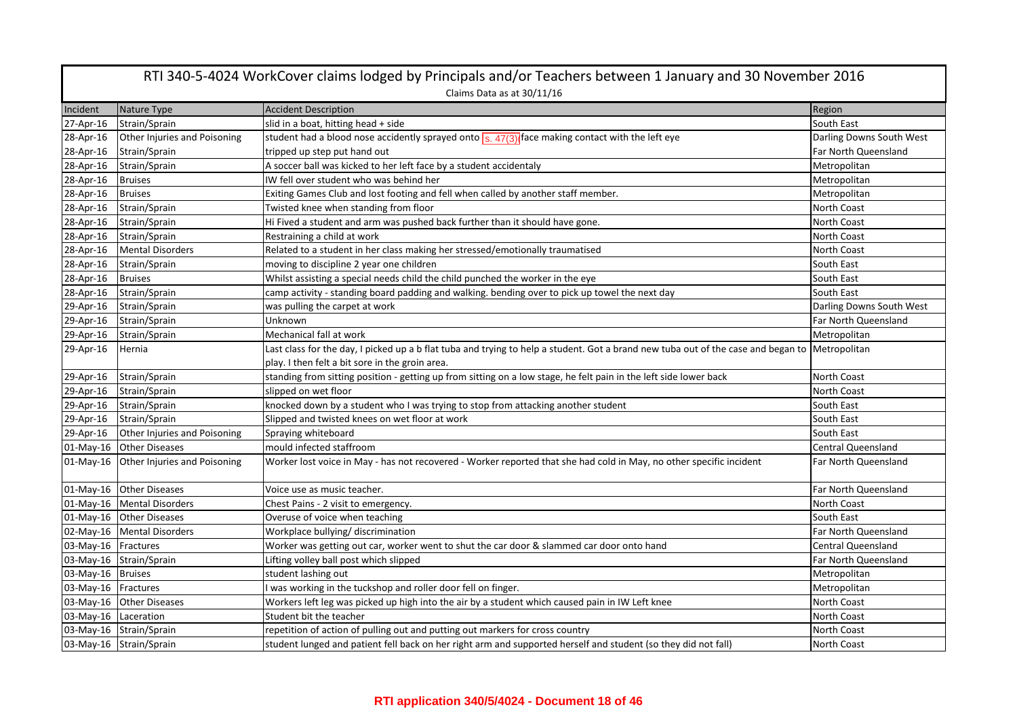| RTI 340-5-4024 WorkCover claims lodged by Principals and/or Teachers between 1 January and 30 November 2016 |                                                        |                                                                                                                                                 |                                    |
|-------------------------------------------------------------------------------------------------------------|--------------------------------------------------------|-------------------------------------------------------------------------------------------------------------------------------------------------|------------------------------------|
|                                                                                                             |                                                        | Claims Data as at 30/11/16                                                                                                                      |                                    |
| Incident                                                                                                    | Nature Type                                            | <b>Accident Description</b>                                                                                                                     | Region                             |
| 27-Apr-16                                                                                                   | Strain/Sprain                                          | slid in a boat, hitting head + side                                                                                                             | South East                         |
| 28-Apr-16                                                                                                   | Other Injuries and Poisoning                           | student had a blood nose accidently sprayed onto $s$ . $47(3)$ face making contact with the left eye                                            | Darling Downs South West           |
| 28-Apr-16                                                                                                   | Strain/Sprain                                          | tripped up step put hand out                                                                                                                    | Far North Queensland               |
| 28-Apr-16                                                                                                   | Strain/Sprain                                          | A soccer ball was kicked to her left face by a student accidentaly                                                                              | Metropolitan                       |
| 28-Apr-16                                                                                                   | <b>Bruises</b>                                         | IW fell over student who was behind her                                                                                                         | Metropolitan                       |
| 28-Apr-16                                                                                                   | <b>Bruises</b>                                         | Exiting Games Club and lost footing and fell when called by another staff member.                                                               | Metropolitan                       |
| 28-Apr-16                                                                                                   | Strain/Sprain                                          | Twisted knee when standing from floor                                                                                                           | North Coast                        |
| 28-Apr-16                                                                                                   | Strain/Sprain                                          | Hi Fived a student and arm was pushed back further than it should have gone.                                                                    | North Coast                        |
| 28-Apr-16                                                                                                   | Strain/Sprain                                          | Restraining a child at work                                                                                                                     | North Coast                        |
| 28-Apr-16                                                                                                   | <b>Mental Disorders</b>                                | Related to a student in her class making her stressed/emotionally traumatised                                                                   | North Coast                        |
| 28-Apr-16                                                                                                   | Strain/Sprain                                          | moving to discipline 2 year one children                                                                                                        | South East                         |
| 28-Apr-16                                                                                                   | <b>Bruises</b>                                         | Whilst assisting a special needs child the child punched the worker in the eye                                                                  | South East                         |
| 28-Apr-16                                                                                                   | Strain/Sprain                                          | camp activity - standing board padding and walking. bending over to pick up towel the next day                                                  | South East                         |
| 29-Apr-16                                                                                                   | Strain/Sprain                                          | was pulling the carpet at work                                                                                                                  | Darling Downs South West           |
| 29-Apr-16                                                                                                   | Strain/Sprain                                          | Unknown                                                                                                                                         | Far North Queensland               |
| 29-Apr-16                                                                                                   | Strain/Sprain                                          | Mechanical fall at work                                                                                                                         | Metropolitan                       |
| 29-Apr-16                                                                                                   | Hernia                                                 | Last class for the day, I picked up a b flat tuba and trying to help a student. Got a brand new tuba out of the case and began to  Metropolitan |                                    |
|                                                                                                             |                                                        | play. I then felt a bit sore in the groin area.                                                                                                 |                                    |
| 29-Apr-16                                                                                                   | Strain/Sprain                                          | standing from sitting position - getting up from sitting on a low stage, he felt pain in the left side lower back                               | North Coast                        |
| 29-Apr-16                                                                                                   | Strain/Sprain                                          | slipped on wet floor                                                                                                                            | North Coast                        |
| 29-Apr-16                                                                                                   | Strain/Sprain                                          | knocked down by a student who I was trying to stop from attacking another student                                                               | South East                         |
| 29-Apr-16                                                                                                   | Strain/Sprain                                          | Slipped and twisted knees on wet floor at work                                                                                                  | South East                         |
| 29-Apr-16                                                                                                   | Other Injuries and Poisoning                           | Spraying whiteboard                                                                                                                             | South East                         |
| 01-May-16                                                                                                   | <b>Other Diseases</b>                                  | mould infected staffroom                                                                                                                        | <b>Central Queensland</b>          |
| 01-May-16                                                                                                   | Other Injuries and Poisoning                           | Worker lost voice in May - has not recovered - Worker reported that she had cold in May, no other specific incident                             | Far North Queensland               |
|                                                                                                             |                                                        |                                                                                                                                                 | Far North Queensland               |
|                                                                                                             | 01-May-16 Other Diseases<br>01-May-16 Mental Disorders | Voice use as music teacher.                                                                                                                     |                                    |
|                                                                                                             |                                                        | Chest Pains - 2 visit to emergency.                                                                                                             | North Coast                        |
|                                                                                                             | 01-May-16 Other Diseases                               | Overuse of voice when teaching                                                                                                                  | South East<br>Far North Queensland |
|                                                                                                             | 02-May-16 Mental Disorders                             | Workplace bullying/ discrimination                                                                                                              |                                    |
| 03-May-16 Fractures                                                                                         |                                                        | Worker was getting out car, worker went to shut the car door & slammed car door onto hand                                                       | <b>Central Queensland</b>          |
|                                                                                                             | 03-May-16 Strain/Sprain                                | Lifting volley ball post which slipped                                                                                                          | Far North Queensland               |
| 03-May-16 Bruises                                                                                           |                                                        | student lashing out                                                                                                                             | Metropolitan                       |
| 03-May-16 Fractures                                                                                         |                                                        | I was working in the tuckshop and roller door fell on finger.                                                                                   | Metropolitan                       |
|                                                                                                             | 03-May-16 Other Diseases                               | Workers left leg was picked up high into the air by a student which caused pain in IW Left knee                                                 | North Coast                        |
| 03-May-16 Laceration                                                                                        |                                                        | Student bit the teacher                                                                                                                         | North Coast                        |
|                                                                                                             | 03-May-16 Strain/Sprain                                | repetition of action of pulling out and putting out markers for cross country                                                                   | North Coast                        |
|                                                                                                             | 03-May-16 Strain/Sprain                                | student lunged and patient fell back on her right arm and supported herself and student (so they did not fall)                                  | North Coast                        |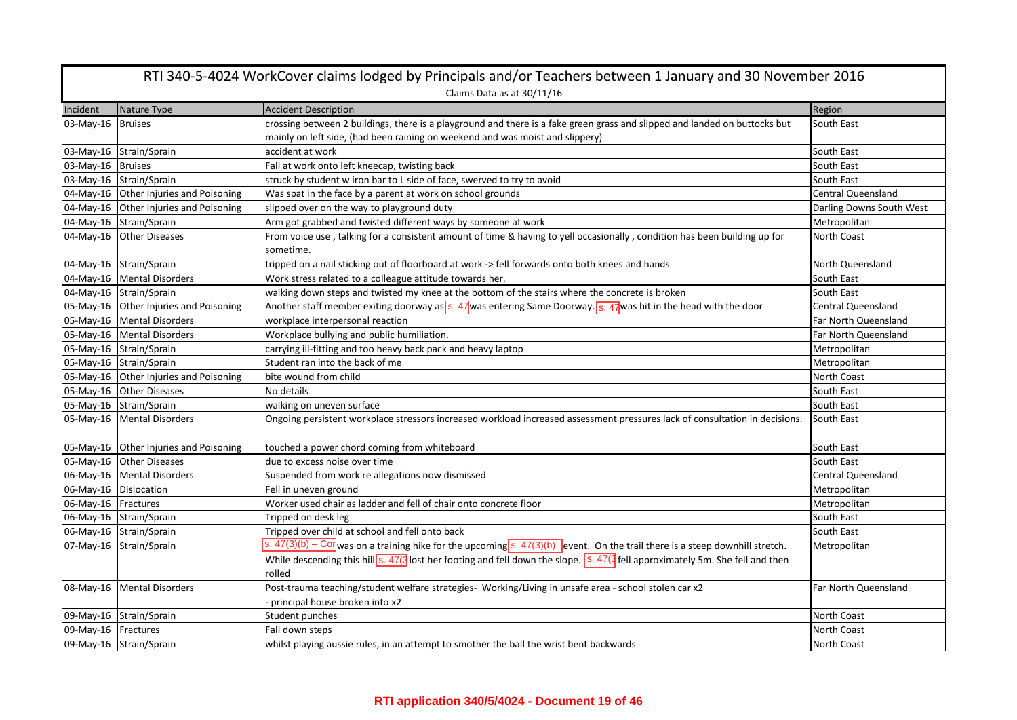|                       | RTI 340-5-4024 WorkCover claims lodged by Principals and/or Teachers between 1 January and 30 November 2016 |                                                                                                                                                                          |                           |  |
|-----------------------|-------------------------------------------------------------------------------------------------------------|--------------------------------------------------------------------------------------------------------------------------------------------------------------------------|---------------------------|--|
|                       | Claims Data as at 30/11/16                                                                                  |                                                                                                                                                                          |                           |  |
| Incident              | Nature Type                                                                                                 | <b>Accident Description</b>                                                                                                                                              | Region                    |  |
| 03-May-16             | <b>Bruises</b>                                                                                              | crossing between 2 buildings, there is a playground and there is a fake green grass and slipped and landed on buttocks but                                               | South East                |  |
|                       |                                                                                                             | mainly on left side, (had been raining on weekend and was moist and slippery)                                                                                            |                           |  |
|                       | 03-May-16 Strain/Sprain                                                                                     | accident at work                                                                                                                                                         | South East                |  |
| 03-May-16 Bruises     |                                                                                                             | Fall at work onto left kneecap, twisting back                                                                                                                            | South East                |  |
|                       | 03-May-16 Strain/Sprain                                                                                     | struck by student w iron bar to L side of face, swerved to try to avoid                                                                                                  | South East                |  |
|                       | 04-May-16 Other Injuries and Poisoning                                                                      | Was spat in the face by a parent at work on school grounds                                                                                                               | <b>Central Queensland</b> |  |
|                       | 04-May-16 Other Injuries and Poisoning                                                                      | slipped over on the way to playground duty                                                                                                                               | Darling Downs South West  |  |
|                       | 04-May-16 Strain/Sprain                                                                                     | Arm got grabbed and twisted different ways by someone at work                                                                                                            | Metropolitan              |  |
|                       | 04-May-16 Other Diseases                                                                                    | From voice use, talking for a consistent amount of time & having to yell occasionally, condition has been building up for                                                | <b>North Coast</b>        |  |
|                       |                                                                                                             | sometime.                                                                                                                                                                |                           |  |
|                       | 04-May-16 Strain/Sprain                                                                                     | tripped on a nail sticking out of floorboard at work -> fell forwards onto both knees and hands                                                                          | North Queensland          |  |
|                       | 04-May-16   Mental Disorders                                                                                | Work stress related to a colleague attitude towards her.                                                                                                                 | South East                |  |
|                       | 04-May-16 Strain/Sprain                                                                                     | walking down steps and twisted my knee at the bottom of the stairs where the concrete is broken                                                                          | South East                |  |
|                       | 05-May-16 Other Injuries and Poisoning                                                                      | Another staff member exiting doorway as s. 47 was entering Same Doorway. S. 47 was hit in the head with the door                                                         | <b>Central Queensland</b> |  |
|                       | 05-May-16 Mental Disorders                                                                                  | workplace interpersonal reaction                                                                                                                                         | Far North Queensland      |  |
|                       | 05-May-16 Mental Disorders                                                                                  | Workplace bullying and public humiliation.                                                                                                                               | Far North Queensland      |  |
|                       | 05-May-16 Strain/Sprain                                                                                     | carrying ill-fitting and too heavy back pack and heavy laptop                                                                                                            | Metropolitan              |  |
|                       | 05-May-16 Strain/Sprain                                                                                     | Student ran into the back of me                                                                                                                                          | Metropolitan              |  |
|                       | 05-May-16 Other Injuries and Poisoning                                                                      | bite wound from child                                                                                                                                                    | North Coast               |  |
|                       | 05-May-16 Other Diseases                                                                                    | No details                                                                                                                                                               | South East                |  |
|                       | 05-May-16 Strain/Sprain                                                                                     | walking on uneven surface                                                                                                                                                | South East                |  |
|                       | 05-May-16 Mental Disorders                                                                                  | Ongoing persistent workplace stressors increased workload increased assessment pressures lack of consultation in decisions.                                              | South East                |  |
|                       | 05-May-16 Other Injuries and Poisoning                                                                      | touched a power chord coming from whiteboard                                                                                                                             | South East                |  |
|                       | 05-May-16 Other Diseases                                                                                    | due to excess noise over time                                                                                                                                            | South East                |  |
|                       | 06-May-16 Mental Disorders                                                                                  | Suspended from work re allegations now dismissed                                                                                                                         | <b>Central Queensland</b> |  |
| 06-May-16 Dislocation |                                                                                                             | Fell in uneven ground                                                                                                                                                    | Metropolitan              |  |
| 06-May-16 Fractures   |                                                                                                             | Worker used chair as ladder and fell of chair onto concrete floor                                                                                                        | Metropolitan              |  |
|                       | 06-May-16 Strain/Sprain                                                                                     | Tripped on desk leg                                                                                                                                                      | South East                |  |
|                       | 06-May-16 Strain/Sprain                                                                                     | Tripped over child at school and fell onto back                                                                                                                          | South East                |  |
|                       | 07-May-16 Strain/Sprain                                                                                     | s. $47(3)(b)$ – Corwas on a training hike for the upcoming s. $47(3)(b)$ -event. On the trail there is a steep downhill stretch.                                         | Metropolitan              |  |
|                       |                                                                                                             | While descending this hill $s$ . 47( $\frac{1}{3}$ lost her footing and fell down the slope. $\overline{s}$ . 47( $\frac{1}{3}$ fell approximately 5m. She fell and then |                           |  |
|                       |                                                                                                             | rolled                                                                                                                                                                   |                           |  |
|                       | 08-May-16 Mental Disorders                                                                                  | Post-trauma teaching/student welfare strategies- Working/Living in unsafe area - school stolen car x2                                                                    | Far North Queensland      |  |
|                       |                                                                                                             | - principal house broken into x2                                                                                                                                         |                           |  |
|                       | 09-May-16 Strain/Sprain                                                                                     | Student punches                                                                                                                                                          | North Coast               |  |
| 09-May-16 Fractures   |                                                                                                             | Fall down steps                                                                                                                                                          | North Coast               |  |
|                       | 09-May-16 Strain/Sprain                                                                                     | whilst playing aussie rules, in an attempt to smother the ball the wrist bent backwards                                                                                  | North Coast               |  |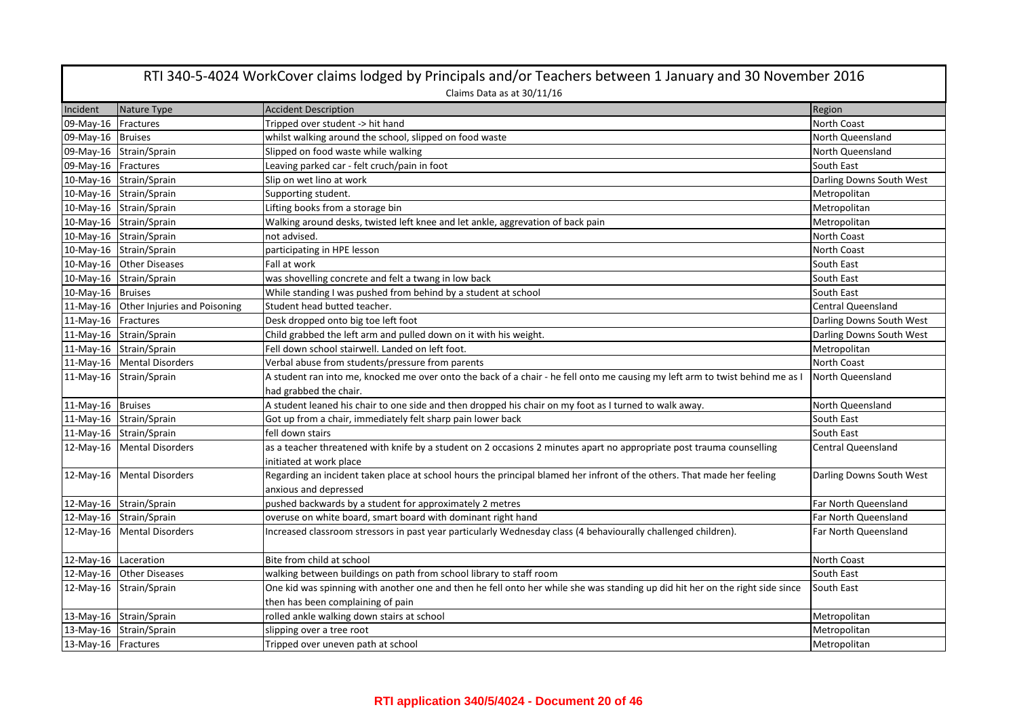| RTI 340-5-4024 WorkCover claims lodged by Principals and/or Teachers between 1 January and 30 November 2016 |                                        |                                                                                                                               |                           |
|-------------------------------------------------------------------------------------------------------------|----------------------------------------|-------------------------------------------------------------------------------------------------------------------------------|---------------------------|
|                                                                                                             |                                        | Claims Data as at 30/11/16                                                                                                    |                           |
| Incident                                                                                                    | Nature Type                            | <b>Accident Description</b>                                                                                                   | Region                    |
| 09-May-16 Fractures                                                                                         |                                        | Tripped over student -> hit hand                                                                                              | <b>North Coast</b>        |
| 09-May-16 Bruises                                                                                           |                                        | whilst walking around the school, slipped on food waste                                                                       | North Queensland          |
|                                                                                                             | 09-May-16 Strain/Sprain                | Slipped on food waste while walking                                                                                           | North Queensland          |
| 09-May-16 Fractures                                                                                         |                                        | Leaving parked car - felt cruch/pain in foot                                                                                  | South East                |
|                                                                                                             | 10-May-16 Strain/Sprain                | Slip on wet lino at work                                                                                                      | Darling Downs South West  |
|                                                                                                             | 10-May-16 Strain/Sprain                | Supporting student.                                                                                                           | Metropolitan              |
|                                                                                                             | 10-May-16 Strain/Sprain                | Lifting books from a storage bin                                                                                              | Metropolitan              |
|                                                                                                             | 10-May-16 Strain/Sprain                | Walking around desks, twisted left knee and let ankle, aggrevation of back pain                                               | Metropolitan              |
|                                                                                                             | 10-May-16 Strain/Sprain                | not advised.                                                                                                                  | North Coast               |
|                                                                                                             | 10-May-16 Strain/Sprain                | participating in HPE lesson                                                                                                   | North Coast               |
|                                                                                                             | 10-May-16 Other Diseases               | Fall at work                                                                                                                  | South East                |
|                                                                                                             | 10-May-16 Strain/Sprain                | was shovelling concrete and felt a twang in low back                                                                          | South East                |
| 10-May-16 Bruises                                                                                           |                                        | While standing I was pushed from behind by a student at school                                                                | South East                |
|                                                                                                             | 11-May-16 Other Injuries and Poisoning | Student head butted teacher.                                                                                                  | <b>Central Queensland</b> |
| 11-May-16 Fractures                                                                                         |                                        | Desk dropped onto big toe left foot                                                                                           | Darling Downs South West  |
|                                                                                                             | 11-May-16 Strain/Sprain                | Child grabbed the left arm and pulled down on it with his weight.                                                             | Darling Downs South West  |
|                                                                                                             | 11-May-16 Strain/Sprain                | Fell down school stairwell. Landed on left foot.                                                                              | Metropolitan              |
|                                                                                                             | 11-May-16 Mental Disorders             | Verbal abuse from students/pressure from parents                                                                              | North Coast               |
|                                                                                                             | 11-May-16 Strain/Sprain                | A student ran into me, knocked me over onto the back of a chair - he fell onto me causing my left arm to twist behind me as I | North Queensland          |
|                                                                                                             |                                        | had grabbed the chair.                                                                                                        |                           |
| 11-May-16 Bruises                                                                                           |                                        | A student leaned his chair to one side and then dropped his chair on my foot as I turned to walk away.                        | North Queensland          |
|                                                                                                             | 11-May-16 Strain/Sprain                | Got up from a chair, immediately felt sharp pain lower back                                                                   | South East                |
|                                                                                                             | 11-May-16 Strain/Sprain                | fell down stairs                                                                                                              | South East                |
|                                                                                                             | 12-May-16 Mental Disorders             | as a teacher threatened with knife by a student on 2 occasions 2 minutes apart no appropriate post trauma counselling         | <b>Central Queensland</b> |
|                                                                                                             |                                        | initiated at work place                                                                                                       |                           |
| 12-May-16                                                                                                   | <b>Mental Disorders</b>                | Regarding an incident taken place at school hours the principal blamed her infront of the others. That made her feeling       | Darling Downs South West  |
|                                                                                                             |                                        | anxious and depressed                                                                                                         |                           |
|                                                                                                             | 12-May-16 Strain/Sprain                | pushed backwards by a student for approximately 2 metres                                                                      | Far North Queensland      |
|                                                                                                             | 12-May-16 Strain/Sprain                | overuse on white board, smart board with dominant right hand                                                                  | Far North Queensland      |
|                                                                                                             | 12-May-16 Mental Disorders             | Increased classroom stressors in past year particularly Wednesday class (4 behaviourally challenged children).                | Far North Queensland      |
| 12-May-16 Laceration                                                                                        |                                        | Bite from child at school                                                                                                     | North Coast               |
|                                                                                                             | 12-May-16 Other Diseases               | walking between buildings on path from school library to staff room                                                           | South East                |
|                                                                                                             | 12-May-16 Strain/Sprain                | One kid was spinning with another one and then he fell onto her while she was standing up did hit her on the right side since | South East                |
|                                                                                                             |                                        | then has been complaining of pain                                                                                             |                           |
|                                                                                                             | 13-May-16 Strain/Sprain                | rolled ankle walking down stairs at school                                                                                    | Metropolitan              |
|                                                                                                             | 13-May-16 Strain/Sprain                | slipping over a tree root                                                                                                     | Metropolitan              |
| 13-May-16 Fractures                                                                                         |                                        | Tripped over uneven path at school                                                                                            | Metropolitan              |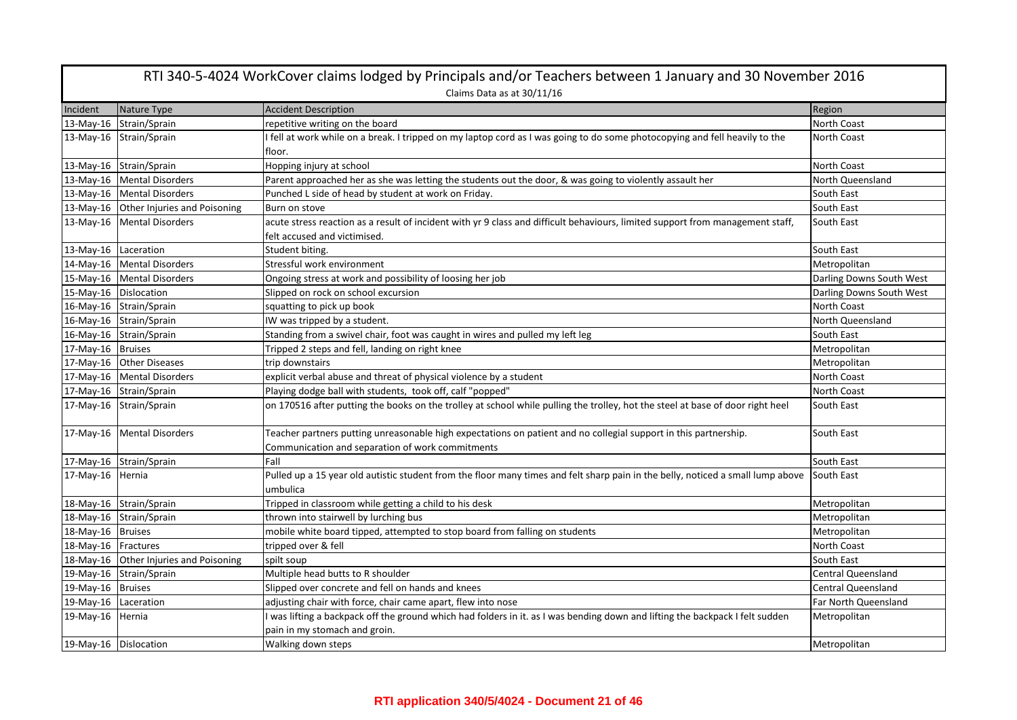|                       | RTI 340-5-4024 WorkCover claims lodged by Principals and/or Teachers between 1 January and 30 November 2016<br>Claims Data as at 30/11/16 |                                                                                                                                                                      |                           |  |
|-----------------------|-------------------------------------------------------------------------------------------------------------------------------------------|----------------------------------------------------------------------------------------------------------------------------------------------------------------------|---------------------------|--|
| Incident              | Nature Type                                                                                                                               | <b>Accident Description</b>                                                                                                                                          | Region                    |  |
|                       | 13-May-16 Strain/Sprain                                                                                                                   | repetitive writing on the board                                                                                                                                      | <b>North Coast</b>        |  |
|                       | 13-May-16 Strain/Sprain                                                                                                                   | I fell at work while on a break. I tripped on my laptop cord as I was going to do some photocopying and fell heavily to the<br>floor.                                | North Coast               |  |
|                       | 13-May-16 Strain/Sprain                                                                                                                   | Hopping injury at school                                                                                                                                             | North Coast               |  |
|                       | 13-May-16 Mental Disorders                                                                                                                | Parent approached her as she was letting the students out the door, & was going to violently assault her                                                             | North Queensland          |  |
|                       | 13-May-16 Mental Disorders                                                                                                                | Punched L side of head by student at work on Friday.                                                                                                                 | South East                |  |
|                       | 13-May-16 Other Injuries and Poisoning                                                                                                    | Burn on stove                                                                                                                                                        | South East                |  |
|                       | 13-May-16 Mental Disorders                                                                                                                | acute stress reaction as a result of incident with yr 9 class and difficult behaviours, limited support from management staff,<br>felt accused and victimised.       | South East                |  |
| 13-May-16 Laceration  |                                                                                                                                           | Student biting.                                                                                                                                                      | South East                |  |
|                       | 14-May-16 Mental Disorders                                                                                                                | Stressful work environment                                                                                                                                           | Metropolitan              |  |
|                       | 15-May-16 Mental Disorders                                                                                                                | Ongoing stress at work and possibility of loosing her job                                                                                                            | Darling Downs South West  |  |
|                       | 15-May-16 Dislocation                                                                                                                     | Slipped on rock on school excursion                                                                                                                                  | Darling Downs South West  |  |
|                       | 16-May-16 Strain/Sprain                                                                                                                   | squatting to pick up book                                                                                                                                            | North Coast               |  |
|                       | 16-May-16 Strain/Sprain                                                                                                                   | IW was tripped by a student.                                                                                                                                         | North Queensland          |  |
|                       | 16-May-16 Strain/Sprain                                                                                                                   | Standing from a swivel chair, foot was caught in wires and pulled my left leg                                                                                        | South East                |  |
| 17-May-16 Bruises     |                                                                                                                                           | Tripped 2 steps and fell, landing on right knee                                                                                                                      | Metropolitan              |  |
|                       | 17-May-16 Other Diseases                                                                                                                  | trip downstairs                                                                                                                                                      | Metropolitan              |  |
|                       | 17-May-16 Mental Disorders                                                                                                                | explicit verbal abuse and threat of physical violence by a student                                                                                                   | North Coast               |  |
|                       | 17-May-16 Strain/Sprain                                                                                                                   | Playing dodge ball with students, took off, calf "popped"                                                                                                            | North Coast               |  |
|                       | 17-May-16 Strain/Sprain                                                                                                                   | on 170516 after putting the books on the trolley at school while pulling the trolley, hot the steel at base of door right heel                                       | South East                |  |
|                       | 17-May-16 Mental Disorders                                                                                                                | Teacher partners putting unreasonable high expectations on patient and no collegial support in this partnership.<br>Communication and separation of work commitments | South East                |  |
|                       | 17-May-16 Strain/Sprain                                                                                                                   | Fall                                                                                                                                                                 | South East                |  |
| 17-May-16 Hernia      |                                                                                                                                           | Pulled up a 15 year old autistic student from the floor many times and felt sharp pain in the belly, noticed a small lump above<br>umbulica                          | South East                |  |
|                       | 18-May-16 Strain/Sprain                                                                                                                   | Tripped in classroom while getting a child to his desk                                                                                                               | Metropolitan              |  |
|                       | 18-May-16 Strain/Sprain                                                                                                                   | thrown into stairwell by lurching bus                                                                                                                                | Metropolitan              |  |
| 18-May-16 Bruises     |                                                                                                                                           | mobile white board tipped, attempted to stop board from falling on students                                                                                          | Metropolitan              |  |
| 18-May-16 Fractures   |                                                                                                                                           | tripped over & fell                                                                                                                                                  | North Coast               |  |
|                       | 18-May-16 Other Injuries and Poisoning                                                                                                    | spilt soup                                                                                                                                                           | South East                |  |
|                       | 19-May-16 Strain/Sprain                                                                                                                   | Multiple head butts to R shoulder                                                                                                                                    | Central Queensland        |  |
| 19-May-16 Bruises     |                                                                                                                                           | Slipped over concrete and fell on hands and knees                                                                                                                    | <b>Central Queensland</b> |  |
| 19-May-16 Laceration  |                                                                                                                                           | adjusting chair with force, chair came apart, flew into nose                                                                                                         | Far North Queensland      |  |
| 19-May-16             | Hernia                                                                                                                                    | I was lifting a backpack off the ground which had folders in it. as I was bending down and lifting the backpack I felt sudden<br>pain in my stomach and groin.       | Metropolitan              |  |
| 19-May-16 Dislocation |                                                                                                                                           | Walking down steps                                                                                                                                                   | Metropolitan              |  |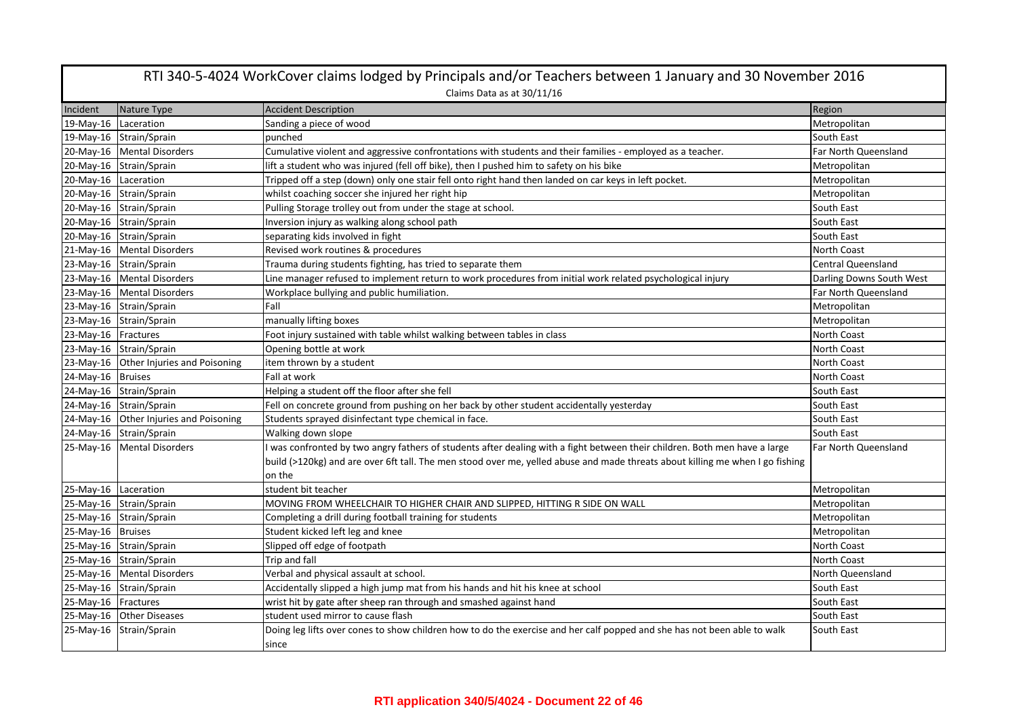|                      | RTI 340-5-4024 WorkCover claims lodged by Principals and/or Teachers between 1 January and 30 November 2016<br>Claims Data as at 30/11/16 |                                                                                                                                   |                          |  |
|----------------------|-------------------------------------------------------------------------------------------------------------------------------------------|-----------------------------------------------------------------------------------------------------------------------------------|--------------------------|--|
| Incident             | Nature Type                                                                                                                               | <b>Accident Description</b>                                                                                                       | Region                   |  |
| 19-May-16            | Laceration                                                                                                                                | Sanding a piece of wood                                                                                                           | Metropolitan             |  |
|                      | 19-May-16 Strain/Sprain                                                                                                                   | punched                                                                                                                           | South East               |  |
|                      | 20-May-16 Mental Disorders                                                                                                                | Cumulative violent and aggressive confrontations with students and their families - employed as a teacher.                        | Far North Queensland     |  |
|                      | 20-May-16 Strain/Sprain                                                                                                                   | lift a student who was injured (fell off bike), then I pushed him to safety on his bike                                           | Metropolitan             |  |
| 20-May-16 Laceration |                                                                                                                                           | Tripped off a step (down) only one stair fell onto right hand then landed on car keys in left pocket.                             | Metropolitan             |  |
|                      | 20-May-16 Strain/Sprain                                                                                                                   | whilst coaching soccer she injured her right hip                                                                                  | Metropolitan             |  |
|                      | 20-May-16 Strain/Sprain                                                                                                                   | Pulling Storage trolley out from under the stage at school.                                                                       | South East               |  |
|                      | 20-May-16 Strain/Sprain                                                                                                                   | Inversion injury as walking along school path                                                                                     | South East               |  |
|                      | 20-May-16 Strain/Sprain                                                                                                                   | separating kids involved in fight                                                                                                 | South East               |  |
|                      | 21-May-16 Mental Disorders                                                                                                                | Revised work routines & procedures                                                                                                | North Coast              |  |
|                      | 23-May-16 Strain/Sprain                                                                                                                   | Trauma during students fighting, has tried to separate them                                                                       | Central Queensland       |  |
|                      | 23-May-16 Mental Disorders                                                                                                                | Line manager refused to implement return to work procedures from initial work related psychological injury                        | Darling Downs South West |  |
|                      | 23-May-16   Mental Disorders                                                                                                              | Workplace bullying and public humiliation.                                                                                        | Far North Queensland     |  |
|                      | 23-May-16 Strain/Sprain                                                                                                                   | Fall                                                                                                                              | Metropolitan             |  |
|                      | 23-May-16 Strain/Sprain                                                                                                                   | manually lifting boxes                                                                                                            | Metropolitan             |  |
| 23-May-16 Fractures  |                                                                                                                                           | Foot injury sustained with table whilst walking between tables in class                                                           | North Coast              |  |
|                      | 23-May-16 Strain/Sprain                                                                                                                   | Opening bottle at work                                                                                                            | North Coast              |  |
|                      | 23-May-16 Other Injuries and Poisoning                                                                                                    | item thrown by a student                                                                                                          | <b>North Coast</b>       |  |
| 24-May-16 Bruises    |                                                                                                                                           | Fall at work                                                                                                                      | <b>North Coast</b>       |  |
|                      | 24-May-16 Strain/Sprain                                                                                                                   | Helping a student off the floor after she fell                                                                                    | South East               |  |
|                      | 24-May-16 Strain/Sprain                                                                                                                   | Fell on concrete ground from pushing on her back by other student accidentally yesterday                                          | South East               |  |
|                      | 24-May-16 Other Injuries and Poisoning                                                                                                    | Students sprayed disinfectant type chemical in face.                                                                              | South East               |  |
|                      | 24-May-16 Strain/Sprain                                                                                                                   | Walking down slope                                                                                                                | South East               |  |
|                      | 25-May-16 Mental Disorders                                                                                                                | I was confronted by two angry fathers of students after dealing with a fight between their children. Both men have a large        | Far North Queensland     |  |
|                      |                                                                                                                                           | build (>120kg) and are over 6ft tall. The men stood over me, yelled abuse and made threats about killing me when I go fishing     |                          |  |
|                      |                                                                                                                                           | on the                                                                                                                            |                          |  |
| 25-May-16 Laceration |                                                                                                                                           | student bit teacher                                                                                                               | Metropolitan             |  |
|                      | 25-May-16 Strain/Sprain                                                                                                                   | MOVING FROM WHEELCHAIR TO HIGHER CHAIR AND SLIPPED, HITTING R SIDE ON WALL                                                        | Metropolitan             |  |
|                      | 25-May-16 Strain/Sprain                                                                                                                   | Completing a drill during football training for students                                                                          | Metropolitan             |  |
| 25-May-16 Bruises    |                                                                                                                                           | Student kicked left leg and knee                                                                                                  | Metropolitan             |  |
|                      | 25-May-16 Strain/Sprain                                                                                                                   | Slipped off edge of footpath                                                                                                      | North Coast              |  |
|                      | 25-May-16 Strain/Sprain                                                                                                                   | Trip and fall                                                                                                                     | <b>North Coast</b>       |  |
|                      | 25-May-16 Mental Disorders                                                                                                                | Verbal and physical assault at school.                                                                                            | North Queensland         |  |
|                      | 25-May-16 Strain/Sprain                                                                                                                   | Accidentally slipped a high jump mat from his hands and hit his knee at school                                                    | South East               |  |
| 25-May-16 Fractures  |                                                                                                                                           | wrist hit by gate after sheep ran through and smashed against hand                                                                | South East               |  |
|                      | 25-May-16 Other Diseases                                                                                                                  | student used mirror to cause flash                                                                                                | South East               |  |
| 25-May-16            | Strain/Sprain                                                                                                                             | Doing leg lifts over cones to show children how to do the exercise and her calf popped and she has not been able to walk<br>since | South East               |  |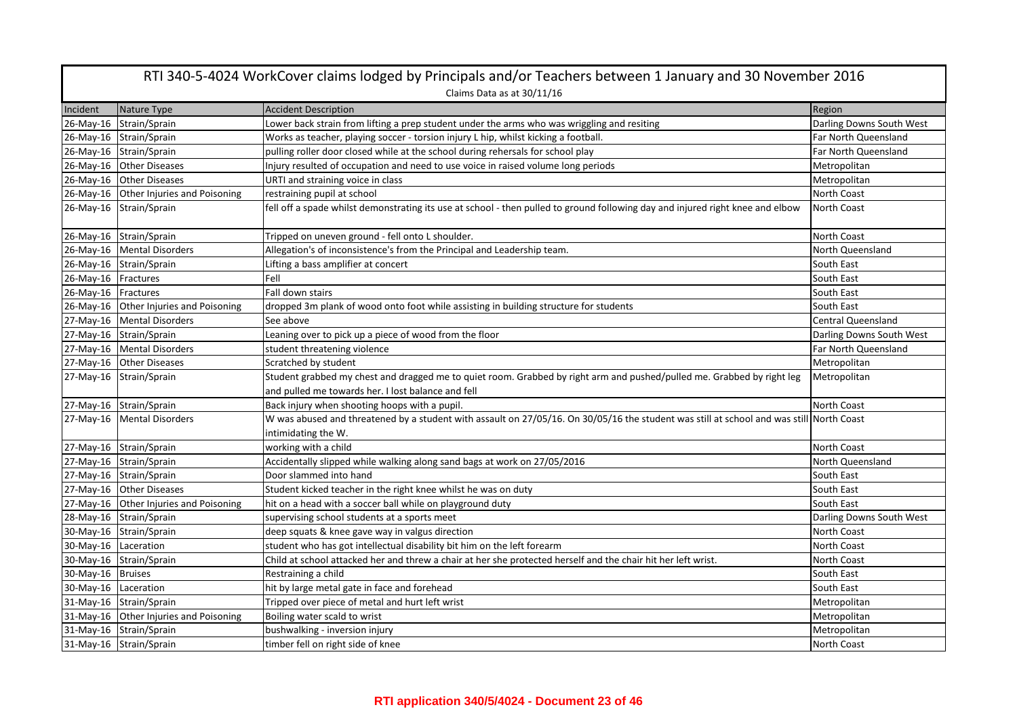| RTI 340-5-4024 WorkCover claims lodged by Principals and/or Teachers between 1 January and 30 November 2016 |                                        |                                                                                                                                          |                           |
|-------------------------------------------------------------------------------------------------------------|----------------------------------------|------------------------------------------------------------------------------------------------------------------------------------------|---------------------------|
|                                                                                                             |                                        | Claims Data as at 30/11/16                                                                                                               |                           |
| Incident                                                                                                    | Nature Type                            | <b>Accident Description</b>                                                                                                              | Region                    |
|                                                                                                             | 26-May-16 Strain/Sprain                | Lower back strain from lifting a prep student under the arms who was wriggling and resiting                                              | Darling Downs South West  |
|                                                                                                             | 26-May-16 Strain/Sprain                | Works as teacher, playing soccer - torsion injury L hip, whilst kicking a football.                                                      | Far North Queensland      |
|                                                                                                             | 26-May-16 Strain/Sprain                | pulling roller door closed while at the school during rehersals for school play                                                          | Far North Queensland      |
|                                                                                                             | 26-May-16 Other Diseases               | Injury resulted of occupation and need to use voice in raised volume long periods                                                        | Metropolitan              |
|                                                                                                             | 26-May-16 Other Diseases               | URTI and straining voice in class                                                                                                        | Metropolitan              |
|                                                                                                             | 26-May-16 Other Injuries and Poisoning | restraining pupil at school                                                                                                              | North Coast               |
|                                                                                                             | 26-May-16 Strain/Sprain                | fell off a spade whilst demonstrating its use at school - then pulled to ground following day and injured right knee and elbow           | North Coast               |
|                                                                                                             | 26-May-16 Strain/Sprain                | Tripped on uneven ground - fell onto L shoulder.                                                                                         | North Coast               |
|                                                                                                             | 26-May-16 Mental Disorders             | Allegation's of inconsistence's from the Principal and Leadership team.                                                                  | North Queensland          |
|                                                                                                             | 26-May-16 Strain/Sprain                | Lifting a bass amplifier at concert                                                                                                      | South East                |
| 26-May-16 Fractures                                                                                         |                                        | Fell                                                                                                                                     | South East                |
| 26-May-16 Fractures                                                                                         |                                        | Fall down stairs                                                                                                                         | South East                |
|                                                                                                             | 26-May-16 Other Injuries and Poisoning | dropped 3m plank of wood onto foot while assisting in building structure for students                                                    | South East                |
|                                                                                                             | 27-May-16 Mental Disorders             | See above                                                                                                                                | <b>Central Queensland</b> |
|                                                                                                             | 27-May-16 Strain/Sprain                | Leaning over to pick up a piece of wood from the floor                                                                                   | Darling Downs South West  |
|                                                                                                             | 27-May-16 Mental Disorders             | student threatening violence                                                                                                             | Far North Queensland      |
|                                                                                                             | 27-May-16 Other Diseases               | Scratched by student                                                                                                                     | Metropolitan              |
|                                                                                                             | 27-May-16 Strain/Sprain                | Student grabbed my chest and dragged me to quiet room. Grabbed by right arm and pushed/pulled me. Grabbed by right leg                   | Metropolitan              |
|                                                                                                             |                                        | and pulled me towards her. I lost balance and fell                                                                                       |                           |
|                                                                                                             | 27-May-16 Strain/Sprain                | Back injury when shooting hoops with a pupil.                                                                                            | North Coast               |
|                                                                                                             | 27-May-16 Mental Disorders             | W was abused and threatened by a student with assault on 27/05/16. On 30/05/16 the student was still at school and was still North Coast |                           |
|                                                                                                             |                                        | intimidating the W.                                                                                                                      |                           |
|                                                                                                             | 27-May-16 Strain/Sprain                | working with a child                                                                                                                     | North Coast               |
|                                                                                                             | 27-May-16 Strain/Sprain                | Accidentally slipped while walking along sand bags at work on 27/05/2016                                                                 | North Queensland          |
|                                                                                                             | 27-May-16 Strain/Sprain                | Door slammed into hand                                                                                                                   | South East                |
|                                                                                                             | 27-May-16 Other Diseases               | Student kicked teacher in the right knee whilst he was on duty                                                                           | South East                |
|                                                                                                             | 27-May-16 Other Injuries and Poisoning | hit on a head with a soccer ball while on playground duty                                                                                | South East                |
|                                                                                                             | 28-May-16 Strain/Sprain                | supervising school students at a sports meet                                                                                             | Darling Downs South West  |
|                                                                                                             | 30-May-16 Strain/Sprain                | deep squats & knee gave way in valgus direction                                                                                          | North Coast               |
| 30-May-16 Laceration                                                                                        |                                        | student who has got intellectual disability bit him on the left forearm                                                                  | North Coast               |
|                                                                                                             | 30-May-16 Strain/Sprain                | Child at school attacked her and threw a chair at her she protected herself and the chair hit her left wrist.                            | North Coast               |
| 30-May-16 Bruises                                                                                           |                                        | Restraining a child                                                                                                                      | South East                |
| 30-May-16 Laceration                                                                                        |                                        | hit by large metal gate in face and forehead                                                                                             | South East                |
|                                                                                                             | 31-May-16 Strain/Sprain                | Tripped over piece of metal and hurt left wrist                                                                                          | Metropolitan              |
|                                                                                                             | 31-May-16 Other Injuries and Poisoning | Boiling water scald to wrist                                                                                                             | Metropolitan              |
|                                                                                                             | 31-May-16 Strain/Sprain                | bushwalking - inversion injury                                                                                                           | Metropolitan              |
|                                                                                                             | 31-May-16 Strain/Sprain                | timber fell on right side of knee                                                                                                        | North Coast               |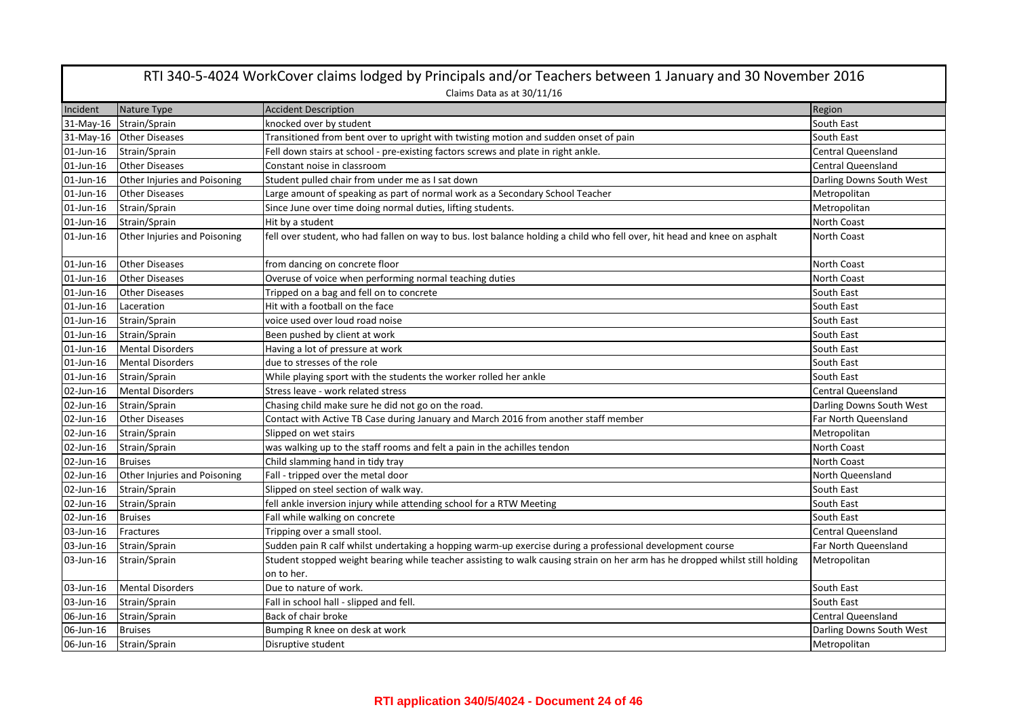| RTI 340-5-4024 WorkCover claims lodged by Principals and/or Teachers between 1 January and 30 November 2016 |                              |                                                                                                                              |                           |  |  |
|-------------------------------------------------------------------------------------------------------------|------------------------------|------------------------------------------------------------------------------------------------------------------------------|---------------------------|--|--|
|                                                                                                             | Claims Data as at 30/11/16   |                                                                                                                              |                           |  |  |
| Incident                                                                                                    | Nature Type                  | <b>Accident Description</b>                                                                                                  | Region                    |  |  |
| 31-May-16                                                                                                   | Strain/Sprain                | knocked over by student                                                                                                      | South East                |  |  |
|                                                                                                             | 31-May-16 Other Diseases     | Transitioned from bent over to upright with twisting motion and sudden onset of pain                                         | South East                |  |  |
| 01-Jun-16                                                                                                   | Strain/Sprain                | Fell down stairs at school - pre-existing factors screws and plate in right ankle.                                           | <b>Central Queensland</b> |  |  |
| $01$ -Jun- $16$                                                                                             | <b>Other Diseases</b>        | Constant noise in classroom                                                                                                  | <b>Central Queensland</b> |  |  |
| 01-Jun-16                                                                                                   | Other Injuries and Poisoning | Student pulled chair from under me as I sat down                                                                             | Darling Downs South West  |  |  |
| 01-Jun-16                                                                                                   | <b>Other Diseases</b>        | Large amount of speaking as part of normal work as a Secondary School Teacher                                                | Metropolitan              |  |  |
| 01-Jun-16                                                                                                   | Strain/Sprain                | Since June over time doing normal duties, lifting students.                                                                  | Metropolitan              |  |  |
| 01-Jun-16                                                                                                   | Strain/Sprain                | Hit by a student                                                                                                             | North Coast               |  |  |
| 01-Jun-16                                                                                                   | Other Injuries and Poisoning | fell over student, who had fallen on way to bus. lost balance holding a child who fell over, hit head and knee on asphalt    | <b>North Coast</b>        |  |  |
| 01-Jun-16                                                                                                   | <b>Other Diseases</b>        | from dancing on concrete floor                                                                                               | North Coast               |  |  |
| 01-Jun-16                                                                                                   | <b>Other Diseases</b>        | Overuse of voice when performing normal teaching duties                                                                      | North Coast               |  |  |
| 01-Jun-16                                                                                                   | <b>Other Diseases</b>        | Tripped on a bag and fell on to concrete                                                                                     | South East                |  |  |
| 01-Jun-16                                                                                                   | Laceration                   | Hit with a football on the face                                                                                              | South East                |  |  |
| 01-Jun-16                                                                                                   | Strain/Sprain                | voice used over loud road noise                                                                                              | South East                |  |  |
| 01-Jun-16                                                                                                   | Strain/Sprain                | Been pushed by client at work                                                                                                | South East                |  |  |
| 01-Jun-16                                                                                                   | Mental Disorders             | Having a lot of pressure at work                                                                                             | South East                |  |  |
| 01-Jun-16                                                                                                   | <b>Mental Disorders</b>      | due to stresses of the role                                                                                                  | South East                |  |  |
| 01-Jun-16                                                                                                   | Strain/Sprain                | While playing sport with the students the worker rolled her ankle                                                            | South East                |  |  |
| 02-Jun-16                                                                                                   | <b>Mental Disorders</b>      | Stress leave - work related stress                                                                                           | <b>Central Queensland</b> |  |  |
| 02-Jun-16                                                                                                   | Strain/Sprain                | Chasing child make sure he did not go on the road.                                                                           | Darling Downs South West  |  |  |
| 02-Jun-16                                                                                                   | <b>Other Diseases</b>        | Contact with Active TB Case during January and March 2016 from another staff member                                          | Far North Queensland      |  |  |
| 02-Jun-16                                                                                                   | Strain/Sprain                | Slipped on wet stairs                                                                                                        | Metropolitan              |  |  |
| 02-Jun-16                                                                                                   | Strain/Sprain                | was walking up to the staff rooms and felt a pain in the achilles tendon                                                     | North Coast               |  |  |
| 02-Jun-16                                                                                                   | <b>Bruises</b>               | Child slamming hand in tidy tray                                                                                             | North Coast               |  |  |
| 02-Jun-16                                                                                                   | Other Injuries and Poisoning | Fall - tripped over the metal door                                                                                           | North Queensland          |  |  |
| 02-Jun-16                                                                                                   | Strain/Sprain                | Slipped on steel section of walk way.                                                                                        | South East                |  |  |
| 02-Jun-16                                                                                                   | Strain/Sprain                | fell ankle inversion injury while attending school for a RTW Meeting                                                         | South East                |  |  |
| 02-Jun-16                                                                                                   | <b>Bruises</b>               | Fall while walking on concrete                                                                                               | South East                |  |  |
| 03-Jun-16                                                                                                   | Fractures                    | Tripping over a small stool.                                                                                                 | <b>Central Queensland</b> |  |  |
| 03-Jun-16                                                                                                   | Strain/Sprain                | Sudden pain R calf whilst undertaking a hopping warm-up exercise during a professional development course                    | Far North Queensland      |  |  |
| 03-Jun-16                                                                                                   | Strain/Sprain                | Student stopped weight bearing while teacher assisting to walk causing strain on her arm has he dropped whilst still holding | Metropolitan              |  |  |
|                                                                                                             |                              | on to her.                                                                                                                   |                           |  |  |
| 03-Jun-16                                                                                                   | <b>Mental Disorders</b>      | Due to nature of work.                                                                                                       | South East                |  |  |
| 03-Jun-16                                                                                                   | Strain/Sprain                | Fall in school hall - slipped and fell.                                                                                      | South East                |  |  |
| 06-Jun-16                                                                                                   | Strain/Sprain                | Back of chair broke                                                                                                          | <b>Central Queensland</b> |  |  |
| 06-Jun-16                                                                                                   | <b>Bruises</b>               | Bumping R knee on desk at work                                                                                               | Darling Downs South West  |  |  |
| 06-Jun-16                                                                                                   | Strain/Sprain                | Disruptive student                                                                                                           | Metropolitan              |  |  |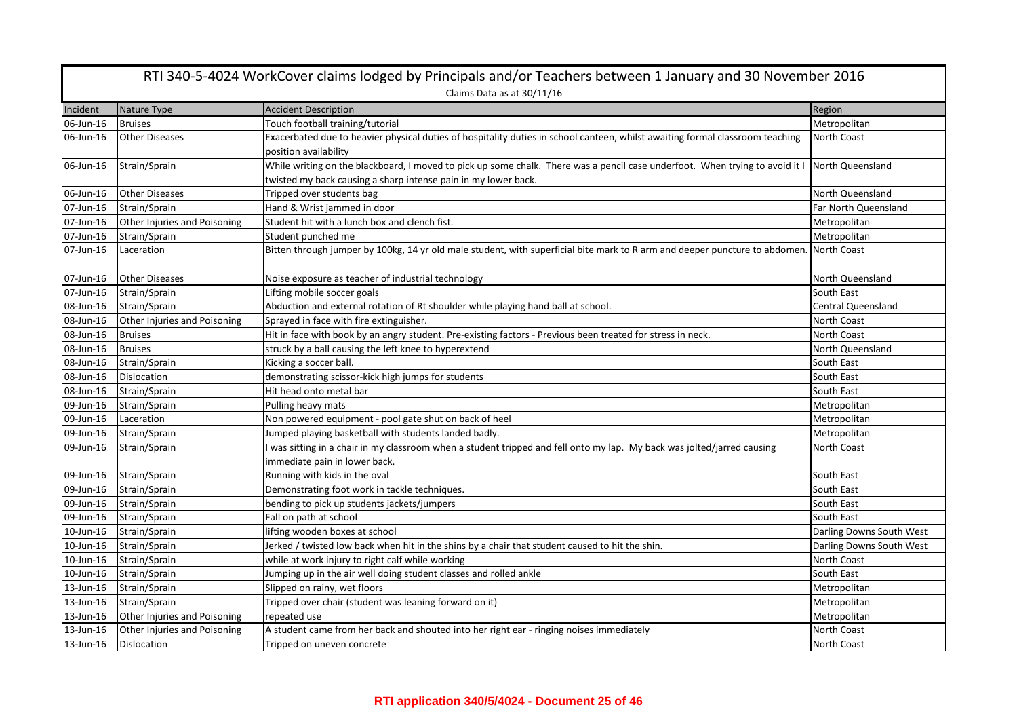| RTI 340-5-4024 WorkCover claims lodged by Principals and/or Teachers between 1 January and 30 November 2016 |                              |                                                                                                                                                                                                |                           |
|-------------------------------------------------------------------------------------------------------------|------------------------------|------------------------------------------------------------------------------------------------------------------------------------------------------------------------------------------------|---------------------------|
|                                                                                                             |                              | Claims Data as at 30/11/16                                                                                                                                                                     |                           |
| Incident                                                                                                    | Nature Type                  | <b>Accident Description</b>                                                                                                                                                                    | Region                    |
| 06-Jun-16                                                                                                   | <b>Bruises</b>               | Touch football training/tutorial                                                                                                                                                               | Metropolitan              |
| 06-Jun-16                                                                                                   | <b>Other Diseases</b>        | Exacerbated due to heavier physical duties of hospitality duties in school canteen, whilst awaiting formal classroom teaching<br>position availability                                         | North Coast               |
| 06-Jun-16                                                                                                   | Strain/Sprain                | While writing on the blackboard, I moved to pick up some chalk. There was a pencil case underfoot. When trying to avoid it I<br>twisted my back causing a sharp intense pain in my lower back. | North Queensland          |
| 06-Jun-16                                                                                                   | <b>Other Diseases</b>        | Tripped over students bag                                                                                                                                                                      | North Queensland          |
| 07-Jun-16                                                                                                   | Strain/Sprain                | Hand & Wrist jammed in door                                                                                                                                                                    | Far North Queensland      |
| 07-Jun-16                                                                                                   | Other Injuries and Poisoning | Student hit with a lunch box and clench fist.                                                                                                                                                  | Metropolitan              |
| 07-Jun-16                                                                                                   | Strain/Sprain                | Student punched me                                                                                                                                                                             | Metropolitan              |
| 07-Jun-16                                                                                                   | Laceration                   | Bitten through jumper by 100kg, 14 yr old male student, with superficial bite mark to R arm and deeper puncture to abdomen.                                                                    | North Coast               |
| 07-Jun-16                                                                                                   | <b>Other Diseases</b>        | Noise exposure as teacher of industrial technology                                                                                                                                             | North Queensland          |
| 07-Jun-16                                                                                                   | Strain/Sprain                | Lifting mobile soccer goals                                                                                                                                                                    | South East                |
| 08-Jun-16                                                                                                   | Strain/Sprain                | Abduction and external rotation of Rt shoulder while playing hand ball at school.                                                                                                              | <b>Central Queensland</b> |
| 08-Jun-16                                                                                                   | Other Injuries and Poisoning | Sprayed in face with fire extinguisher.                                                                                                                                                        | North Coast               |
| 08-Jun-16                                                                                                   | <b>Bruises</b>               | Hit in face with book by an angry student. Pre-existing factors - Previous been treated for stress in neck.                                                                                    | North Coast               |
| 08-Jun-16                                                                                                   | <b>Bruises</b>               | struck by a ball causing the left knee to hyperextend                                                                                                                                          | North Queensland          |
| 08-Jun-16                                                                                                   | Strain/Sprain                | Kicking a soccer ball.                                                                                                                                                                         | South East                |
| 08-Jun-16                                                                                                   | Dislocation                  | demonstrating scissor-kick high jumps for students                                                                                                                                             | South East                |
| 08-Jun-16                                                                                                   | Strain/Sprain                | Hit head onto metal bar                                                                                                                                                                        | South East                |
| 09-Jun-16                                                                                                   | Strain/Sprain                | Pulling heavy mats                                                                                                                                                                             | Metropolitan              |
| 09-Jun-16                                                                                                   | Laceration                   | Non powered equipment - pool gate shut on back of heel                                                                                                                                         | Metropolitan              |
| 09-Jun-16                                                                                                   | Strain/Sprain                | Jumped playing basketball with students landed badly.                                                                                                                                          | Metropolitan              |
| 09-Jun-16                                                                                                   | Strain/Sprain                | I was sitting in a chair in my classroom when a student tripped and fell onto my lap. My back was jolted/jarred causing<br>immediate pain in lower back.                                       | North Coast               |
| 09-Jun-16                                                                                                   | Strain/Sprain                | Running with kids in the oval                                                                                                                                                                  | South East                |
| 09-Jun-16                                                                                                   | Strain/Sprain                | Demonstrating foot work in tackle techniques.                                                                                                                                                  | South East                |
| 09-Jun-16                                                                                                   | Strain/Sprain                | bending to pick up students jackets/jumpers                                                                                                                                                    | South East                |
| 09-Jun-16                                                                                                   | Strain/Sprain                | Fall on path at school                                                                                                                                                                         | South East                |
| 10-Jun-16                                                                                                   | Strain/Sprain                | lifting wooden boxes at school                                                                                                                                                                 | Darling Downs South West  |
| 10-Jun-16                                                                                                   | Strain/Sprain                | Jerked / twisted low back when hit in the shins by a chair that student caused to hit the shin.                                                                                                | Darling Downs South West  |
| 10-Jun-16                                                                                                   | Strain/Sprain                | while at work injury to right calf while working                                                                                                                                               | North Coast               |
| 10-Jun-16                                                                                                   | Strain/Sprain                | Jumping up in the air well doing student classes and rolled ankle                                                                                                                              | South East                |
| 13-Jun-16                                                                                                   | Strain/Sprain                | Slipped on rainy, wet floors                                                                                                                                                                   | Metropolitan              |
| 13-Jun-16                                                                                                   | Strain/Sprain                | Tripped over chair (student was leaning forward on it)                                                                                                                                         | Metropolitan              |
| 13-Jun-16                                                                                                   | Other Injuries and Poisoning | repeated use                                                                                                                                                                                   | Metropolitan              |
| 13-Jun-16                                                                                                   | Other Injuries and Poisoning | A student came from her back and shouted into her right ear - ringing noises immediately                                                                                                       | North Coast               |
| 13-Jun-16                                                                                                   | Dislocation                  | Tripped on uneven concrete                                                                                                                                                                     | <b>North Coast</b>        |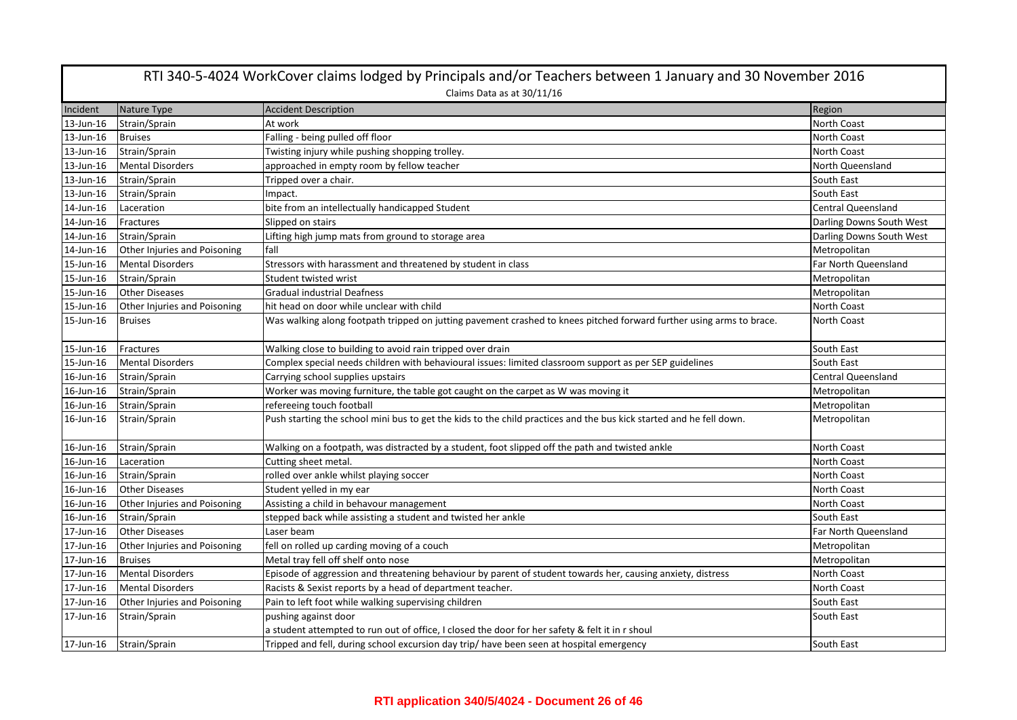|           | RTI 340-5-4024 WorkCover claims lodged by Principals and/or Teachers between 1 January and 30 November 2016 |                                                                                                                      |                           |  |
|-----------|-------------------------------------------------------------------------------------------------------------|----------------------------------------------------------------------------------------------------------------------|---------------------------|--|
|           | Claims Data as at 30/11/16                                                                                  |                                                                                                                      |                           |  |
| Incident  | Nature Type                                                                                                 | <b>Accident Description</b>                                                                                          | Region                    |  |
| 13-Jun-16 | Strain/Sprain                                                                                               | At work                                                                                                              | North Coast               |  |
| 13-Jun-16 | <b>Bruises</b>                                                                                              | Falling - being pulled off floor                                                                                     | North Coast               |  |
| 13-Jun-16 | Strain/Sprain                                                                                               | Twisting injury while pushing shopping trolley.                                                                      | North Coast               |  |
| 13-Jun-16 | <b>Mental Disorders</b>                                                                                     | approached in empty room by fellow teacher                                                                           | North Queensland          |  |
| 13-Jun-16 | Strain/Sprain                                                                                               | Tripped over a chair.                                                                                                | South East                |  |
| 13-Jun-16 | Strain/Sprain                                                                                               | Impact.                                                                                                              | South East                |  |
| 14-Jun-16 | Laceration                                                                                                  | bite from an intellectually handicapped Student                                                                      | <b>Central Queensland</b> |  |
| 14-Jun-16 | Fractures                                                                                                   | Slipped on stairs                                                                                                    | Darling Downs South West  |  |
| 14-Jun-16 | Strain/Sprain                                                                                               | Lifting high jump mats from ground to storage area                                                                   | Darling Downs South West  |  |
| 14-Jun-16 | Other Injuries and Poisoning                                                                                | fall                                                                                                                 | Metropolitan              |  |
| 15-Jun-16 | <b>Mental Disorders</b>                                                                                     | Stressors with harassment and threatened by student in class                                                         | Far North Queensland      |  |
| 15-Jun-16 | Strain/Sprain                                                                                               | Student twisted wrist                                                                                                | Metropolitan              |  |
| 15-Jun-16 | <b>Other Diseases</b>                                                                                       | <b>Gradual industrial Deafness</b>                                                                                   | Metropolitan              |  |
| 15-Jun-16 | Other Injuries and Poisoning                                                                                | hit head on door while unclear with child                                                                            | North Coast               |  |
| 15-Jun-16 | <b>Bruises</b>                                                                                              | Was walking along footpath tripped on jutting pavement crashed to knees pitched forward further using arms to brace. | North Coast               |  |
| 15-Jun-16 | Fractures                                                                                                   | Walking close to building to avoid rain tripped over drain                                                           | South East                |  |
| 15-Jun-16 | <b>Mental Disorders</b>                                                                                     | Complex special needs children with behavioural issues: limited classroom support as per SEP guidelines              | South East                |  |
| 16-Jun-16 | Strain/Sprain                                                                                               | Carrying school supplies upstairs                                                                                    | <b>Central Queensland</b> |  |
| 16-Jun-16 | Strain/Sprain                                                                                               | Worker was moving furniture, the table got caught on the carpet as W was moving it                                   | Metropolitan              |  |
| 16-Jun-16 | Strain/Sprain                                                                                               | refereeing touch football                                                                                            | Metropolitan              |  |
| 16-Jun-16 | Strain/Sprain                                                                                               | Push starting the school mini bus to get the kids to the child practices and the bus kick started and he fell down.  | Metropolitan              |  |
| 16-Jun-16 | Strain/Sprain                                                                                               | Walking on a footpath, was distracted by a student, foot slipped off the path and twisted ankle                      | North Coast               |  |
| 16-Jun-16 | Laceration                                                                                                  | Cutting sheet metal.                                                                                                 | North Coast               |  |
| 16-Jun-16 | Strain/Sprain                                                                                               | rolled over ankle whilst playing soccer                                                                              | North Coast               |  |
| 16-Jun-16 | <b>Other Diseases</b>                                                                                       | Student yelled in my ear                                                                                             | North Coast               |  |
| 16-Jun-16 | Other Injuries and Poisoning                                                                                | Assisting a child in behavour management                                                                             | <b>North Coast</b>        |  |
| 16-Jun-16 | Strain/Sprain                                                                                               | stepped back while assisting a student and twisted her ankle                                                         | South East                |  |
| 17-Jun-16 | <b>Other Diseases</b>                                                                                       | Laser beam                                                                                                           | Far North Queensland      |  |
| 17-Jun-16 | Other Injuries and Poisoning                                                                                | fell on rolled up carding moving of a couch                                                                          | Metropolitan              |  |
| 17-Jun-16 | <b>Bruises</b>                                                                                              | Metal tray fell off shelf onto nose                                                                                  | Metropolitan              |  |
| 17-Jun-16 | <b>Mental Disorders</b>                                                                                     | Episode of aggression and threatening behaviour by parent of student towards her, causing anxiety, distress          | North Coast               |  |
| 17-Jun-16 | <b>Mental Disorders</b>                                                                                     | Racists & Sexist reports by a head of department teacher.                                                            | <b>North Coast</b>        |  |
| 17-Jun-16 | Other Injuries and Poisoning                                                                                | Pain to left foot while walking supervising children                                                                 | South East                |  |
| 17-Jun-16 | Strain/Sprain                                                                                               | pushing against door                                                                                                 | South East                |  |
|           |                                                                                                             | a student attempted to run out of office, I closed the door for her safety & felt it in r shoul                      |                           |  |
| 17-Jun-16 | Strain/Sprain                                                                                               | Tripped and fell, during school excursion day trip/ have been seen at hospital emergency                             | South East                |  |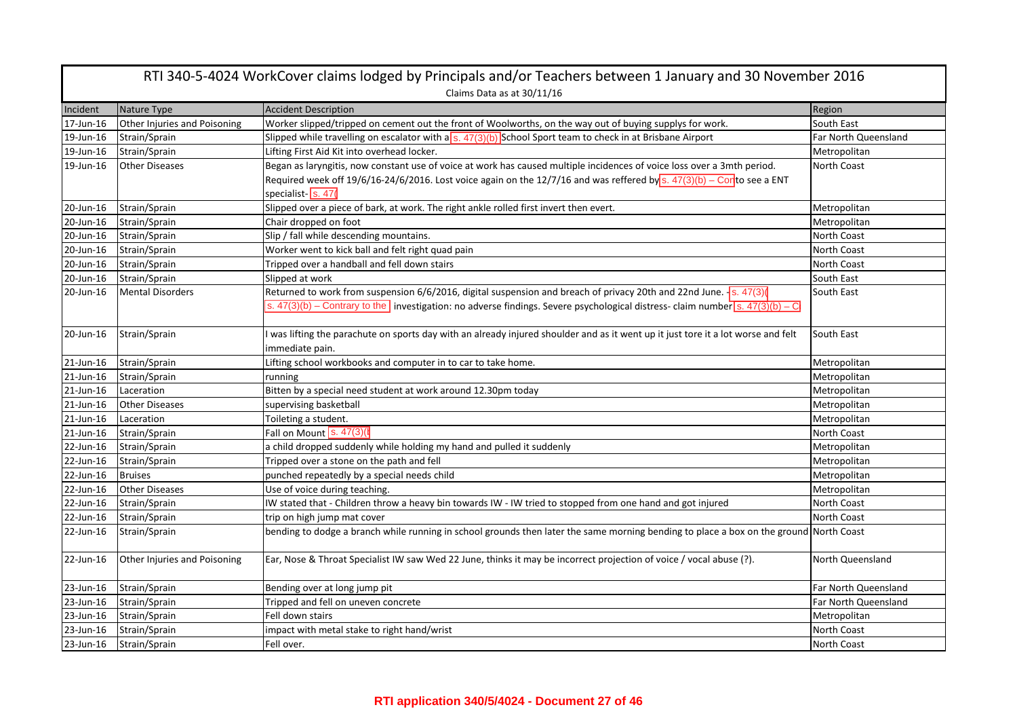| RTI 340-5-4024 WorkCover claims lodged by Principals and/or Teachers between 1 January and 30 November 2016<br>Claims Data as at 30/11/16 |                              |                                                                                                                                              |                      |
|-------------------------------------------------------------------------------------------------------------------------------------------|------------------------------|----------------------------------------------------------------------------------------------------------------------------------------------|----------------------|
| Incident                                                                                                                                  | Nature Type                  | <b>Accident Description</b>                                                                                                                  | Region               |
| 17-Jun-16                                                                                                                                 | Other Injuries and Poisoning | Worker slipped/tripped on cement out the front of Woolworths, on the way out of buying supplys for work.                                     | South East           |
| 19-Jun-16                                                                                                                                 | Strain/Sprain                | Slipped while travelling on escalator with a $\sqrt{s}$ . 47(3)(b) School Sport team to check in at Brisbane Airport                         | Far North Queensland |
| 19-Jun-16                                                                                                                                 | Strain/Sprain                | Lifting First Aid Kit into overhead locker.                                                                                                  | Metropolitan         |
| 19-Jun-16                                                                                                                                 | <b>Other Diseases</b>        | Began as laryngitis, now constant use of voice at work has caused multiple incidences of voice loss over a 3mth period.                      | <b>North Coast</b>   |
|                                                                                                                                           |                              | Required week off 19/6/16-24/6/2016. Lost voice again on the 12/7/16 and was reffered by s. $47(3)(b) -$ Conto see a ENT                     |                      |
|                                                                                                                                           |                              | specialist-S. 47                                                                                                                             |                      |
| 20-Jun-16                                                                                                                                 | Strain/Sprain                | Slipped over a piece of bark, at work. The right ankle rolled first invert then evert.                                                       | Metropolitan         |
| 20-Jun-16                                                                                                                                 | Strain/Sprain                | Chair dropped on foot                                                                                                                        | Metropolitan         |
| 20-Jun-16                                                                                                                                 | Strain/Sprain                | Slip / fall while descending mountains.                                                                                                      | <b>North Coast</b>   |
| 20-Jun-16                                                                                                                                 | Strain/Sprain                | Worker went to kick ball and felt right quad pain                                                                                            | <b>North Coast</b>   |
| 20-Jun-16                                                                                                                                 | Strain/Sprain                | Tripped over a handball and fell down stairs                                                                                                 | <b>North Coast</b>   |
| 20-Jun-16                                                                                                                                 | Strain/Sprain                | Slipped at work                                                                                                                              | South East           |
| 20-Jun-16                                                                                                                                 | <b>Mental Disorders</b>      | Returned to work from suspension 6/6/2016, digital suspension and breach of privacy 20th and 22nd June. $\sqrt{s}$ . 47(3)                   | South East           |
|                                                                                                                                           |                              | s. $47(3)(b)$ – Contrary to the investigation: no adverse findings. Severe psychological distress-claim number $\frac{(s. 47(3)(b) - C)}{2}$ |                      |
|                                                                                                                                           |                              |                                                                                                                                              |                      |
| 20-Jun-16                                                                                                                                 | Strain/Sprain                | I was lifting the parachute on sports day with an already injured shoulder and as it went up it just tore it a lot worse and felt            | South East           |
|                                                                                                                                           |                              | immediate pain.                                                                                                                              |                      |
| 21-Jun-16                                                                                                                                 | Strain/Sprain                | Lifting school workbooks and computer in to car to take home.                                                                                | Metropolitan         |
| 21-Jun-16                                                                                                                                 | Strain/Sprain                | running                                                                                                                                      | Metropolitan         |
| 21-Jun-16                                                                                                                                 | Laceration                   | Bitten by a special need student at work around 12.30pm today                                                                                | Metropolitan         |
| 21-Jun-16                                                                                                                                 | <b>Other Diseases</b>        | supervising basketball                                                                                                                       | Metropolitan         |
| 21-Jun-16                                                                                                                                 | Laceration                   | Toileting a student.                                                                                                                         | Metropolitan         |
| 21-Jun-16                                                                                                                                 | Strain/Sprain                | Fall on Mount S. 47(3)(                                                                                                                      | North Coast          |
| 22-Jun-16                                                                                                                                 | Strain/Sprain                | a child dropped suddenly while holding my hand and pulled it suddenly                                                                        | Metropolitan         |
| 22-Jun-16                                                                                                                                 | Strain/Sprain                | Tripped over a stone on the path and fell                                                                                                    | Metropolitan         |
| 22-Jun-16                                                                                                                                 | <b>Bruises</b>               | punched repeatedly by a special needs child                                                                                                  | Metropolitan         |
| 22-Jun-16                                                                                                                                 | <b>Other Diseases</b>        | Use of voice during teaching.                                                                                                                | Metropolitan         |
| 22-Jun-16                                                                                                                                 | Strain/Sprain                | IW stated that - Children throw a heavy bin towards IW - IW tried to stopped from one hand and got injured                                   | <b>North Coast</b>   |
| 22-Jun-16                                                                                                                                 | Strain/Sprain                | trip on high jump mat cover                                                                                                                  | <b>North Coast</b>   |
| 22-Jun-16                                                                                                                                 | Strain/Sprain                | bending to dodge a branch while running in school grounds then later the same morning bending to place a box on the ground North Coast       |                      |
| 22-Jun-16                                                                                                                                 | Other Injuries and Poisoning | Ear, Nose & Throat Specialist IW saw Wed 22 June, thinks it may be incorrect projection of voice / vocal abuse (?).                          | North Queensland     |
| 23-Jun-16                                                                                                                                 | Strain/Sprain                | Bending over at long jump pit                                                                                                                | Far North Queensland |
| 23-Jun-16                                                                                                                                 | Strain/Sprain                | Tripped and fell on uneven concrete                                                                                                          | Far North Queensland |
| 23-Jun-16                                                                                                                                 | Strain/Sprain                | Fell down stairs                                                                                                                             | Metropolitan         |
| 23-Jun-16                                                                                                                                 | Strain/Sprain                | impact with metal stake to right hand/wrist                                                                                                  | North Coast          |
| 23-Jun-16                                                                                                                                 | Strain/Sprain                | Fell over.                                                                                                                                   | North Coast          |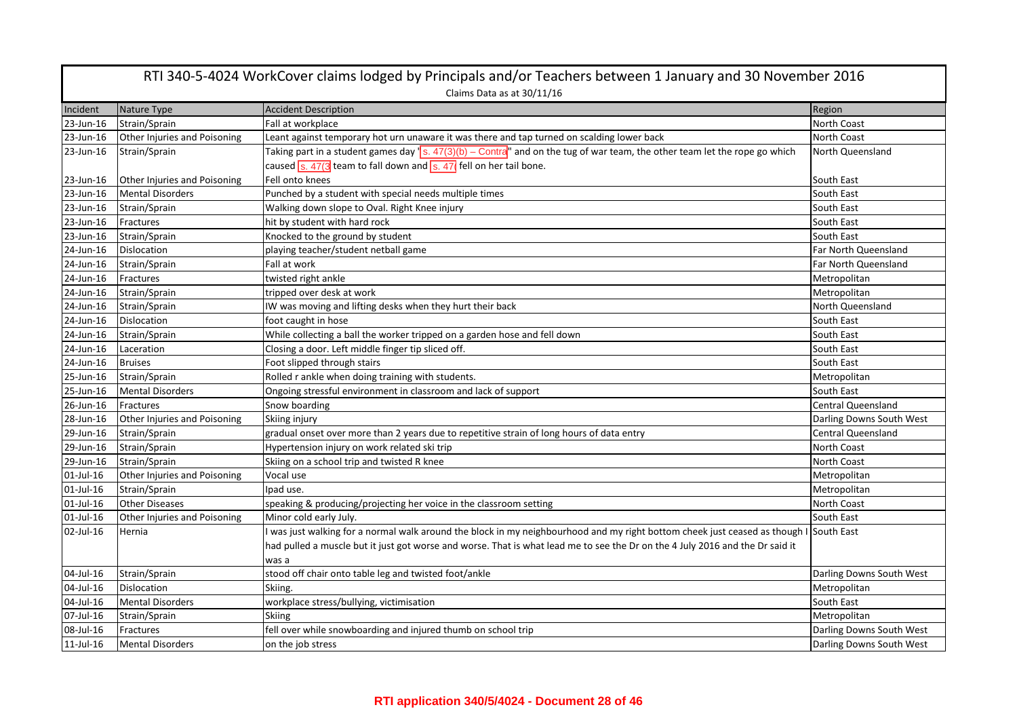| RTI 340-5-4024 WorkCover claims lodged by Principals and/or Teachers between 1 January and 30 November 2016 |                              |                                                                                                                                                    |                           |  |
|-------------------------------------------------------------------------------------------------------------|------------------------------|----------------------------------------------------------------------------------------------------------------------------------------------------|---------------------------|--|
|                                                                                                             | Claims Data as at 30/11/16   |                                                                                                                                                    |                           |  |
| Incident                                                                                                    | Nature Type                  | <b>Accident Description</b>                                                                                                                        | Region                    |  |
| 23-Jun-16                                                                                                   | Strain/Sprain                | Fall at workplace                                                                                                                                  | North Coast               |  |
| 23-Jun-16                                                                                                   | Other Injuries and Poisoning | Leant against temporary hot urn unaware it was there and tap turned on scalding lower back                                                         | North Coast               |  |
| 23-Jun-16                                                                                                   | Strain/Sprain                | Taking part in a student games day $\sqrt{s}$ . $47(3)(b)$ - Contra <sup>rr</sup> and on the tug of war team, the other team let the rope go which | North Queensland          |  |
|                                                                                                             |                              | caused $\boxed{\text{s. }47(3)}$ team to fall down and $\boxed{\text{s. }47}$ fell on her tail bone.                                               |                           |  |
| 23-Jun-16                                                                                                   | Other Injuries and Poisoning | Fell onto knees                                                                                                                                    | South East                |  |
| 23-Jun-16                                                                                                   | <b>Mental Disorders</b>      | Punched by a student with special needs multiple times                                                                                             | South East                |  |
| 23-Jun-16                                                                                                   | Strain/Sprain                | Walking down slope to Oval. Right Knee injury                                                                                                      | South East                |  |
| 23-Jun-16                                                                                                   | Fractures                    | hit by student with hard rock                                                                                                                      | South East                |  |
| 23-Jun-16                                                                                                   | Strain/Sprain                | Knocked to the ground by student                                                                                                                   | South East                |  |
| 24-Jun-16                                                                                                   | Dislocation                  | playing teacher/student netball game                                                                                                               | Far North Queensland      |  |
| 24-Jun-16                                                                                                   | Strain/Sprain                | Fall at work                                                                                                                                       | Far North Queensland      |  |
| 24-Jun-16                                                                                                   | Fractures                    | twisted right ankle                                                                                                                                | Metropolitan              |  |
| 24-Jun-16                                                                                                   | Strain/Sprain                | tripped over desk at work                                                                                                                          | Metropolitan              |  |
| 24-Jun-16                                                                                                   | Strain/Sprain                | IW was moving and lifting desks when they hurt their back                                                                                          | North Queensland          |  |
| 24-Jun-16                                                                                                   | <b>Dislocation</b>           | foot caught in hose                                                                                                                                | South East                |  |
| 24-Jun-16                                                                                                   | Strain/Sprain                | While collecting a ball the worker tripped on a garden hose and fell down                                                                          | South East                |  |
| 24-Jun-16                                                                                                   | Laceration                   | Closing a door. Left middle finger tip sliced off.                                                                                                 | South East                |  |
| 24-Jun-16                                                                                                   | <b>Bruises</b>               | Foot slipped through stairs                                                                                                                        | South East                |  |
| 25-Jun-16                                                                                                   | Strain/Sprain                | Rolled r ankle when doing training with students.                                                                                                  | Metropolitan              |  |
| 25-Jun-16                                                                                                   | <b>Mental Disorders</b>      | Ongoing stressful environment in classroom and lack of support                                                                                     | South East                |  |
| 26-Jun-16                                                                                                   | Fractures                    | Snow boarding                                                                                                                                      | <b>Central Queensland</b> |  |
| 28-Jun-16                                                                                                   | Other Injuries and Poisoning | Skiing injury                                                                                                                                      | Darling Downs South West  |  |
| 29-Jun-16                                                                                                   | Strain/Sprain                | gradual onset over more than 2 years due to repetitive strain of long hours of data entry                                                          | <b>Central Queensland</b> |  |
| 29-Jun-16                                                                                                   | Strain/Sprain                | Hypertension injury on work related ski trip                                                                                                       | <b>North Coast</b>        |  |
| 29-Jun-16                                                                                                   | Strain/Sprain                | Skiing on a school trip and twisted R knee                                                                                                         | <b>North Coast</b>        |  |
| 01-Jul-16                                                                                                   | Other Injuries and Poisoning | Vocal use                                                                                                                                          | Metropolitan              |  |
| 01-Jul-16                                                                                                   | Strain/Sprain                | Ipad use.                                                                                                                                          | Metropolitan              |  |
| 01-Jul-16                                                                                                   | <b>Other Diseases</b>        | speaking & producing/projecting her voice in the classroom setting                                                                                 | North Coast               |  |
| 01-Jul-16                                                                                                   | Other Injuries and Poisoning | Minor cold early July.                                                                                                                             | South East                |  |
| 02-Jul-16                                                                                                   | Hernia                       | I was just walking for a normal walk around the block in my neighbourhood and my right bottom cheek just ceased as though I South East             |                           |  |
|                                                                                                             |                              | had pulled a muscle but it just got worse and worse. That is what lead me to see the Dr on the 4 July 2016 and the Dr said it                      |                           |  |
|                                                                                                             |                              | was a                                                                                                                                              |                           |  |
| 04-Jul-16                                                                                                   | Strain/Sprain                | stood off chair onto table leg and twisted foot/ankle                                                                                              | Darling Downs South West  |  |
| 04-Jul-16                                                                                                   | <b>Dislocation</b>           | Skiing.                                                                                                                                            | Metropolitan              |  |
| 04-Jul-16                                                                                                   | <b>Mental Disorders</b>      | workplace stress/bullying, victimisation                                                                                                           | South East                |  |
| 07-Jul-16                                                                                                   | Strain/Sprain                | Skiing                                                                                                                                             | Metropolitan              |  |
| 08-Jul-16                                                                                                   | Fractures                    | fell over while snowboarding and injured thumb on school trip                                                                                      | Darling Downs South West  |  |
| $11$ -Jul- $16$                                                                                             | <b>Mental Disorders</b>      | on the job stress                                                                                                                                  | Darling Downs South West  |  |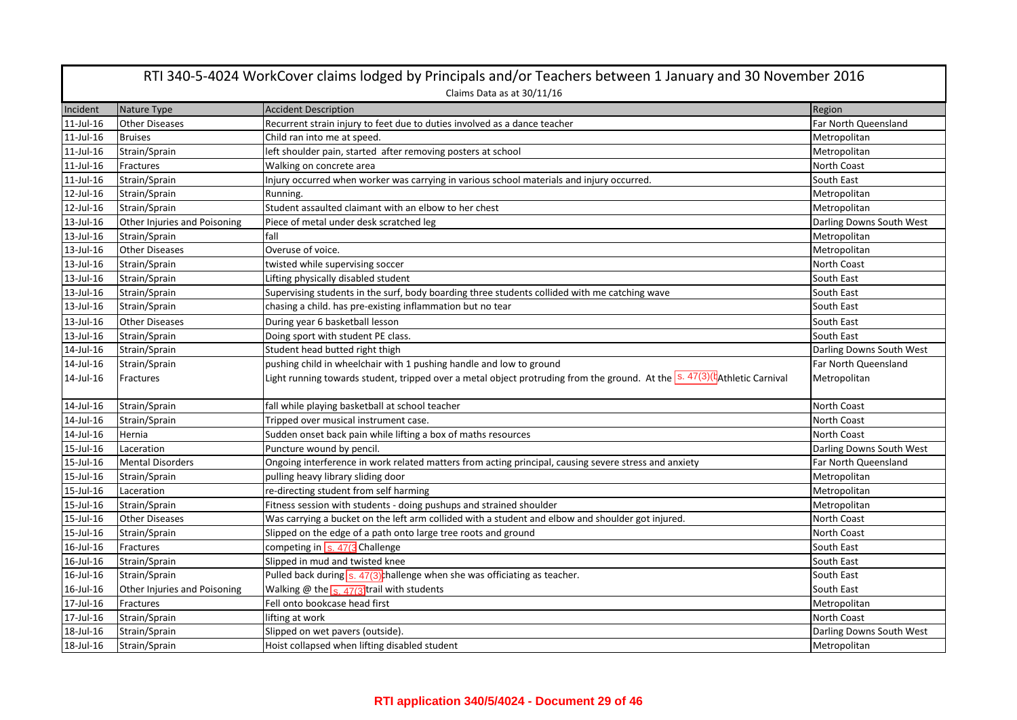| RTI 340-5-4024 WorkCover claims lodged by Principals and/or Teachers between 1 January and 30 November 2016 |                              |                                                                                                                           |                          |  |
|-------------------------------------------------------------------------------------------------------------|------------------------------|---------------------------------------------------------------------------------------------------------------------------|--------------------------|--|
|                                                                                                             | Claims Data as at 30/11/16   |                                                                                                                           |                          |  |
| Incident                                                                                                    | Nature Type                  | <b>Accident Description</b>                                                                                               | Region                   |  |
| 11-Jul-16                                                                                                   | <b>Other Diseases</b>        | Recurrent strain injury to feet due to duties involved as a dance teacher                                                 | Far North Queensland     |  |
| 11-Jul-16                                                                                                   | <b>Bruises</b>               | Child ran into me at speed.                                                                                               | Metropolitan             |  |
| 11-Jul-16                                                                                                   | Strain/Sprain                | left shoulder pain, started after removing posters at school                                                              | Metropolitan             |  |
| 11-Jul-16                                                                                                   | Fractures                    | Walking on concrete area                                                                                                  | North Coast              |  |
| 11-Jul-16                                                                                                   | Strain/Sprain                | Injury occurred when worker was carrying in various school materials and injury occurred.                                 | South East               |  |
| 12-Jul-16                                                                                                   | Strain/Sprain                | Running.                                                                                                                  | Metropolitan             |  |
| 12-Jul-16                                                                                                   | Strain/Sprain                | Student assaulted claimant with an elbow to her chest                                                                     | Metropolitan             |  |
| 13-Jul-16                                                                                                   | Other Injuries and Poisoning | Piece of metal under desk scratched leg                                                                                   | Darling Downs South West |  |
| 13-Jul-16                                                                                                   | Strain/Sprain                | fall                                                                                                                      | Metropolitan             |  |
| 13-Jul-16                                                                                                   | <b>Other Diseases</b>        | Overuse of voice.                                                                                                         | Metropolitan             |  |
| 13-Jul-16                                                                                                   | Strain/Sprain                | twisted while supervising soccer                                                                                          | North Coast              |  |
| 13-Jul-16                                                                                                   | Strain/Sprain                | Lifting physically disabled student                                                                                       | South East               |  |
| 13-Jul-16                                                                                                   | Strain/Sprain                | Supervising students in the surf, body boarding three students collided with me catching wave                             | South East               |  |
| 13-Jul-16                                                                                                   | Strain/Sprain                | chasing a child. has pre-existing inflammation but no tear                                                                | South East               |  |
| 13-Jul-16                                                                                                   | <b>Other Diseases</b>        | During year 6 basketball lesson                                                                                           | South East               |  |
| 13-Jul-16                                                                                                   | Strain/Sprain                | Doing sport with student PE class.                                                                                        | South East               |  |
| 14-Jul-16                                                                                                   | Strain/Sprain                | Student head butted right thigh                                                                                           | Darling Downs South West |  |
| 14-Jul-16                                                                                                   | Strain/Sprain                | pushing child in wheelchair with 1 pushing handle and low to ground                                                       | Far North Queensland     |  |
| 14-Jul-16                                                                                                   | Fractures                    | Light running towards student, tripped over a metal object protruding from the ground. At the S. 47(3)(tathletic Carnival | Metropolitan             |  |
| 14-Jul-16                                                                                                   | Strain/Sprain                | fall while playing basketball at school teacher                                                                           | North Coast              |  |
| 14-Jul-16                                                                                                   | Strain/Sprain                | Tripped over musical instrument case.                                                                                     | North Coast              |  |
| 14-Jul-16                                                                                                   | Hernia                       | Sudden onset back pain while lifting a box of maths resources                                                             | North Coast              |  |
| 15-Jul-16                                                                                                   | Laceration                   | Puncture wound by pencil.                                                                                                 | Darling Downs South West |  |
| 15-Jul-16                                                                                                   | <b>Mental Disorders</b>      | Ongoing interference in work related matters from acting principal, causing severe stress and anxiety                     | Far North Queensland     |  |
| 15-Jul-16                                                                                                   | Strain/Sprain                | pulling heavy library sliding door                                                                                        | Metropolitan             |  |
| 15-Jul-16                                                                                                   | Laceration                   | re-directing student from self harming                                                                                    | Metropolitan             |  |
| 15-Jul-16                                                                                                   | Strain/Sprain                | Fitness session with students - doing pushups and strained shoulder                                                       | Metropolitan             |  |
| 15-Jul-16                                                                                                   | <b>Other Diseases</b>        | Was carrying a bucket on the left arm collided with a student and elbow and shoulder got injured.                         | <b>North Coast</b>       |  |
| 15-Jul-16                                                                                                   | Strain/Sprain                | Slipped on the edge of a path onto large tree roots and ground                                                            | <b>North Coast</b>       |  |
| 16-Jul-16                                                                                                   | Fractures                    | competing in $\overline{s.47(3)}$ Challenge                                                                               | South East               |  |
| 16-Jul-16                                                                                                   | Strain/Sprain                | Slipped in mud and twisted knee                                                                                           | South East               |  |
| 16-Jul-16                                                                                                   | Strain/Sprain                | Pulled back during $\overline{s}$ . 47(3) <sup>t</sup> hallenge when she was officiating as teacher.                      | South East               |  |
| 16-Jul-16                                                                                                   | Other Injuries and Poisoning | Walking @ the <sub>S. 47(3</sub> ) trail with students                                                                    | South East               |  |
| 17-Jul-16                                                                                                   | Fractures                    | Fell onto bookcase head first                                                                                             | Metropolitan             |  |
| 17-Jul-16                                                                                                   | Strain/Sprain                | lifting at work                                                                                                           | North Coast              |  |
| 18-Jul-16                                                                                                   | Strain/Sprain                | Slipped on wet pavers (outside).                                                                                          | Darling Downs South West |  |
| 18-Jul-16                                                                                                   | Strain/Sprain                | Hoist collapsed when lifting disabled student                                                                             | Metropolitan             |  |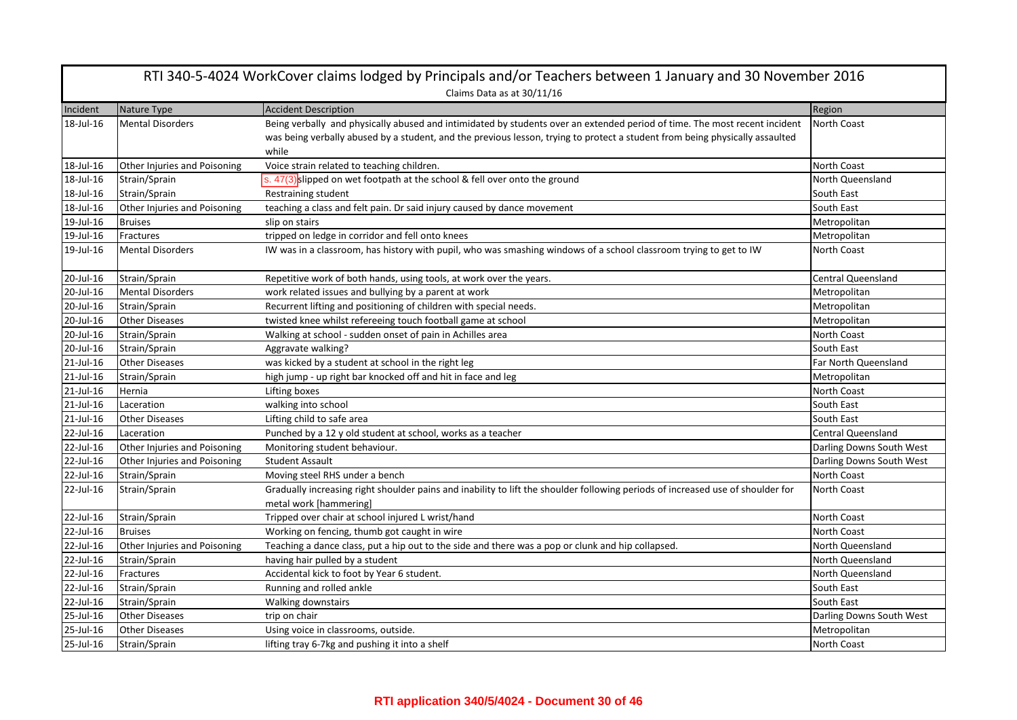| RTI 340-5-4024 WorkCover claims lodged by Principals and/or Teachers between 1 January and 30 November 2016 |                              |                                                                                                                                 |                           |
|-------------------------------------------------------------------------------------------------------------|------------------------------|---------------------------------------------------------------------------------------------------------------------------------|---------------------------|
|                                                                                                             |                              | Claims Data as at 30/11/16                                                                                                      |                           |
| Incident                                                                                                    | Nature Type                  | <b>Accident Description</b>                                                                                                     | Region                    |
| 18-Jul-16                                                                                                   | <b>Mental Disorders</b>      | Being verbally and physically abused and intimidated by students over an extended period of time. The most recent incident      | North Coast               |
|                                                                                                             |                              | was being verbally abused by a student, and the previous lesson, trying to protect a student from being physically assaulted    |                           |
|                                                                                                             |                              | while                                                                                                                           |                           |
| 18-Jul-16                                                                                                   | Other Injuries and Poisoning | Voice strain related to teaching children.                                                                                      | <b>North Coast</b>        |
| 18-Jul-16                                                                                                   | Strain/Sprain                | s. 47(3) slipped on wet footpath at the school & fell over onto the ground                                                      | North Queensland          |
| 18-Jul-16                                                                                                   | Strain/Sprain                | Restraining student                                                                                                             | South East                |
| 18-Jul-16                                                                                                   | Other Injuries and Poisoning | teaching a class and felt pain. Dr said injury caused by dance movement                                                         | South East                |
| 19-Jul-16                                                                                                   | <b>Bruises</b>               | slip on stairs                                                                                                                  | Metropolitan              |
| 19-Jul-16                                                                                                   | Fractures                    | tripped on ledge in corridor and fell onto knees                                                                                | Metropolitan              |
| 19-Jul-16                                                                                                   | <b>Mental Disorders</b>      | IW was in a classroom, has history with pupil, who was smashing windows of a school classroom trying to get to IW               | <b>North Coast</b>        |
| 20-Jul-16                                                                                                   | Strain/Sprain                | Repetitive work of both hands, using tools, at work over the years.                                                             | <b>Central Queensland</b> |
| 20-Jul-16                                                                                                   | <b>Mental Disorders</b>      | work related issues and bullying by a parent at work                                                                            | Metropolitan              |
| 20-Jul-16                                                                                                   | Strain/Sprain                | Recurrent lifting and positioning of children with special needs.                                                               | Metropolitan              |
| 20-Jul-16                                                                                                   | <b>Other Diseases</b>        | twisted knee whilst refereeing touch football game at school                                                                    | Metropolitan              |
| 20-Jul-16                                                                                                   | Strain/Sprain                | Walking at school - sudden onset of pain in Achilles area                                                                       | North Coast               |
| 20-Jul-16                                                                                                   | Strain/Sprain                | Aggravate walking?                                                                                                              | South East                |
| 21-Jul-16                                                                                                   | <b>Other Diseases</b>        | was kicked by a student at school in the right leg                                                                              | Far North Queensland      |
| 21-Jul-16                                                                                                   | Strain/Sprain                | high jump - up right bar knocked off and hit in face and leg                                                                    | Metropolitan              |
| $21$ -Jul-16                                                                                                | Hernia                       | Lifting boxes                                                                                                                   | <b>North Coast</b>        |
| $21$ -Jul-16                                                                                                | Laceration                   | walking into school                                                                                                             | South East                |
| 21-Jul-16                                                                                                   | <b>Other Diseases</b>        | Lifting child to safe area                                                                                                      | South East                |
| 22-Jul-16                                                                                                   | Laceration                   | Punched by a 12 y old student at school, works as a teacher                                                                     | <b>Central Queensland</b> |
| 22-Jul-16                                                                                                   | Other Injuries and Poisoning | Monitoring student behaviour.                                                                                                   | Darling Downs South West  |
| 22-Jul-16                                                                                                   | Other Injuries and Poisoning | <b>Student Assault</b>                                                                                                          | Darling Downs South West  |
| 22-Jul-16                                                                                                   | Strain/Sprain                | Moving steel RHS under a bench                                                                                                  | <b>North Coast</b>        |
| 22-Jul-16                                                                                                   | Strain/Sprain                | Gradually increasing right shoulder pains and inability to lift the shoulder following periods of increased use of shoulder for | North Coast               |
|                                                                                                             |                              | metal work [hammering]                                                                                                          |                           |
| 22-Jul-16                                                                                                   | Strain/Sprain                | Tripped over chair at school injured L wrist/hand                                                                               | North Coast               |
| 22-Jul-16                                                                                                   | <b>Bruises</b>               | Working on fencing, thumb got caught in wire                                                                                    | North Coast               |
| 22-Jul-16                                                                                                   | Other Injuries and Poisoning | Teaching a dance class, put a hip out to the side and there was a pop or clunk and hip collapsed.                               | North Queensland          |
| 22-Jul-16                                                                                                   | Strain/Sprain                | having hair pulled by a student                                                                                                 | North Queensland          |
| 22-Jul-16                                                                                                   | Fractures                    | Accidental kick to foot by Year 6 student.                                                                                      | North Queensland          |
| 22-Jul-16                                                                                                   | Strain/Sprain                | Running and rolled ankle                                                                                                        | South East                |
| 22-Jul-16                                                                                                   | Strain/Sprain                | Walking downstairs                                                                                                              | South East                |
| 25-Jul-16                                                                                                   | <b>Other Diseases</b>        | trip on chair                                                                                                                   | Darling Downs South West  |
| 25-Jul-16                                                                                                   | <b>Other Diseases</b>        | Using voice in classrooms, outside.                                                                                             | Metropolitan              |
| 25-Jul-16                                                                                                   | Strain/Sprain                | lifting tray 6-7kg and pushing it into a shelf                                                                                  | North Coast               |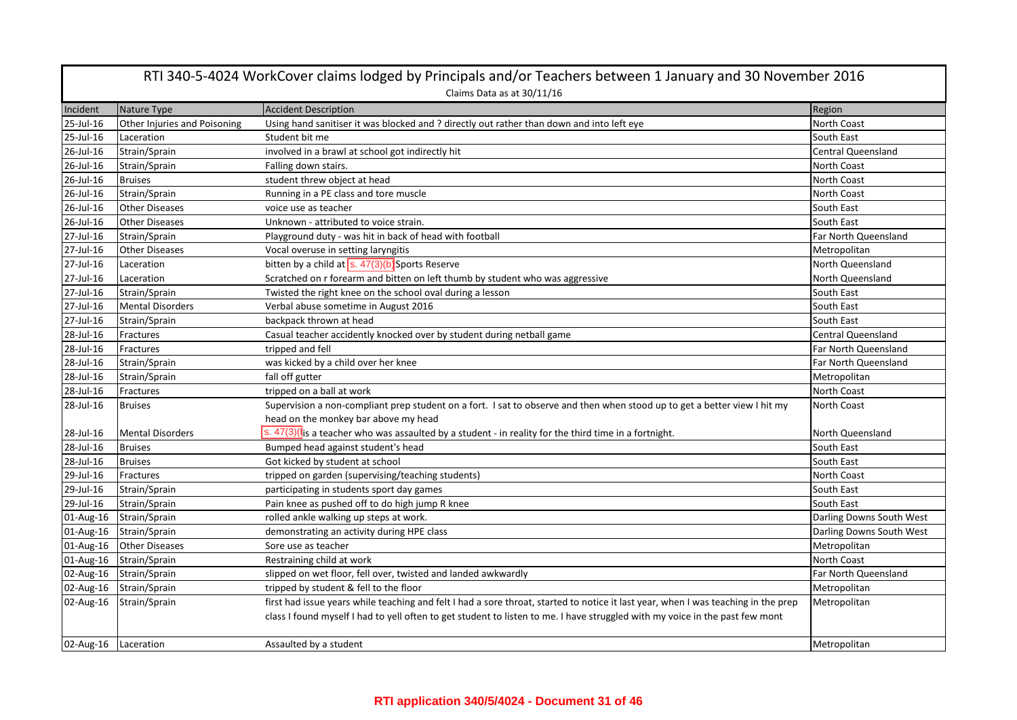|                      | RTI 340-5-4024 WorkCover claims lodged by Principals and/or Teachers between 1 January and 30 November 2016<br>Claims Data as at 30/11/16 |                                                                                                                                    |                           |  |
|----------------------|-------------------------------------------------------------------------------------------------------------------------------------------|------------------------------------------------------------------------------------------------------------------------------------|---------------------------|--|
| Incident             | Nature Type                                                                                                                               | <b>Accident Description</b>                                                                                                        | Region                    |  |
| 25-Jul-16            | Other Injuries and Poisoning                                                                                                              | Using hand sanitiser it was blocked and ? directly out rather than down and into left eye                                          | North Coast               |  |
| 25-Jul-16            | Laceration                                                                                                                                | Student bit me                                                                                                                     | South East                |  |
| 26-Jul-16            | Strain/Sprain                                                                                                                             | involved in a brawl at school got indirectly hit                                                                                   | <b>Central Queensland</b> |  |
| 26-Jul-16            | Strain/Sprain                                                                                                                             | Falling down stairs.                                                                                                               | <b>North Coast</b>        |  |
| 26-Jul-16            | <b>Bruises</b>                                                                                                                            | student threw object at head                                                                                                       | North Coast               |  |
| 26-Jul-16            | Strain/Sprain                                                                                                                             | Running in a PE class and tore muscle                                                                                              | North Coast               |  |
| 26-Jul-16            | <b>Other Diseases</b>                                                                                                                     | voice use as teacher                                                                                                               | South East                |  |
| 26-Jul-16            | <b>Other Diseases</b>                                                                                                                     | Unknown - attributed to voice strain.                                                                                              | South East                |  |
| 27-Jul-16            | Strain/Sprain                                                                                                                             | Playground duty - was hit in back of head with football                                                                            | Far North Queensland      |  |
| 27-Jul-16            | <b>Other Diseases</b>                                                                                                                     | Vocal overuse in setting laryngitis                                                                                                | Metropolitan              |  |
| 27-Jul-16            | Laceration                                                                                                                                | bitten by a child at $s. 47(3)(b)$ Sports Reserve                                                                                  | North Queensland          |  |
| 27-Jul-16            | Laceration                                                                                                                                | Scratched on r forearm and bitten on left thumb by student who was aggressive                                                      | North Queensland          |  |
| 27-Jul-16            | Strain/Sprain                                                                                                                             | Twisted the right knee on the school oval during a lesson                                                                          | South East                |  |
| 27-Jul-16            | <b>Mental Disorders</b>                                                                                                                   | Verbal abuse sometime in August 2016                                                                                               | South East                |  |
| 27-Jul-16            | Strain/Sprain                                                                                                                             | backpack thrown at head                                                                                                            | South East                |  |
| 28-Jul-16            | Fractures                                                                                                                                 | Casual teacher accidently knocked over by student during netball game                                                              | Central Queensland        |  |
| 28-Jul-16            | Fractures                                                                                                                                 | tripped and fell                                                                                                                   | Far North Queensland      |  |
| 28-Jul-16            | Strain/Sprain                                                                                                                             | was kicked by a child over her knee                                                                                                | Far North Queensland      |  |
| 28-Jul-16            | Strain/Sprain                                                                                                                             | fall off gutter                                                                                                                    | Metropolitan              |  |
| 28-Jul-16            | Fractures                                                                                                                                 | tripped on a ball at work                                                                                                          | North Coast               |  |
| 28-Jul-16            | <b>Bruises</b>                                                                                                                            | Supervision a non-compliant prep student on a fort. I sat to observe and then when stood up to get a better view I hit my          | North Coast               |  |
|                      |                                                                                                                                           | head on the monkey bar above my head                                                                                               |                           |  |
| 28-Jul-16            | <b>Mental Disorders</b>                                                                                                                   | s. $47(3)(I_{\rm IS}$ a teacher who was assaulted by a student - in reality for the third time in a fortnight.                     | North Queensland          |  |
| 28-Jul-16            | <b>Bruises</b>                                                                                                                            | Bumped head against student's head                                                                                                 | South East                |  |
| 28-Jul-16            | <b>Bruises</b>                                                                                                                            | Got kicked by student at school                                                                                                    | South East                |  |
| 29-Jul-16            | Fractures                                                                                                                                 | tripped on garden (supervising/teaching students)                                                                                  | North Coast               |  |
| 29-Jul-16            | Strain/Sprain                                                                                                                             | participating in students sport day games                                                                                          | South East                |  |
| 29-Jul-16            | Strain/Sprain                                                                                                                             | Pain knee as pushed off to do high jump R knee                                                                                     | South East                |  |
| 01-Aug-16            | Strain/Sprain                                                                                                                             | rolled ankle walking up steps at work.                                                                                             | Darling Downs South West  |  |
| 01-Aug-16            | Strain/Sprain                                                                                                                             | demonstrating an activity during HPE class                                                                                         | Darling Downs South West  |  |
| 01-Aug-16            | <b>Other Diseases</b>                                                                                                                     | Sore use as teacher                                                                                                                | Metropolitan              |  |
| 01-Aug-16            | Strain/Sprain                                                                                                                             | Restraining child at work                                                                                                          | <b>North Coast</b>        |  |
|                      | 02-Aug-16 Strain/Sprain                                                                                                                   | slipped on wet floor, fell over, twisted and landed awkwardly                                                                      | Far North Queensland      |  |
| 02-Aug-16            | Strain/Sprain                                                                                                                             | tripped by student & fell to the floor                                                                                             | Metropolitan              |  |
| 02-Aug-16            | Strain/Sprain                                                                                                                             | first had issue years while teaching and felt I had a sore throat, started to notice it last year, when I was teaching in the prep | Metropolitan              |  |
|                      |                                                                                                                                           | class I found myself I had to yell often to get student to listen to me. I have struggled with my voice in the past few mont       |                           |  |
| 02-Aug-16 Laceration |                                                                                                                                           | Assaulted by a student                                                                                                             | Metropolitan              |  |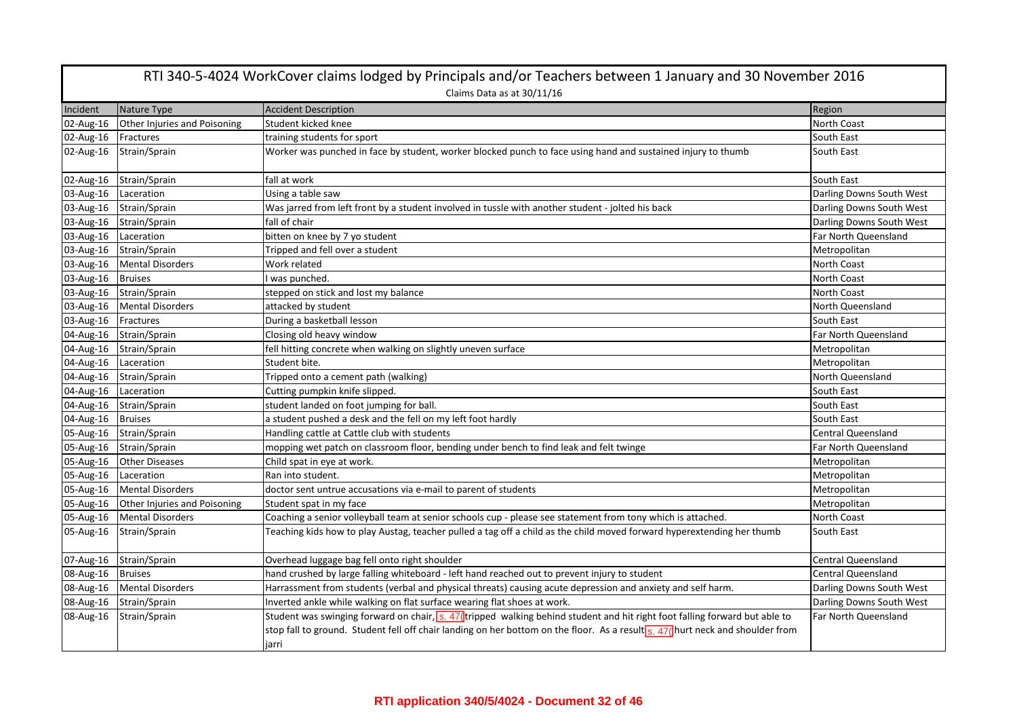| RTI 340-5-4024 WorkCover claims lodged by Principals and/or Teachers between 1 January and 30 November 2016<br>Claims Data as at 30/11/16 |                              |                                                                                                                                                                                                                                                                        |                           |
|-------------------------------------------------------------------------------------------------------------------------------------------|------------------------------|------------------------------------------------------------------------------------------------------------------------------------------------------------------------------------------------------------------------------------------------------------------------|---------------------------|
| Incident                                                                                                                                  | Nature Type                  | <b>Accident Description</b>                                                                                                                                                                                                                                            | Region                    |
| 02-Aug-16                                                                                                                                 | Other Injuries and Poisoning | Student kicked knee                                                                                                                                                                                                                                                    | <b>North Coast</b>        |
| 02-Aug-16                                                                                                                                 | Fractures                    | training students for sport                                                                                                                                                                                                                                            | South East                |
| 02-Aug-16                                                                                                                                 | Strain/Sprain                | Worker was punched in face by student, worker blocked punch to face using hand and sustained injury to thumb                                                                                                                                                           | South East                |
| 02-Aug-16                                                                                                                                 | Strain/Sprain                | fall at work                                                                                                                                                                                                                                                           | South East                |
| 03-Aug-16                                                                                                                                 | Laceration                   | Using a table saw                                                                                                                                                                                                                                                      | Darling Downs South West  |
| 03-Aug-16                                                                                                                                 | Strain/Sprain                | Was jarred from left front by a student involved in tussle with another student - jolted his back                                                                                                                                                                      | Darling Downs South West  |
| 03-Aug-16                                                                                                                                 | Strain/Sprain                | fall of chair                                                                                                                                                                                                                                                          | Darling Downs South West  |
| 03-Aug-16                                                                                                                                 | Laceration                   | bitten on knee by 7 yo student                                                                                                                                                                                                                                         | Far North Queensland      |
| 03-Aug-16                                                                                                                                 | Strain/Sprain                | Tripped and fell over a student                                                                                                                                                                                                                                        | Metropolitan              |
| 03-Aug-16                                                                                                                                 | <b>Mental Disorders</b>      | Work related                                                                                                                                                                                                                                                           | North Coast               |
| 03-Aug-16                                                                                                                                 | <b>Bruises</b>               | I was punched.                                                                                                                                                                                                                                                         | North Coast               |
| 03-Aug-16                                                                                                                                 | Strain/Sprain                | stepped on stick and lost my balance                                                                                                                                                                                                                                   | North Coast               |
| 03-Aug-16                                                                                                                                 | <b>Mental Disorders</b>      | attacked by student                                                                                                                                                                                                                                                    | North Queensland          |
| 03-Aug-16                                                                                                                                 | Fractures                    | During a basketball lesson                                                                                                                                                                                                                                             | South East                |
| 04-Aug-16                                                                                                                                 | Strain/Sprain                | Closing old heavy window                                                                                                                                                                                                                                               | Far North Queensland      |
| 04-Aug-16                                                                                                                                 | Strain/Sprain                | fell hitting concrete when walking on slightly uneven surface                                                                                                                                                                                                          | Metropolitan              |
| 04-Aug-16                                                                                                                                 | Laceration                   | Student bite.                                                                                                                                                                                                                                                          | Metropolitan              |
| 04-Aug-16                                                                                                                                 | Strain/Sprain                | Tripped onto a cement path (walking)                                                                                                                                                                                                                                   | North Queensland          |
| 04-Aug-16                                                                                                                                 | Laceration                   | Cutting pumpkin knife slipped.                                                                                                                                                                                                                                         | South East                |
| 04-Aug-16                                                                                                                                 | Strain/Sprain                | student landed on foot jumping for ball.                                                                                                                                                                                                                               | South East                |
| 04-Aug-16                                                                                                                                 | <b>Bruises</b>               | a student pushed a desk and the fell on my left foot hardly                                                                                                                                                                                                            | South East                |
| 05-Aug-16                                                                                                                                 | Strain/Sprain                | Handling cattle at Cattle club with students                                                                                                                                                                                                                           | <b>Central Queensland</b> |
| 05-Aug-16                                                                                                                                 | Strain/Sprain                | mopping wet patch on classroom floor, bending under bench to find leak and felt twinge                                                                                                                                                                                 | Far North Queensland      |
| 05-Aug-16                                                                                                                                 | <b>Other Diseases</b>        | Child spat in eye at work.                                                                                                                                                                                                                                             | Metropolitan              |
| 05-Aug-16                                                                                                                                 | Laceration                   | Ran into student.                                                                                                                                                                                                                                                      | Metropolitan              |
| 05-Aug-16                                                                                                                                 | <b>Mental Disorders</b>      | doctor sent untrue accusations via e-mail to parent of students                                                                                                                                                                                                        | Metropolitan              |
| 05-Aug-16                                                                                                                                 | Other Injuries and Poisoning | Student spat in my face                                                                                                                                                                                                                                                | Metropolitan              |
| 05-Aug-16                                                                                                                                 | <b>Mental Disorders</b>      | Coaching a senior volleyball team at senior schools cup - please see statement from tony which is attached.                                                                                                                                                            | North Coast               |
| 05-Aug-16                                                                                                                                 | Strain/Sprain                | Teaching kids how to play Austag, teacher pulled a tag off a child as the child moved forward hyperextending her thumb                                                                                                                                                 | South East                |
| 07-Aug-16                                                                                                                                 | Strain/Sprain                | Overhead luggage bag fell onto right shoulder                                                                                                                                                                                                                          | <b>Central Queensland</b> |
| 08-Aug-16                                                                                                                                 | <b>Bruises</b>               | hand crushed by large falling whiteboard - left hand reached out to prevent injury to student                                                                                                                                                                          | <b>Central Queensland</b> |
| 08-Aug-16                                                                                                                                 | <b>Mental Disorders</b>      | Harrassment from students (verbal and physical threats) causing acute depression and anxiety and self harm.                                                                                                                                                            | Darling Downs South West  |
| 08-Aug-16                                                                                                                                 | Strain/Sprain                | Inverted ankle while walking on flat surface wearing flat shoes at work.                                                                                                                                                                                               | Darling Downs South West  |
| 08-Aug-16                                                                                                                                 | Strain/Sprain                | Student was swinging forward on chair, s. 47 (tripped walking behind student and hit right foot falling forward but able to<br>stop fall to ground. Student fell off chair landing on her bottom on the floor. As a result s. 47( hurt neck and shoulder from<br>jarri | Far North Queensland      |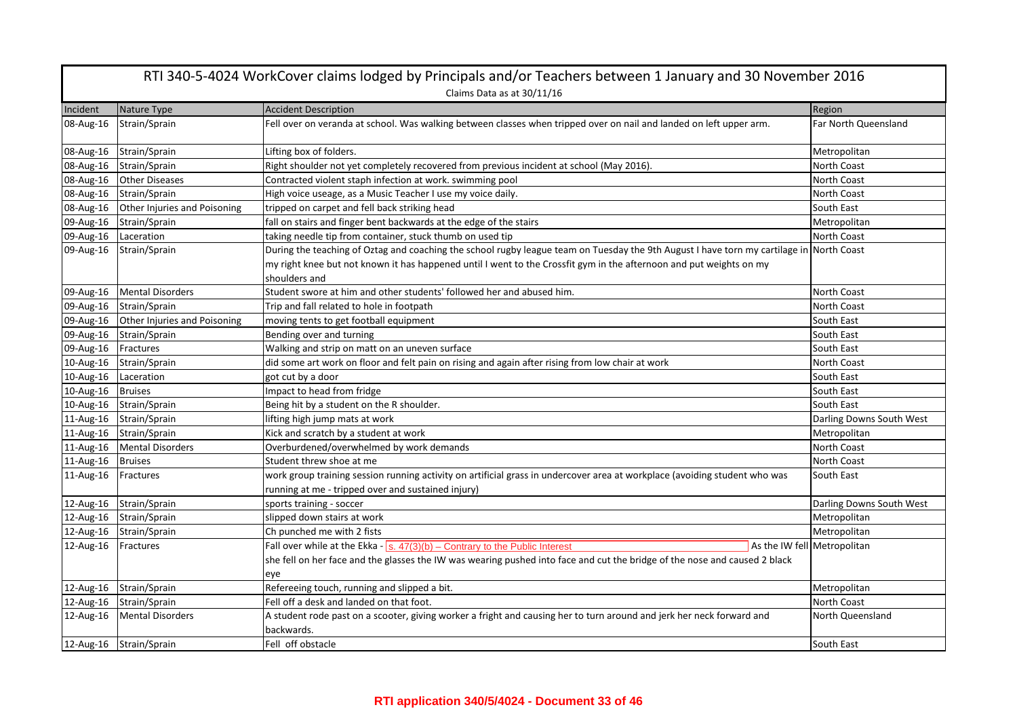|           | RTI 340-5-4024 WorkCover claims lodged by Principals and/or Teachers between 1 January and 30 November 2016 |                                                                                                                                                                                                                                                                                  |                          |  |
|-----------|-------------------------------------------------------------------------------------------------------------|----------------------------------------------------------------------------------------------------------------------------------------------------------------------------------------------------------------------------------------------------------------------------------|--------------------------|--|
|           | Claims Data as at 30/11/16                                                                                  |                                                                                                                                                                                                                                                                                  |                          |  |
| Incident  | Nature Type                                                                                                 | <b>Accident Description</b>                                                                                                                                                                                                                                                      | Region                   |  |
| 08-Aug-16 | Strain/Sprain                                                                                               | Fell over on veranda at school. Was walking between classes when tripped over on nail and landed on left upper arm.                                                                                                                                                              | Far North Queensland     |  |
| 08-Aug-16 | Strain/Sprain                                                                                               | Lifting box of folders.                                                                                                                                                                                                                                                          | Metropolitan             |  |
| 08-Aug-16 | Strain/Sprain                                                                                               | Right shoulder not yet completely recovered from previous incident at school (May 2016).                                                                                                                                                                                         | North Coast              |  |
| 08-Aug-16 | Other Diseases                                                                                              | Contracted violent staph infection at work. swimming pool                                                                                                                                                                                                                        | North Coast              |  |
| 08-Aug-16 | Strain/Sprain                                                                                               | High voice useage, as a Music Teacher I use my voice daily.                                                                                                                                                                                                                      | <b>North Coast</b>       |  |
| 08-Aug-16 | Other Injuries and Poisoning                                                                                | tripped on carpet and fell back striking head                                                                                                                                                                                                                                    | South East               |  |
| 09-Aug-16 | Strain/Sprain                                                                                               | fall on stairs and finger bent backwards at the edge of the stairs                                                                                                                                                                                                               | Metropolitan             |  |
| 09-Aug-16 | Laceration                                                                                                  | taking needle tip from container, stuck thumb on used tip                                                                                                                                                                                                                        | <b>North Coast</b>       |  |
| 09-Aug-16 | Strain/Sprain                                                                                               | During the teaching of Oztag and coaching the school rugby league team on Tuesday the 9th August I have torn my cartilage in North Coast<br>my right knee but not known it has happened until I went to the Crossfit gym in the afternoon and put weights on my<br>shoulders and |                          |  |
| 09-Aug-16 | <b>Mental Disorders</b>                                                                                     | Student swore at him and other students' followed her and abused him.                                                                                                                                                                                                            | <b>North Coast</b>       |  |
| 09-Aug-16 | Strain/Sprain                                                                                               | Trip and fall related to hole in footpath                                                                                                                                                                                                                                        | <b>North Coast</b>       |  |
| 09-Aug-16 | Other Injuries and Poisoning                                                                                | moving tents to get football equipment                                                                                                                                                                                                                                           | South East               |  |
| 09-Aug-16 | Strain/Sprain                                                                                               | Bending over and turning                                                                                                                                                                                                                                                         | South East               |  |
| 09-Aug-16 | Fractures                                                                                                   | Walking and strip on matt on an uneven surface                                                                                                                                                                                                                                   | South East               |  |
| 10-Aug-16 | Strain/Sprain                                                                                               | did some art work on floor and felt pain on rising and again after rising from low chair at work                                                                                                                                                                                 | <b>North Coast</b>       |  |
| 10-Aug-16 | Laceration                                                                                                  | got cut by a door                                                                                                                                                                                                                                                                | South East               |  |
| 10-Aug-16 | <b>Bruises</b>                                                                                              | Impact to head from fridge                                                                                                                                                                                                                                                       | South East               |  |
| 10-Aug-16 | Strain/Sprain                                                                                               | Being hit by a student on the R shoulder.                                                                                                                                                                                                                                        | South East               |  |
| 11-Aug-16 | Strain/Sprain                                                                                               | lifting high jump mats at work                                                                                                                                                                                                                                                   | Darling Downs South West |  |
| 11-Aug-16 | Strain/Sprain                                                                                               | Kick and scratch by a student at work                                                                                                                                                                                                                                            | Metropolitan             |  |
| 11-Aug-16 | <b>Mental Disorders</b>                                                                                     | Overburdened/overwhelmed by work demands                                                                                                                                                                                                                                         | <b>North Coast</b>       |  |
| 11-Aug-16 | <b>Bruises</b>                                                                                              | Student threw shoe at me                                                                                                                                                                                                                                                         | <b>North Coast</b>       |  |
| 11-Aug-16 | Fractures                                                                                                   | work group training session running activity on artificial grass in undercover area at workplace (avoiding student who was<br>running at me - tripped over and sustained injury)                                                                                                 | South East               |  |
| 12-Aug-16 | Strain/Sprain                                                                                               | sports training - soccer                                                                                                                                                                                                                                                         | Darling Downs South West |  |
| 12-Aug-16 | Strain/Sprain                                                                                               | slipped down stairs at work                                                                                                                                                                                                                                                      | Metropolitan             |  |
| 12-Aug-16 | Strain/Sprain                                                                                               | Ch punched me with 2 fists                                                                                                                                                                                                                                                       | Metropolitan             |  |
| 12-Aug-16 | Fractures                                                                                                   | Fall over while at the Ekka - $\sqrt{s}$ . $47(3)(b)$ - Contrary to the Public Interest<br>As the IW fell Metropolitan                                                                                                                                                           |                          |  |
|           |                                                                                                             | she fell on her face and the glasses the IW was wearing pushed into face and cut the bridge of the nose and caused 2 black<br>eye                                                                                                                                                |                          |  |
| 12-Aug-16 | Strain/Sprain                                                                                               | Refereeing touch, running and slipped a bit.                                                                                                                                                                                                                                     | Metropolitan             |  |
| 12-Aug-16 | Strain/Sprain                                                                                               | Fell off a desk and landed on that foot.                                                                                                                                                                                                                                         | North Coast              |  |
| 12-Aug-16 | <b>Mental Disorders</b>                                                                                     | A student rode past on a scooter, giving worker a fright and causing her to turn around and jerk her neck forward and<br>backwards.                                                                                                                                              | North Queensland         |  |
|           | 12-Aug-16 Strain/Sprain                                                                                     | Fell off obstacle                                                                                                                                                                                                                                                                | South East               |  |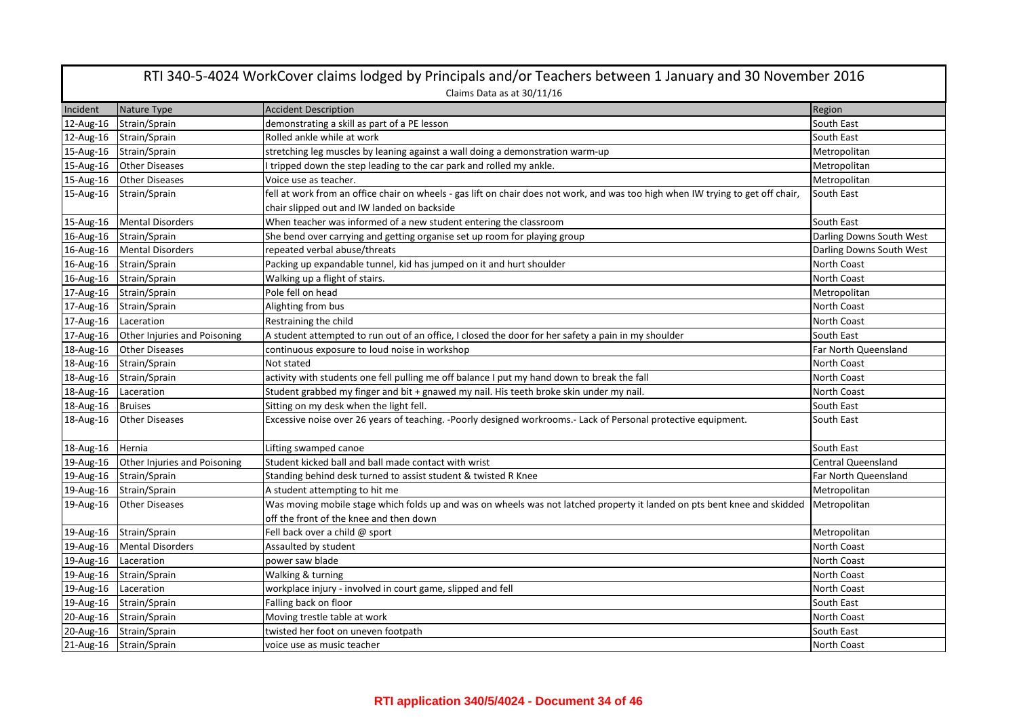| RTI 340-5-4024 WorkCover claims lodged by Principals and/or Teachers between 1 January and 30 November 2016 |                              |                                                                                                                                  |                          |  |
|-------------------------------------------------------------------------------------------------------------|------------------------------|----------------------------------------------------------------------------------------------------------------------------------|--------------------------|--|
|                                                                                                             | Claims Data as at 30/11/16   |                                                                                                                                  |                          |  |
| Incident                                                                                                    | Nature Type                  | <b>Accident Description</b>                                                                                                      | Region                   |  |
| 12-Aug-16                                                                                                   | Strain/Sprain                | demonstrating a skill as part of a PE lesson                                                                                     | South East               |  |
| 12-Aug-16                                                                                                   | Strain/Sprain                | Rolled ankle while at work                                                                                                       | South East               |  |
| 15-Aug-16                                                                                                   | Strain/Sprain                | stretching leg muscles by leaning against a wall doing a demonstration warm-up                                                   | Metropolitan             |  |
| 15-Aug-16                                                                                                   | <b>Other Diseases</b>        | I tripped down the step leading to the car park and rolled my ankle.                                                             | Metropolitan             |  |
| 15-Aug-16                                                                                                   | <b>Other Diseases</b>        | Voice use as teacher.                                                                                                            | Metropolitan             |  |
| 15-Aug-16                                                                                                   | Strain/Sprain                | fell at work from an office chair on wheels - gas lift on chair does not work, and was too high when IW trying to get off chair, | South East               |  |
|                                                                                                             |                              | chair slipped out and IW landed on backside                                                                                      |                          |  |
| 15-Aug-16                                                                                                   | <b>Mental Disorders</b>      | When teacher was informed of a new student entering the classroom                                                                | South East               |  |
| 16-Aug-16                                                                                                   | Strain/Sprain                | She bend over carrying and getting organise set up room for playing group                                                        | Darling Downs South West |  |
| 16-Aug-16                                                                                                   | <b>Mental Disorders</b>      | repeated verbal abuse/threats                                                                                                    | Darling Downs South West |  |
| 16-Aug-16                                                                                                   | Strain/Sprain                | Packing up expandable tunnel, kid has jumped on it and hurt shoulder                                                             | North Coast              |  |
| 16-Aug-16                                                                                                   | Strain/Sprain                | Walking up a flight of stairs.                                                                                                   | North Coast              |  |
|                                                                                                             | 17-Aug-16 Strain/Sprain      | Pole fell on head                                                                                                                | Metropolitan             |  |
| 17-Aug-16                                                                                                   | Strain/Sprain                | Alighting from bus                                                                                                               | North Coast              |  |
| 17-Aug-16                                                                                                   | Laceration                   | Restraining the child                                                                                                            | North Coast              |  |
| 17-Aug-16                                                                                                   | Other Injuries and Poisoning | A student attempted to run out of an office, I closed the door for her safety a pain in my shoulder                              | South East               |  |
| 18-Aug-16                                                                                                   | <b>Other Diseases</b>        | continuous exposure to loud noise in workshop                                                                                    | Far North Queensland     |  |
|                                                                                                             | 18-Aug-16 Strain/Sprain      | Not stated                                                                                                                       | North Coast              |  |
| 18-Aug-16                                                                                                   | Strain/Sprain                | activity with students one fell pulling me off balance I put my hand down to break the fall                                      | North Coast              |  |
| 18-Aug-16                                                                                                   | Laceration                   | Student grabbed my finger and bit + gnawed my nail. His teeth broke skin under my nail.                                          | North Coast              |  |
| 18-Aug-16                                                                                                   | <b>Bruises</b>               | Sitting on my desk when the light fell.                                                                                          | South East               |  |
| 18-Aug-16                                                                                                   | <b>Other Diseases</b>        | Excessive noise over 26 years of teaching. -Poorly designed workrooms.- Lack of Personal protective equipment.                   | South East               |  |
| 18-Aug-16                                                                                                   | Hernia                       | Lifting swamped canoe                                                                                                            | South East               |  |
| 19-Aug-16                                                                                                   | Other Injuries and Poisoning | Student kicked ball and ball made contact with wrist                                                                             | Central Queensland       |  |
| 19-Aug-16                                                                                                   | Strain/Sprain                | Standing behind desk turned to assist student & twisted R Knee                                                                   | Far North Queensland     |  |
| 19-Aug-16                                                                                                   | Strain/Sprain                | A student attempting to hit me                                                                                                   | Metropolitan             |  |
| 19-Aug-16                                                                                                   | <b>Other Diseases</b>        | Was moving mobile stage which folds up and was on wheels was not latched property it landed on pts bent knee and skidded         | Metropolitan             |  |
|                                                                                                             |                              | off the front of the knee and then down                                                                                          |                          |  |
| 19-Aug-16                                                                                                   | Strain/Sprain                | Fell back over a child @ sport                                                                                                   | Metropolitan             |  |
| 19-Aug-16                                                                                                   | <b>Mental Disorders</b>      | Assaulted by student                                                                                                             | North Coast              |  |
| 19-Aug-16                                                                                                   | Laceration                   | power saw blade                                                                                                                  | North Coast              |  |
| 19-Aug-16                                                                                                   | Strain/Sprain                | Walking & turning                                                                                                                | North Coast              |  |
| 19-Aug-16                                                                                                   | Laceration                   | workplace injury - involved in court game, slipped and fell                                                                      | North Coast              |  |
| 19-Aug-16                                                                                                   | Strain/Sprain                | Falling back on floor                                                                                                            | South East               |  |
| 20-Aug-16                                                                                                   | Strain/Sprain                | Moving trestle table at work                                                                                                     | North Coast              |  |
| 20-Aug-16                                                                                                   | Strain/Sprain                | twisted her foot on uneven footpath                                                                                              | South East               |  |
|                                                                                                             | 21-Aug-16 Strain/Sprain      | voice use as music teacher                                                                                                       | <b>North Coast</b>       |  |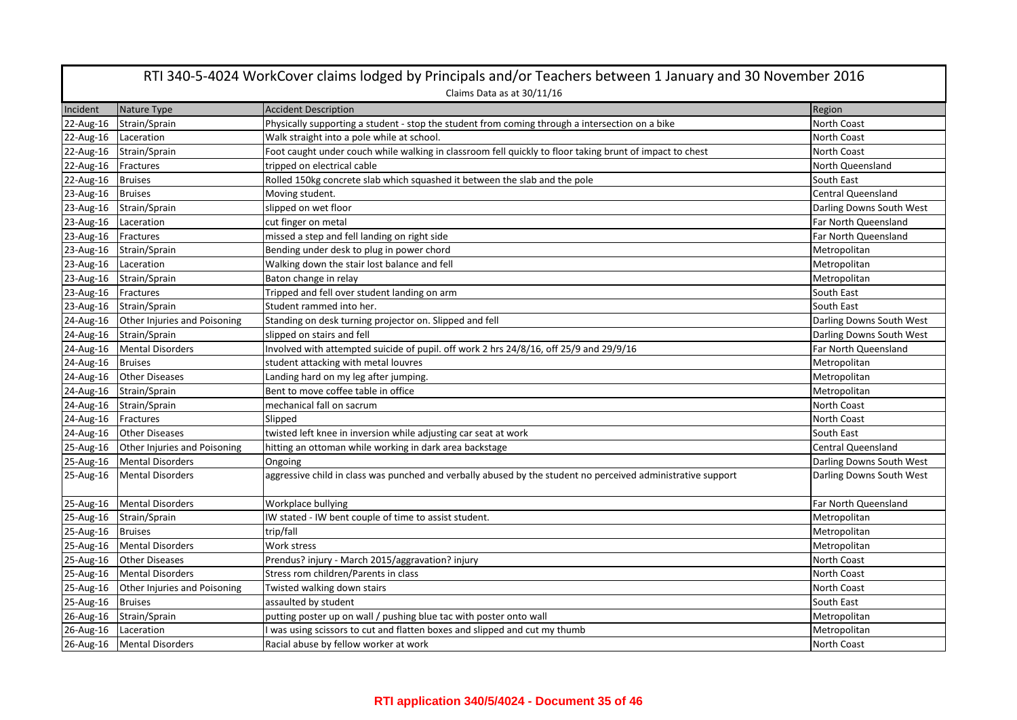|           | RTI 340-5-4024 WorkCover claims lodged by Principals and/or Teachers between 1 January and 30 November 2016 |                                                                                                              |                           |  |
|-----------|-------------------------------------------------------------------------------------------------------------|--------------------------------------------------------------------------------------------------------------|---------------------------|--|
|           |                                                                                                             | Claims Data as at 30/11/16                                                                                   |                           |  |
| Incident  | Nature Type                                                                                                 | <b>Accident Description</b>                                                                                  | Region                    |  |
| 22-Aug-16 | Strain/Sprain                                                                                               | Physically supporting a student - stop the student from coming through a intersection on a bike              | North Coast               |  |
| 22-Aug-16 | Laceration                                                                                                  | Walk straight into a pole while at school.                                                                   | North Coast               |  |
| 22-Aug-16 | Strain/Sprain                                                                                               | Foot caught under couch while walking in classroom fell quickly to floor taking brunt of impact to chest     | North Coast               |  |
| 22-Aug-16 | Fractures                                                                                                   | tripped on electrical cable                                                                                  | North Queensland          |  |
| 22-Aug-16 | <b>Bruises</b>                                                                                              | Rolled 150kg concrete slab which squashed it between the slab and the pole                                   | South East                |  |
| 23-Aug-16 | <b>Bruises</b>                                                                                              | Moving student.                                                                                              | <b>Central Queensland</b> |  |
| 23-Aug-16 | Strain/Sprain                                                                                               | slipped on wet floor                                                                                         | Darling Downs South West  |  |
| 23-Aug-16 | Laceration                                                                                                  | cut finger on metal                                                                                          | Far North Queensland      |  |
| 23-Aug-16 | Fractures                                                                                                   | missed a step and fell landing on right side                                                                 | Far North Queensland      |  |
| 23-Aug-16 | Strain/Sprain                                                                                               | Bending under desk to plug in power chord                                                                    | Metropolitan              |  |
| 23-Aug-16 | Laceration                                                                                                  | Walking down the stair lost balance and fell                                                                 | Metropolitan              |  |
| 23-Aug-16 | Strain/Sprain                                                                                               | Baton change in relay                                                                                        | Metropolitan              |  |
| 23-Aug-16 | Fractures                                                                                                   | Tripped and fell over student landing on arm                                                                 | South East                |  |
| 23-Aug-16 | Strain/Sprain                                                                                               | Student rammed into her.                                                                                     | South East                |  |
| 24-Aug-16 | Other Injuries and Poisoning                                                                                | Standing on desk turning projector on. Slipped and fell                                                      | Darling Downs South West  |  |
| 24-Aug-16 | Strain/Sprain                                                                                               | slipped on stairs and fell                                                                                   | Darling Downs South West  |  |
| 24-Aug-16 | <b>Mental Disorders</b>                                                                                     | Involved with attempted suicide of pupil. off work 2 hrs 24/8/16, off 25/9 and 29/9/16                       | Far North Queensland      |  |
| 24-Aug-16 | <b>Bruises</b>                                                                                              | student attacking with metal louvres                                                                         | Metropolitan              |  |
| 24-Aug-16 | <b>Other Diseases</b>                                                                                       | Landing hard on my leg after jumping.                                                                        | Metropolitan              |  |
| 24-Aug-16 | Strain/Sprain                                                                                               | Bent to move coffee table in office                                                                          | Metropolitan              |  |
| 24-Aug-16 | Strain/Sprain                                                                                               | mechanical fall on sacrum                                                                                    | North Coast               |  |
| 24-Aug-16 | Fractures                                                                                                   | Slipped                                                                                                      | North Coast               |  |
| 24-Aug-16 | <b>Other Diseases</b>                                                                                       | twisted left knee in inversion while adjusting car seat at work                                              | South East                |  |
| 25-Aug-16 | Other Injuries and Poisoning                                                                                | hitting an ottoman while working in dark area backstage                                                      | <b>Central Queensland</b> |  |
| 25-Aug-16 | <b>Mental Disorders</b>                                                                                     | Ongoing                                                                                                      | Darling Downs South West  |  |
| 25-Aug-16 | <b>Mental Disorders</b>                                                                                     | aggressive child in class was punched and verbally abused by the student no perceived administrative support | Darling Downs South West  |  |
| 25-Aug-16 | <b>Mental Disorders</b>                                                                                     | Workplace bullying                                                                                           | Far North Queensland      |  |
| 25-Aug-16 | Strain/Sprain                                                                                               | IW stated - IW bent couple of time to assist student.                                                        | Metropolitan              |  |
| 25-Aug-16 | <b>Bruises</b>                                                                                              | trip/fall                                                                                                    | Metropolitan              |  |
| 25-Aug-16 | <b>Mental Disorders</b>                                                                                     | Work stress                                                                                                  | Metropolitan              |  |
| 25-Aug-16 | <b>Other Diseases</b>                                                                                       | Prendus? injury - March 2015/aggravation? injury                                                             | North Coast               |  |
| 25-Aug-16 | Mental Disorders                                                                                            | Stress rom children/Parents in class                                                                         | North Coast               |  |
| 25-Aug-16 | Other Injuries and Poisoning                                                                                | Twisted walking down stairs                                                                                  | North Coast               |  |
| 25-Aug-16 | <b>Bruises</b>                                                                                              | assaulted by student                                                                                         | South East                |  |
| 26-Aug-16 | Strain/Sprain                                                                                               | putting poster up on wall / pushing blue tac with poster onto wall                                           | Metropolitan              |  |
| 26-Aug-16 | Laceration                                                                                                  | I was using scissors to cut and flatten boxes and slipped and cut my thumb                                   | Metropolitan              |  |
| 26-Aug-16 | <b>Mental Disorders</b>                                                                                     | Racial abuse by fellow worker at work                                                                        | North Coast               |  |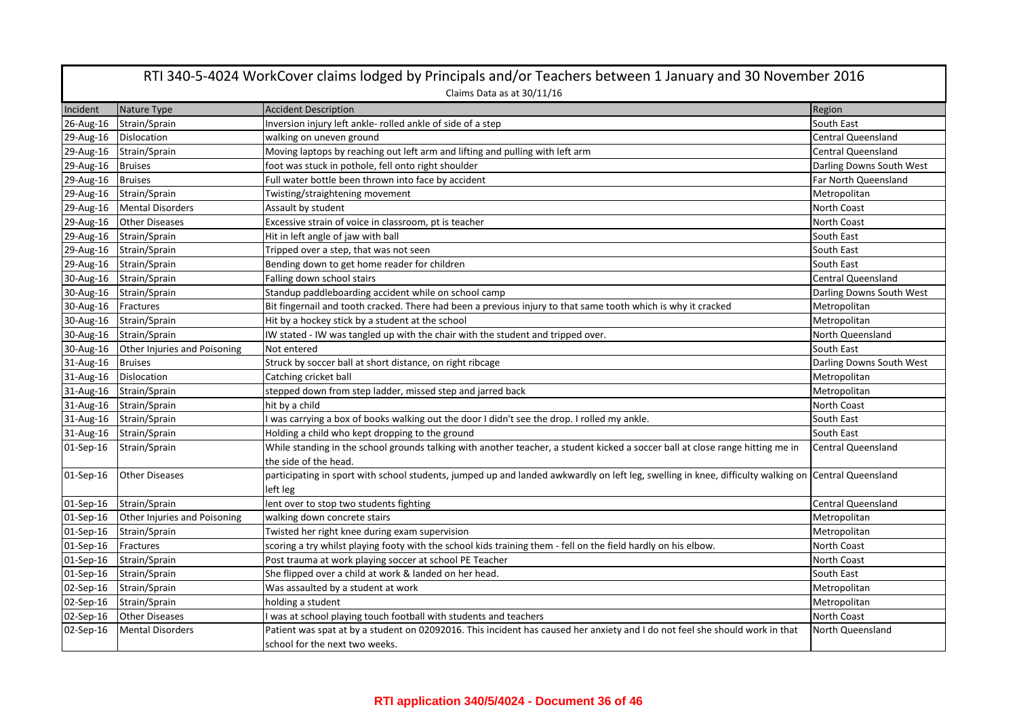|           | RTI 340-5-4024 WorkCover claims lodged by Principals and/or Teachers between 1 January and 30 November 2016 |                                                                                                                                  |                           |  |
|-----------|-------------------------------------------------------------------------------------------------------------|----------------------------------------------------------------------------------------------------------------------------------|---------------------------|--|
|           | Claims Data as at 30/11/16                                                                                  |                                                                                                                                  |                           |  |
| Incident  | Nature Type                                                                                                 | <b>Accident Description</b>                                                                                                      | Region                    |  |
| 26-Aug-16 | Strain/Sprain                                                                                               | Inversion injury left ankle- rolled ankle of side of a step                                                                      | South East                |  |
| 29-Aug-16 | Dislocation                                                                                                 | walking on uneven ground                                                                                                         | <b>Central Queensland</b> |  |
| 29-Aug-16 | Strain/Sprain                                                                                               | Moving laptops by reaching out left arm and lifting and pulling with left arm                                                    | <b>Central Queensland</b> |  |
| 29-Aug-16 | <b>Bruises</b>                                                                                              | foot was stuck in pothole, fell onto right shoulder                                                                              | Darling Downs South West  |  |
| 29-Aug-16 | <b>Bruises</b>                                                                                              | Full water bottle been thrown into face by accident                                                                              | Far North Queensland      |  |
| 29-Aug-16 | Strain/Sprain                                                                                               | Twisting/straightening movement                                                                                                  | Metropolitan              |  |
| 29-Aug-16 | <b>Mental Disorders</b>                                                                                     | Assault by student                                                                                                               | North Coast               |  |
| 29-Aug-16 | <b>Other Diseases</b>                                                                                       | Excessive strain of voice in classroom, pt is teacher                                                                            | <b>North Coast</b>        |  |
| 29-Aug-16 | Strain/Sprain                                                                                               | Hit in left angle of jaw with ball                                                                                               | South East                |  |
| 29-Aug-16 | Strain/Sprain                                                                                               | Tripped over a step, that was not seen                                                                                           | South East                |  |
| 29-Aug-16 | Strain/Sprain                                                                                               | Bending down to get home reader for children                                                                                     | South East                |  |
| 30-Aug-16 | Strain/Sprain                                                                                               | Falling down school stairs                                                                                                       | <b>Central Queensland</b> |  |
| 30-Aug-16 | Strain/Sprain                                                                                               | Standup paddleboarding accident while on school camp                                                                             | Darling Downs South West  |  |
| 30-Aug-16 | Fractures                                                                                                   | Bit fingernail and tooth cracked. There had been a previous injury to that same tooth which is why it cracked                    | Metropolitan              |  |
| 30-Aug-16 | Strain/Sprain                                                                                               | Hit by a hockey stick by a student at the school                                                                                 | Metropolitan              |  |
| 30-Aug-16 | Strain/Sprain                                                                                               | IW stated - IW was tangled up with the chair with the student and tripped over.                                                  | North Queensland          |  |
| 30-Aug-16 | Other Injuries and Poisoning                                                                                | Not entered                                                                                                                      | South East                |  |
| 31-Aug-16 | <b>Bruises</b>                                                                                              | Struck by soccer ball at short distance, on right ribcage                                                                        | Darling Downs South West  |  |
| 31-Aug-16 | <b>Dislocation</b>                                                                                          | Catching cricket ball                                                                                                            | Metropolitan              |  |
| 31-Aug-16 | Strain/Sprain                                                                                               | stepped down from step ladder, missed step and jarred back                                                                       | Metropolitan              |  |
| 31-Aug-16 | Strain/Sprain                                                                                               | hit by a child                                                                                                                   | North Coast               |  |
| 31-Aug-16 | Strain/Sprain                                                                                               | I was carrying a box of books walking out the door I didn't see the drop. I rolled my ankle.                                     | South East                |  |
| 31-Aug-16 | Strain/Sprain                                                                                               | Holding a child who kept dropping to the ground                                                                                  | South East                |  |
| 01-Sep-16 | Strain/Sprain                                                                                               | While standing in the school grounds talking with another teacher, a student kicked a soccer ball at close range hitting me in   | <b>Central Queensland</b> |  |
|           |                                                                                                             | the side of the head.                                                                                                            |                           |  |
| 01-Sep-16 | <b>Other Diseases</b>                                                                                       | participating in sport with school students, jumped up and landed awkwardly on left leg, swelling in knee, difficulty walking on | <b>Central Queensland</b> |  |
|           |                                                                                                             | left leg                                                                                                                         |                           |  |
| 01-Sep-16 | Strain/Sprain                                                                                               | lent over to stop two students fighting                                                                                          | <b>Central Queensland</b> |  |
| 01-Sep-16 | Other Injuries and Poisoning                                                                                | walking down concrete stairs                                                                                                     | Metropolitan              |  |
| 01-Sep-16 | Strain/Sprain                                                                                               | Twisted her right knee during exam supervision                                                                                   | Metropolitan              |  |
| 01-Sep-16 | Fractures                                                                                                   | scoring a try whilst playing footy with the school kids training them - fell on the field hardly on his elbow.                   | North Coast               |  |
| 01-Sep-16 | Strain/Sprain                                                                                               | Post trauma at work playing soccer at school PE Teacher                                                                          | North Coast               |  |
| 01-Sep-16 | Strain/Sprain                                                                                               | She flipped over a child at work & landed on her head.                                                                           | South East                |  |
| 02-Sep-16 | Strain/Sprain                                                                                               | Was assaulted by a student at work                                                                                               | Metropolitan              |  |
| 02-Sep-16 | Strain/Sprain                                                                                               | holding a student                                                                                                                | Metropolitan              |  |
| 02-Sep-16 | <b>Other Diseases</b>                                                                                       | I was at school playing touch football with students and teachers                                                                | North Coast               |  |
| 02-Sep-16 | <b>Mental Disorders</b>                                                                                     | Patient was spat at by a student on 02092016. This incident has caused her anxiety and I do not feel she should work in that     | North Queensland          |  |
|           |                                                                                                             | school for the next two weeks.                                                                                                   |                           |  |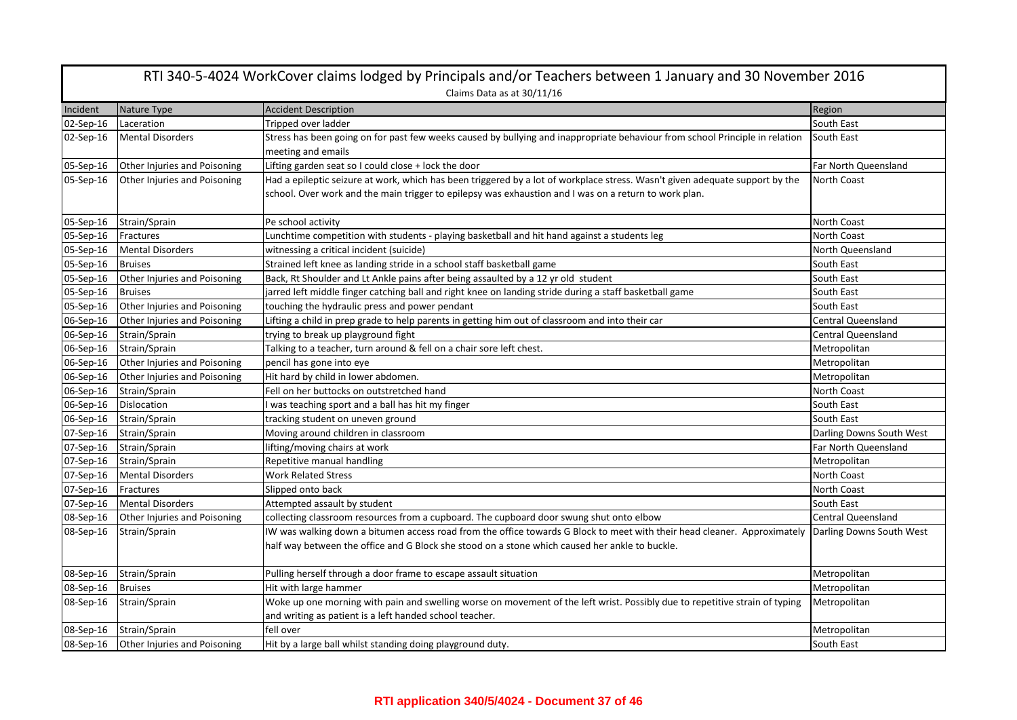| RTI 340-5-4024 WorkCover claims lodged by Principals and/or Teachers between 1 January and 30 November 2016 |                                     |                                                                                                                                                                                                                                                     |                           |  |
|-------------------------------------------------------------------------------------------------------------|-------------------------------------|-----------------------------------------------------------------------------------------------------------------------------------------------------------------------------------------------------------------------------------------------------|---------------------------|--|
|                                                                                                             | Claims Data as at 30/11/16          |                                                                                                                                                                                                                                                     |                           |  |
| Incident                                                                                                    | Nature Type                         | <b>Accident Description</b>                                                                                                                                                                                                                         | Region                    |  |
| 02-Sep-16                                                                                                   | Laceration                          | Tripped over ladder                                                                                                                                                                                                                                 | South East                |  |
| 02-Sep-16                                                                                                   | <b>Mental Disorders</b>             | Stress has been going on for past few weeks caused by bullying and inappropriate behaviour from school Principle in relation<br>meeting and emails                                                                                                  | South East                |  |
| 05-Sep-16                                                                                                   | Other Injuries and Poisoning        | Lifting garden seat so I could close + lock the door                                                                                                                                                                                                | Far North Queensland      |  |
| 05-Sep-16                                                                                                   | Other Injuries and Poisoning        | Had a epileptic seizure at work, which has been triggered by a lot of workplace stress. Wasn't given adequate support by the<br>school. Over work and the main trigger to epilepsy was exhaustion and I was on a return to work plan.               | North Coast               |  |
| 05-Sep-16                                                                                                   | Strain/Sprain                       | Pe school activity                                                                                                                                                                                                                                  | North Coast               |  |
| 05-Sep-16                                                                                                   | Fractures                           | Lunchtime competition with students - playing basketball and hit hand against a students leg                                                                                                                                                        | <b>North Coast</b>        |  |
| 05-Sep-16                                                                                                   | <b>Mental Disorders</b>             | witnessing a critical incident (suicide)                                                                                                                                                                                                            | North Queensland          |  |
| 05-Sep-16                                                                                                   | <b>Bruises</b>                      | Strained left knee as landing stride in a school staff basketball game                                                                                                                                                                              | South East                |  |
| 05-Sep-16                                                                                                   | Other Injuries and Poisoning        | Back, Rt Shoulder and Lt Ankle pains after being assaulted by a 12 yr old student                                                                                                                                                                   | South East                |  |
| 05-Sep-16                                                                                                   | <b>Bruises</b>                      | jarred left middle finger catching ball and right knee on landing stride during a staff basketball game                                                                                                                                             | South East                |  |
| 05-Sep-16                                                                                                   | Other Injuries and Poisoning        | touching the hydraulic press and power pendant                                                                                                                                                                                                      | South East                |  |
| 06-Sep-16                                                                                                   | Other Injuries and Poisoning        | Lifting a child in prep grade to help parents in getting him out of classroom and into their car                                                                                                                                                    | <b>Central Queensland</b> |  |
| 06-Sep-16                                                                                                   | Strain/Sprain                       | trying to break up playground fight                                                                                                                                                                                                                 | Central Queensland        |  |
| 06-Sep-16                                                                                                   | Strain/Sprain                       | Talking to a teacher, turn around & fell on a chair sore left chest.                                                                                                                                                                                | Metropolitan              |  |
| 06-Sep-16                                                                                                   | Other Injuries and Poisoning        | pencil has gone into eye                                                                                                                                                                                                                            | Metropolitan              |  |
| 06-Sep-16                                                                                                   | Other Injuries and Poisoning        | Hit hard by child in lower abdomen.                                                                                                                                                                                                                 | Metropolitan              |  |
| 06-Sep-16                                                                                                   | Strain/Sprain                       | Fell on her buttocks on outstretched hand                                                                                                                                                                                                           | North Coast               |  |
| 06-Sep-16                                                                                                   | Dislocation                         | I was teaching sport and a ball has hit my finger                                                                                                                                                                                                   | South East                |  |
| 06-Sep-16                                                                                                   | Strain/Sprain                       | tracking student on uneven ground                                                                                                                                                                                                                   | South East                |  |
| 07-Sep-16                                                                                                   | Strain/Sprain                       | Moving around children in classroom                                                                                                                                                                                                                 | Darling Downs South West  |  |
| 07-Sep-16                                                                                                   | Strain/Sprain                       | lifting/moving chairs at work                                                                                                                                                                                                                       | Far North Queensland      |  |
| 07-Sep-16                                                                                                   | Strain/Sprain                       | Repetitive manual handling                                                                                                                                                                                                                          | Metropolitan              |  |
| 07-Sep-16                                                                                                   | <b>Mental Disorders</b>             | <b>Work Related Stress</b>                                                                                                                                                                                                                          | North Coast               |  |
| 07-Sep-16                                                                                                   | Fractures                           | Slipped onto back                                                                                                                                                                                                                                   | North Coast               |  |
| 07-Sep-16                                                                                                   | <b>Mental Disorders</b>             | Attempted assault by student                                                                                                                                                                                                                        | South East                |  |
| 08-Sep-16                                                                                                   | Other Injuries and Poisoning        | collecting classroom resources from a cupboard. The cupboard door swung shut onto elbow                                                                                                                                                             | <b>Central Queensland</b> |  |
| 08-Sep-16                                                                                                   | Strain/Sprain                       | IW was walking down a bitumen access road from the office towards G Block to meet with their head cleaner. Approximately Darling Downs South West<br>half way between the office and G Block she stood on a stone which caused her ankle to buckle. |                           |  |
| 08-Sep-16                                                                                                   | Strain/Sprain                       | Pulling herself through a door frame to escape assault situation                                                                                                                                                                                    | Metropolitan              |  |
| 08-Sep-16                                                                                                   | <b>Bruises</b>                      | Hit with large hammer                                                                                                                                                                                                                               | Metropolitan              |  |
| 08-Sep-16                                                                                                   | Strain/Sprain                       | Woke up one morning with pain and swelling worse on movement of the left wrist. Possibly due to repetitive strain of typing<br>and writing as patient is a left handed school teacher.                                                              | Metropolitan              |  |
| 08-Sep-16                                                                                                   | Strain/Sprain                       | fell over                                                                                                                                                                                                                                           | Metropolitan              |  |
| 08-Sep-16                                                                                                   | <b>Other Injuries and Poisoning</b> | Hit by a large ball whilst standing doing playground duty.                                                                                                                                                                                          | South East                |  |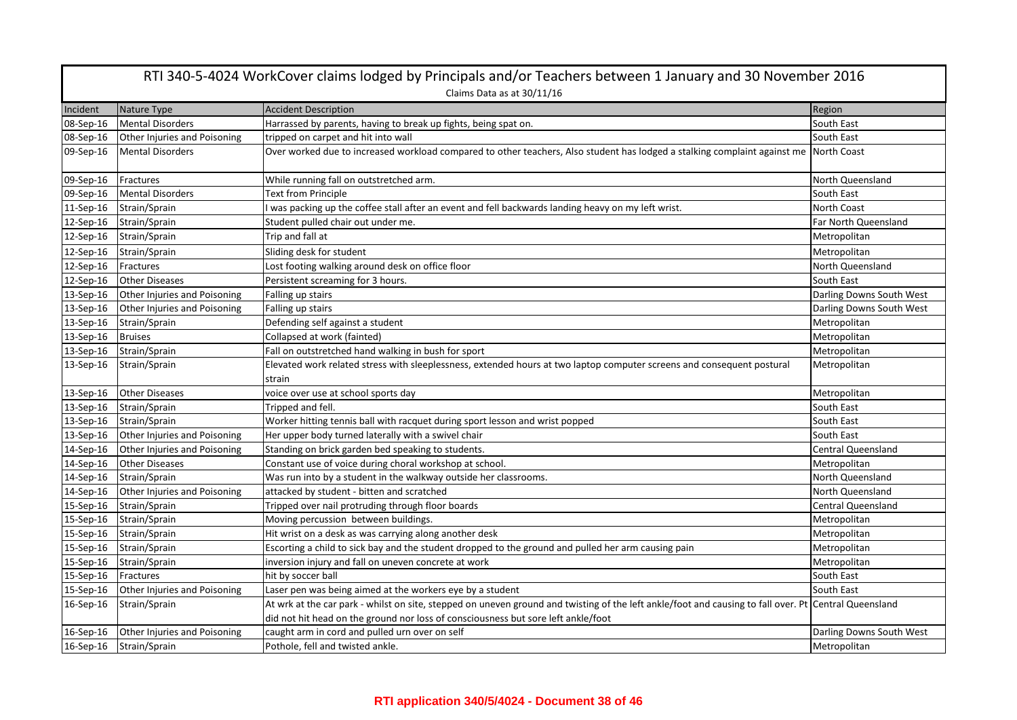|           | RTI 340-5-4024 WorkCover claims lodged by Principals and/or Teachers between 1 January and 30 November 2016 |                                                                                                                                                                                                                                            |                           |  |  |
|-----------|-------------------------------------------------------------------------------------------------------------|--------------------------------------------------------------------------------------------------------------------------------------------------------------------------------------------------------------------------------------------|---------------------------|--|--|
|           | Claims Data as at 30/11/16                                                                                  |                                                                                                                                                                                                                                            |                           |  |  |
| Incident  | Nature Type                                                                                                 | <b>Accident Description</b>                                                                                                                                                                                                                | Region                    |  |  |
| 08-Sep-16 | <b>Mental Disorders</b>                                                                                     | Harrassed by parents, having to break up fights, being spat on.                                                                                                                                                                            | South East                |  |  |
| 08-Sep-16 | <b>Other Injuries and Poisoning</b>                                                                         | tripped on carpet and hit into wall                                                                                                                                                                                                        | South East                |  |  |
| 09-Sep-16 | <b>Mental Disorders</b>                                                                                     | Over worked due to increased workload compared to other teachers, Also student has lodged a stalking complaint against me North Coast                                                                                                      |                           |  |  |
| 09-Sep-16 | Fractures                                                                                                   | While running fall on outstretched arm.                                                                                                                                                                                                    | North Queensland          |  |  |
| 09-Sep-16 | <b>Mental Disorders</b>                                                                                     | Text from Principle                                                                                                                                                                                                                        | South East                |  |  |
| 11-Sep-16 | Strain/Sprain                                                                                               | I was packing up the coffee stall after an event and fell backwards landing heavy on my left wrist.                                                                                                                                        | North Coast               |  |  |
| 12-Sep-16 | Strain/Sprain                                                                                               | Student pulled chair out under me.                                                                                                                                                                                                         | Far North Queensland      |  |  |
| 12-Sep-16 | Strain/Sprain                                                                                               | Trip and fall at                                                                                                                                                                                                                           | Metropolitan              |  |  |
| 12-Sep-16 | Strain/Sprain                                                                                               | Sliding desk for student                                                                                                                                                                                                                   | Metropolitan              |  |  |
| 12-Sep-16 | Fractures                                                                                                   | Lost footing walking around desk on office floor                                                                                                                                                                                           | North Queensland          |  |  |
| 12-Sep-16 | <b>Other Diseases</b>                                                                                       | Persistent screaming for 3 hours.                                                                                                                                                                                                          | South East                |  |  |
| 13-Sep-16 | Other Injuries and Poisoning                                                                                | Falling up stairs                                                                                                                                                                                                                          | Darling Downs South West  |  |  |
| 13-Sep-16 | Other Injuries and Poisoning                                                                                | Falling up stairs                                                                                                                                                                                                                          | Darling Downs South West  |  |  |
| 13-Sep-16 | Strain/Sprain                                                                                               | Defending self against a student                                                                                                                                                                                                           | Metropolitan              |  |  |
| 13-Sep-16 | <b>Bruises</b>                                                                                              | Collapsed at work (fainted)                                                                                                                                                                                                                | Metropolitan              |  |  |
| 13-Sep-16 | Strain/Sprain                                                                                               | Fall on outstretched hand walking in bush for sport                                                                                                                                                                                        | Metropolitan              |  |  |
| 13-Sep-16 | Strain/Sprain                                                                                               | Elevated work related stress with sleeplessness, extended hours at two laptop computer screens and consequent postural<br>strain                                                                                                           | Metropolitan              |  |  |
| 13-Sep-16 | <b>Other Diseases</b>                                                                                       | voice over use at school sports day                                                                                                                                                                                                        | Metropolitan              |  |  |
| 13-Sep-16 | Strain/Sprain                                                                                               | Tripped and fell.                                                                                                                                                                                                                          | South East                |  |  |
| 13-Sep-16 | Strain/Sprain                                                                                               | Worker hitting tennis ball with racquet during sport lesson and wrist popped                                                                                                                                                               | South East                |  |  |
| 13-Sep-16 | Other Injuries and Poisoning                                                                                | Her upper body turned laterally with a swivel chair                                                                                                                                                                                        | South East                |  |  |
| 14-Sep-16 | Other Injuries and Poisoning                                                                                | Standing on brick garden bed speaking to students.                                                                                                                                                                                         | Central Queensland        |  |  |
| 14-Sep-16 | <b>Other Diseases</b>                                                                                       |                                                                                                                                                                                                                                            | Metropolitan              |  |  |
|           |                                                                                                             | Constant use of voice during choral workshop at school.                                                                                                                                                                                    |                           |  |  |
| 14-Sep-16 | Strain/Sprain                                                                                               | Was run into by a student in the walkway outside her classrooms.                                                                                                                                                                           | North Queensland          |  |  |
| 14-Sep-16 | Other Injuries and Poisoning                                                                                | attacked by student - bitten and scratched                                                                                                                                                                                                 | North Queensland          |  |  |
| 15-Sep-16 | Strain/Sprain                                                                                               | Tripped over nail protruding through floor boards                                                                                                                                                                                          | <b>Central Queensland</b> |  |  |
| 15-Sep-16 | Strain/Sprain                                                                                               | Moving percussion between buildings.                                                                                                                                                                                                       | Metropolitan              |  |  |
| 15-Sep-16 | Strain/Sprain                                                                                               | Hit wrist on a desk as was carrying along another desk                                                                                                                                                                                     | Metropolitan              |  |  |
| 15-Sep-16 | Strain/Sprain                                                                                               | Escorting a child to sick bay and the student dropped to the ground and pulled her arm causing pain                                                                                                                                        | Metropolitan              |  |  |
| 15-Sep-16 | Strain/Sprain                                                                                               | inversion injury and fall on uneven concrete at work                                                                                                                                                                                       | Metropolitan              |  |  |
| 15-Sep-16 | Fractures                                                                                                   | hit by soccer ball                                                                                                                                                                                                                         | South East                |  |  |
| 15-Sep-16 | Other Injuries and Poisoning                                                                                | Laser pen was being aimed at the workers eye by a student                                                                                                                                                                                  | South East                |  |  |
| 16-Sep-16 | Strain/Sprain                                                                                               | At wrk at the car park - whilst on site, stepped on uneven ground and twisting of the left ankle/foot and causing to fall over. Pt Central Queensland<br>did not hit head on the ground nor loss of consciousness but sore left ankle/foot |                           |  |  |
| 16-Sep-16 | Other Injuries and Poisoning                                                                                | caught arm in cord and pulled urn over on self                                                                                                                                                                                             | Darling Downs South West  |  |  |
| 16-Sep-16 | Strain/Sprain                                                                                               | Pothole, fell and twisted ankle.                                                                                                                                                                                                           | Metropolitan              |  |  |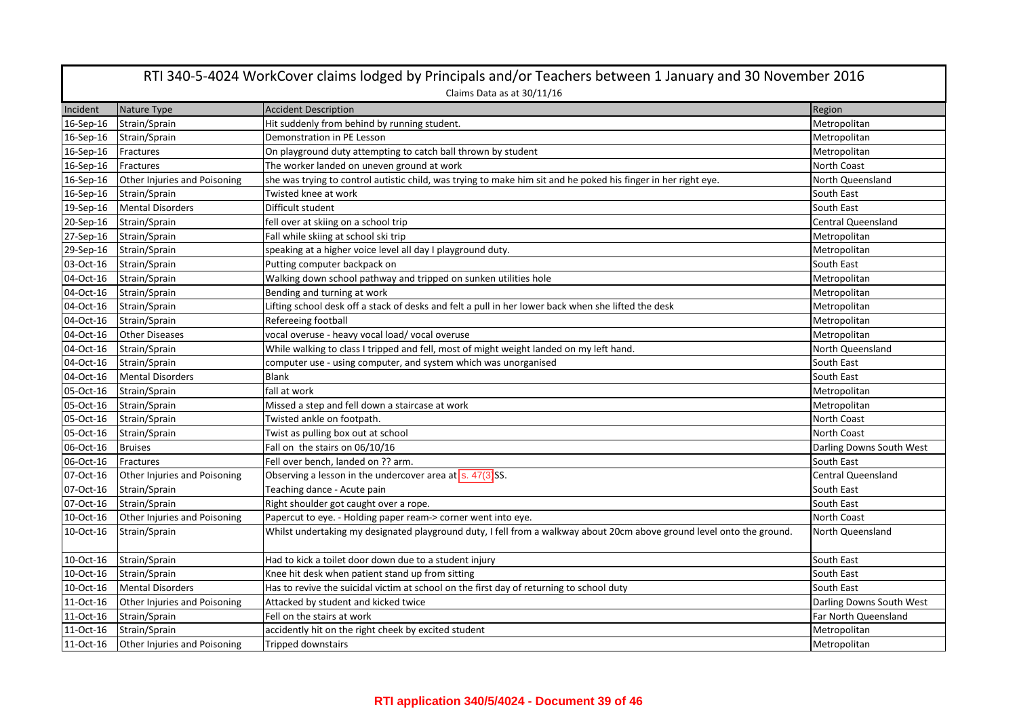| RTI 340-5-4024 WorkCover claims lodged by Principals and/or Teachers between 1 January and 30 November 2016 |                              |                                                                                                                        |                           |  |
|-------------------------------------------------------------------------------------------------------------|------------------------------|------------------------------------------------------------------------------------------------------------------------|---------------------------|--|
|                                                                                                             |                              | Claims Data as at 30/11/16                                                                                             |                           |  |
| Incident                                                                                                    | Nature Type                  | <b>Accident Description</b>                                                                                            | Region                    |  |
| 16-Sep-16                                                                                                   | Strain/Sprain                | Hit suddenly from behind by running student.                                                                           | Metropolitan              |  |
| 16-Sep-16                                                                                                   | Strain/Sprain                | Demonstration in PE Lesson                                                                                             | Metropolitan              |  |
| 16-Sep-16                                                                                                   | Fractures                    | On playground duty attempting to catch ball thrown by student                                                          | Metropolitan              |  |
| 16-Sep-16                                                                                                   | Fractures                    | The worker landed on uneven ground at work                                                                             | <b>North Coast</b>        |  |
| 16-Sep-16                                                                                                   | Other Injuries and Poisoning | she was trying to control autistic child, was trying to make him sit and he poked his finger in her right eye.         | North Queensland          |  |
| 16-Sep-16                                                                                                   | Strain/Sprain                | Twisted knee at work                                                                                                   | South East                |  |
| 19-Sep-16                                                                                                   | <b>Mental Disorders</b>      | Difficult student                                                                                                      | South East                |  |
| 20-Sep-16                                                                                                   | Strain/Sprain                | fell over at skiing on a school trip                                                                                   | <b>Central Queensland</b> |  |
| 27-Sep-16                                                                                                   | Strain/Sprain                | Fall while skiing at school ski trip                                                                                   | Metropolitan              |  |
| 29-Sep-16                                                                                                   | Strain/Sprain                | speaking at a higher voice level all day I playground duty.                                                            | Metropolitan              |  |
| 03-Oct-16                                                                                                   | Strain/Sprain                | Putting computer backpack on                                                                                           | South East                |  |
| 04-Oct-16                                                                                                   | Strain/Sprain                | Walking down school pathway and tripped on sunken utilities hole                                                       | Metropolitan              |  |
| 04-Oct-16                                                                                                   | Strain/Sprain                | Bending and turning at work                                                                                            | Metropolitan              |  |
| 04-Oct-16                                                                                                   | Strain/Sprain                | Lifting school desk off a stack of desks and felt a pull in her lower back when she lifted the desk                    | Metropolitan              |  |
| 04-Oct-16                                                                                                   | Strain/Sprain                | Refereeing football                                                                                                    | Metropolitan              |  |
| 04-Oct-16                                                                                                   | <b>Other Diseases</b>        | vocal overuse - heavy vocal load/vocal overuse                                                                         | Metropolitan              |  |
| 04-Oct-16                                                                                                   | Strain/Sprain                | While walking to class I tripped and fell, most of might weight landed on my left hand.                                | North Queensland          |  |
| 04-Oct-16                                                                                                   | Strain/Sprain                | computer use - using computer, and system which was unorganised                                                        | South East                |  |
| 04-Oct-16                                                                                                   | <b>Mental Disorders</b>      | <b>Blank</b>                                                                                                           | South East                |  |
| 05-Oct-16                                                                                                   | Strain/Sprain                | fall at work                                                                                                           | Metropolitan              |  |
| 05-Oct-16                                                                                                   | Strain/Sprain                | Missed a step and fell down a staircase at work                                                                        | Metropolitan              |  |
| 05-Oct-16                                                                                                   | Strain/Sprain                | Twisted ankle on footpath.                                                                                             | North Coast               |  |
| 05-Oct-16                                                                                                   | Strain/Sprain                | Twist as pulling box out at school                                                                                     | North Coast               |  |
| 06-Oct-16                                                                                                   | <b>Bruises</b>               | Fall on the stairs on 06/10/16                                                                                         | Darling Downs South West  |  |
| 06-Oct-16                                                                                                   | Fractures                    | Fell over bench, landed on ?? arm.                                                                                     | South East                |  |
| 07-Oct-16                                                                                                   | Other Injuries and Poisoning | Observing a lesson in the undercover area at $\boxed{\text{s. }47(3)}$ SS.                                             | <b>Central Queensland</b> |  |
| 07-Oct-16                                                                                                   | Strain/Sprain                | Teaching dance - Acute pain                                                                                            | South East                |  |
| 07-Oct-16                                                                                                   | Strain/Sprain                | Right shoulder got caught over a rope.                                                                                 | South East                |  |
| 10-Oct-16                                                                                                   | Other Injuries and Poisoning | Papercut to eye. - Holding paper ream-> corner went into eye.                                                          | North Coast               |  |
| 10-Oct-16                                                                                                   | Strain/Sprain                | Whilst undertaking my designated playground duty, I fell from a walkway about 20cm above ground level onto the ground. | North Queensland          |  |
| 10-Oct-16                                                                                                   | Strain/Sprain                | Had to kick a toilet door down due to a student injury                                                                 | South East                |  |
| 10-Oct-16                                                                                                   | Strain/Sprain                | Knee hit desk when patient stand up from sitting                                                                       | South East                |  |
| 10-Oct-16                                                                                                   | <b>Mental Disorders</b>      | Has to revive the suicidal victim at school on the first day of returning to school duty                               | South East                |  |
| 11-Oct-16                                                                                                   | Other Injuries and Poisoning | Attacked by student and kicked twice                                                                                   | Darling Downs South West  |  |
| 11-Oct-16                                                                                                   | Strain/Sprain                | Fell on the stairs at work                                                                                             | Far North Queensland      |  |
| 11-Oct-16                                                                                                   | Strain/Sprain                | accidently hit on the right cheek by excited student                                                                   | Metropolitan              |  |
| 11-Oct-16                                                                                                   | Other Injuries and Poisoning | <b>Tripped downstairs</b>                                                                                              | Metropolitan              |  |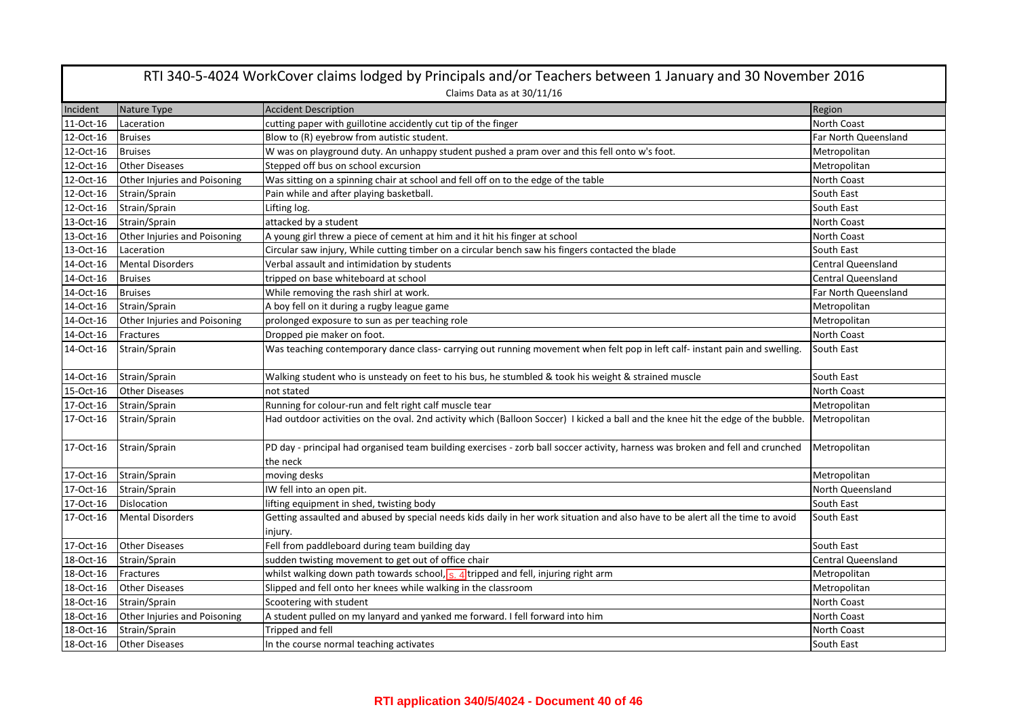| RTI 340-5-4024 WorkCover claims lodged by Principals and/or Teachers between 1 January and 30 November 2016 |                              |                                                                                                                                            |                           |  |  |
|-------------------------------------------------------------------------------------------------------------|------------------------------|--------------------------------------------------------------------------------------------------------------------------------------------|---------------------------|--|--|
|                                                                                                             | Claims Data as at 30/11/16   |                                                                                                                                            |                           |  |  |
| Incident                                                                                                    | Nature Type                  | <b>Accident Description</b>                                                                                                                | Region                    |  |  |
| 11-Oct-16                                                                                                   | Laceration                   | cutting paper with guillotine accidently cut tip of the finger                                                                             | <b>North Coast</b>        |  |  |
| 12-Oct-16                                                                                                   | <b>Bruises</b>               | Blow to (R) eyebrow from autistic student.                                                                                                 | Far North Queensland      |  |  |
| 12-Oct-16                                                                                                   | <b>Bruises</b>               | W was on playground duty. An unhappy student pushed a pram over and this fell onto w's foot.                                               | Metropolitan              |  |  |
| 12-Oct-16                                                                                                   | <b>Other Diseases</b>        | Stepped off bus on school excursion                                                                                                        | Metropolitan              |  |  |
| 12-Oct-16                                                                                                   | Other Injuries and Poisoning | Was sitting on a spinning chair at school and fell off on to the edge of the table                                                         | North Coast               |  |  |
| 12-Oct-16                                                                                                   | Strain/Sprain                | Pain while and after playing basketball.                                                                                                   | South East                |  |  |
| 12-Oct-16                                                                                                   | Strain/Sprain                | Lifting log.                                                                                                                               | South East                |  |  |
| 13-Oct-16                                                                                                   | Strain/Sprain                | attacked by a student                                                                                                                      | North Coast               |  |  |
| 13-Oct-16                                                                                                   | Other Injuries and Poisoning | A young girl threw a piece of cement at him and it hit his finger at school                                                                | <b>North Coast</b>        |  |  |
| 13-Oct-16                                                                                                   | Laceration                   | Circular saw injury, While cutting timber on a circular bench saw his fingers contacted the blade                                          | South East                |  |  |
| 14-Oct-16                                                                                                   | <b>Mental Disorders</b>      | Verbal assault and intimidation by students                                                                                                | <b>Central Queensland</b> |  |  |
| 14-Oct-16                                                                                                   | <b>Bruises</b>               | tripped on base whiteboard at school                                                                                                       | <b>Central Queensland</b> |  |  |
| 14-Oct-16                                                                                                   | <b>Bruises</b>               | While removing the rash shirl at work.                                                                                                     | Far North Queensland      |  |  |
| 14-Oct-16                                                                                                   | Strain/Sprain                | A boy fell on it during a rugby league game                                                                                                | Metropolitan              |  |  |
| 14-Oct-16                                                                                                   | Other Injuries and Poisoning | prolonged exposure to sun as per teaching role                                                                                             | Metropolitan              |  |  |
| 14-Oct-16                                                                                                   | Fractures                    | Dropped pie maker on foot.                                                                                                                 | <b>North Coast</b>        |  |  |
| 14-Oct-16                                                                                                   | Strain/Sprain                | Was teaching contemporary dance class-carrying out running movement when felt pop in left calf-instant pain and swelling.                  | South East                |  |  |
| 14-Oct-16                                                                                                   | Strain/Sprain                | Walking student who is unsteady on feet to his bus, he stumbled & took his weight & strained muscle                                        | South East                |  |  |
| 15-Oct-16                                                                                                   | <b>Other Diseases</b>        | not stated                                                                                                                                 | <b>North Coast</b>        |  |  |
| 17-Oct-16                                                                                                   | Strain/Sprain                | Running for colour-run and felt right calf muscle tear                                                                                     | Metropolitan              |  |  |
| 17-Oct-16                                                                                                   | Strain/Sprain                | Had outdoor activities on the oval. 2nd activity which (Balloon Soccer) I kicked a ball and the knee hit the edge of the bubble.           | Metropolitan              |  |  |
| 17-Oct-16                                                                                                   | Strain/Sprain                | PD day - principal had organised team building exercises - zorb ball soccer activity, harness was broken and fell and crunched<br>the neck | Metropolitan              |  |  |
| 17-Oct-16                                                                                                   | Strain/Sprain                | moving desks                                                                                                                               | Metropolitan              |  |  |
| 17-Oct-16                                                                                                   | Strain/Sprain                | IW fell into an open pit.                                                                                                                  | North Queensland          |  |  |
| 17-Oct-16                                                                                                   | <b>Dislocation</b>           | lifting equipment in shed, twisting body                                                                                                   | South East                |  |  |
| 17-Oct-16                                                                                                   | <b>Mental Disorders</b>      | Getting assaulted and abused by special needs kids daily in her work situation and also have to be alert all the time to avoid<br>injury.  | South East                |  |  |
| 17-Oct-16                                                                                                   | <b>Other Diseases</b>        | Fell from paddleboard during team building day                                                                                             | South East                |  |  |
| 18-Oct-16                                                                                                   | Strain/Sprain                | sudden twisting movement to get out of office chair                                                                                        | Central Queensland        |  |  |
| 18-Oct-16                                                                                                   | Fractures                    | whilst walking down path towards school, s. 4 tripped and fell, injuring right arm                                                         | Metropolitan              |  |  |
| 18-Oct-16                                                                                                   | <b>Other Diseases</b>        | Slipped and fell onto her knees while walking in the classroom                                                                             | Metropolitan              |  |  |
| 18-Oct-16                                                                                                   | Strain/Sprain                | Scootering with student                                                                                                                    | North Coast               |  |  |
| 18-Oct-16                                                                                                   | Other Injuries and Poisoning | A student pulled on my lanyard and yanked me forward. I fell forward into him                                                              | North Coast               |  |  |
| 18-Oct-16                                                                                                   | Strain/Sprain                | <b>Tripped and fell</b>                                                                                                                    | North Coast               |  |  |
| 18-Oct-16                                                                                                   | <b>Other Diseases</b>        | In the course normal teaching activates                                                                                                    | South East                |  |  |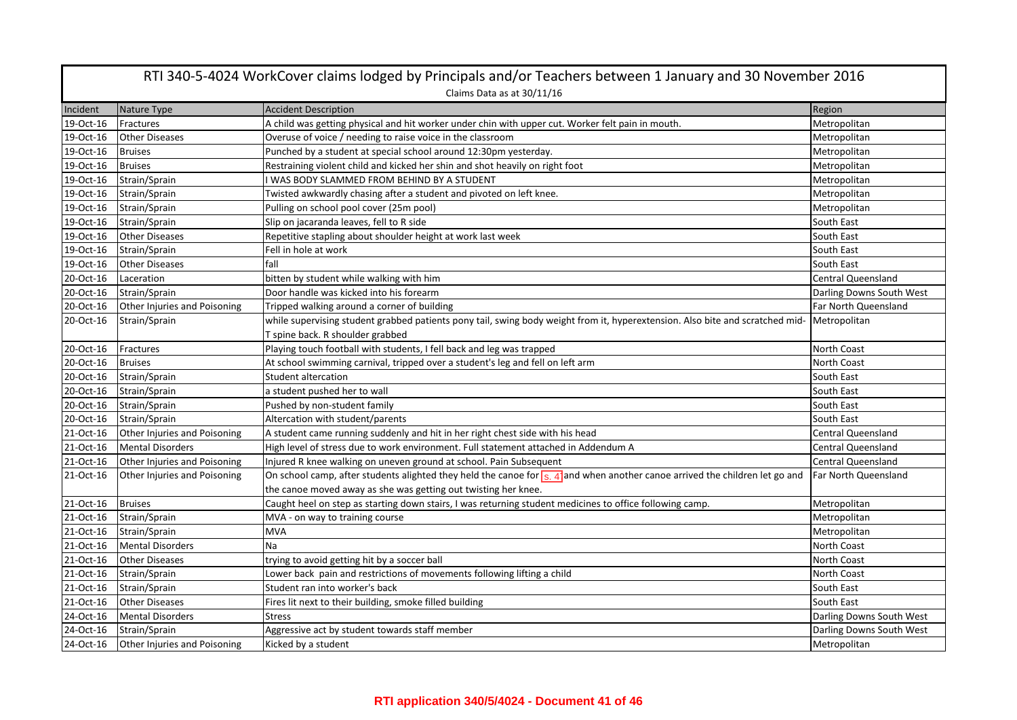| RTI 340-5-4024 WorkCover claims lodged by Principals and/or Teachers between 1 January and 30 November 2016 |                                     |                                                                                                                                                        |                           |  |
|-------------------------------------------------------------------------------------------------------------|-------------------------------------|--------------------------------------------------------------------------------------------------------------------------------------------------------|---------------------------|--|
|                                                                                                             |                                     | Claims Data as at 30/11/16                                                                                                                             |                           |  |
| Incident                                                                                                    | Nature Type                         | <b>Accident Description</b>                                                                                                                            | Region                    |  |
| 19-Oct-16                                                                                                   | Fractures                           | A child was getting physical and hit worker under chin with upper cut. Worker felt pain in mouth.                                                      | Metropolitan              |  |
| 19-Oct-16                                                                                                   | <b>Other Diseases</b>               | Overuse of voice / needing to raise voice in the classroom                                                                                             | Metropolitan              |  |
| 19-Oct-16                                                                                                   | <b>Bruises</b>                      | Punched by a student at special school around 12:30pm yesterday.                                                                                       | Metropolitan              |  |
| 19-Oct-16                                                                                                   | <b>Bruises</b>                      | Restraining violent child and kicked her shin and shot heavily on right foot                                                                           | Metropolitan              |  |
| 19-Oct-16                                                                                                   | Strain/Sprain                       | WAS BODY SLAMMED FROM BEHIND BY A STUDENT                                                                                                              | Metropolitan              |  |
| 19-Oct-16                                                                                                   | Strain/Sprain                       | Twisted awkwardly chasing after a student and pivoted on left knee.                                                                                    | Metropolitan              |  |
| 19-Oct-16                                                                                                   | Strain/Sprain                       | Pulling on school pool cover (25m pool)                                                                                                                | Metropolitan              |  |
| 19-Oct-16                                                                                                   | Strain/Sprain                       | Slip on jacaranda leaves, fell to R side                                                                                                               | South East                |  |
| 19-Oct-16                                                                                                   | <b>Other Diseases</b>               | Repetitive stapling about shoulder height at work last week                                                                                            | South East                |  |
| 19-Oct-16                                                                                                   | Strain/Sprain                       | Fell in hole at work                                                                                                                                   | South East                |  |
| 19-Oct-16                                                                                                   | <b>Other Diseases</b>               | fall                                                                                                                                                   | South East                |  |
| 20-Oct-16                                                                                                   | Laceration                          | bitten by student while walking with him                                                                                                               | <b>Central Queensland</b> |  |
| 20-Oct-16                                                                                                   | Strain/Sprain                       | Door handle was kicked into his forearm                                                                                                                | Darling Downs South West  |  |
| 20-Oct-16                                                                                                   | <b>Other Injuries and Poisoning</b> | Tripped walking around a corner of building                                                                                                            | Far North Queensland      |  |
| 20-Oct-16                                                                                                   | Strain/Sprain                       | while supervising student grabbed patients pony tail, swing body weight from it, hyperextension. Also bite and scratched mid-                          | Metropolitan              |  |
|                                                                                                             |                                     | T spine back. R shoulder grabbed                                                                                                                       |                           |  |
| 20-Oct-16                                                                                                   | Fractures                           | Playing touch football with students, I fell back and leg was trapped                                                                                  | North Coast               |  |
| 20-Oct-16                                                                                                   | <b>Bruises</b>                      | At school swimming carnival, tripped over a student's leg and fell on left arm                                                                         | North Coast               |  |
| 20-Oct-16                                                                                                   | Strain/Sprain                       | Student altercation                                                                                                                                    | South East                |  |
| 20-Oct-16                                                                                                   | Strain/Sprain                       | a student pushed her to wall                                                                                                                           | South East                |  |
| 20-Oct-16                                                                                                   | Strain/Sprain                       | Pushed by non-student family                                                                                                                           | South East                |  |
| 20-Oct-16                                                                                                   | Strain/Sprain                       | Altercation with student/parents                                                                                                                       | South East                |  |
| 21-Oct-16                                                                                                   | Other Injuries and Poisoning        | A student came running suddenly and hit in her right chest side with his head                                                                          | <b>Central Queensland</b> |  |
| 21-Oct-16                                                                                                   | <b>Mental Disorders</b>             | High level of stress due to work environment. Full statement attached in Addendum A                                                                    | <b>Central Queensland</b> |  |
| 21-Oct-16                                                                                                   | Other Injuries and Poisoning        | Injured R knee walking on uneven ground at school. Pain Subsequent                                                                                     | <b>Central Queensland</b> |  |
| 21-Oct-16                                                                                                   | Other Injuries and Poisoning        | On school camp, after students alighted they held the canoe for $\frac{1}{2}$ , 4 $\frac{1}{4}$ and when another canoe arrived the children let go and | Far North Queensland      |  |
|                                                                                                             |                                     | the canoe moved away as she was getting out twisting her knee.                                                                                         |                           |  |
| 21-Oct-16                                                                                                   | <b>Bruises</b>                      | Caught heel on step as starting down stairs, I was returning student medicines to office following camp.                                               | Metropolitan              |  |
| 21-Oct-16                                                                                                   | Strain/Sprain                       | MVA - on way to training course                                                                                                                        | Metropolitan              |  |
| 21-Oct-16                                                                                                   | Strain/Sprain                       | <b>MVA</b>                                                                                                                                             | Metropolitan              |  |
| 21-Oct-16                                                                                                   | <b>Mental Disorders</b>             | Na                                                                                                                                                     | North Coast               |  |
| 21-Oct-16                                                                                                   | <b>Other Diseases</b>               | trying to avoid getting hit by a soccer ball                                                                                                           | North Coast               |  |
| 21-Oct-16                                                                                                   | Strain/Sprain                       | Lower back pain and restrictions of movements following lifting a child                                                                                | North Coast               |  |
| 21-Oct-16                                                                                                   | Strain/Sprain                       | Student ran into worker's back                                                                                                                         | South East                |  |
| 21-Oct-16                                                                                                   | <b>Other Diseases</b>               | Fires lit next to their building, smoke filled building                                                                                                | South East                |  |
| 24-Oct-16                                                                                                   | <b>Mental Disorders</b>             | <b>Stress</b>                                                                                                                                          | Darling Downs South West  |  |
| 24-Oct-16                                                                                                   | Strain/Sprain                       | Aggressive act by student towards staff member                                                                                                         | Darling Downs South West  |  |
| 24-Oct-16                                                                                                   | Other Injuries and Poisoning        | Kicked by a student                                                                                                                                    | Metropolitan              |  |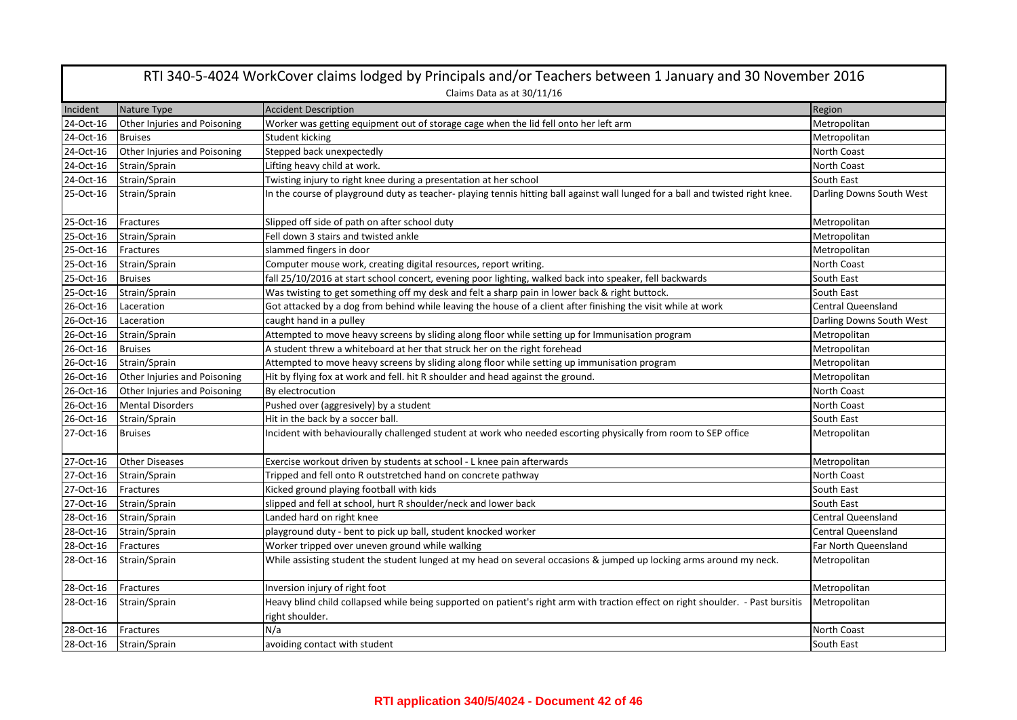|           | RTI 340-5-4024 WorkCover claims lodged by Principals and/or Teachers between 1 January and 30 November 2016 |                                                                                                                                                     |                           |  |
|-----------|-------------------------------------------------------------------------------------------------------------|-----------------------------------------------------------------------------------------------------------------------------------------------------|---------------------------|--|
|           | Claims Data as at 30/11/16                                                                                  |                                                                                                                                                     |                           |  |
| Incident  | Nature Type                                                                                                 | <b>Accident Description</b>                                                                                                                         | Region                    |  |
| 24-Oct-16 | Other Injuries and Poisoning                                                                                | Worker was getting equipment out of storage cage when the lid fell onto her left arm                                                                | Metropolitan              |  |
| 24-Oct-16 | <b>Bruises</b>                                                                                              | Student kicking                                                                                                                                     | Metropolitan              |  |
| 24-Oct-16 | Other Injuries and Poisoning                                                                                | Stepped back unexpectedly                                                                                                                           | North Coast               |  |
| 24-Oct-16 | Strain/Sprain                                                                                               | Lifting heavy child at work.                                                                                                                        | <b>North Coast</b>        |  |
| 24-Oct-16 | Strain/Sprain                                                                                               | Twisting injury to right knee during a presentation at her school                                                                                   | South East                |  |
| 25-Oct-16 | Strain/Sprain                                                                                               | In the course of playground duty as teacher- playing tennis hitting ball against wall lunged for a ball and twisted right knee.                     | Darling Downs South West  |  |
| 25-Oct-16 | Fractures                                                                                                   | Slipped off side of path on after school duty                                                                                                       | Metropolitan              |  |
| 25-Oct-16 | Strain/Sprain                                                                                               | Fell down 3 stairs and twisted ankle                                                                                                                | Metropolitan              |  |
| 25-Oct-16 | Fractures                                                                                                   | slammed fingers in door                                                                                                                             | Metropolitan              |  |
| 25-Oct-16 | Strain/Sprain                                                                                               | Computer mouse work, creating digital resources, report writing.                                                                                    | North Coast               |  |
| 25-Oct-16 | <b>Bruises</b>                                                                                              | fall 25/10/2016 at start school concert, evening poor lighting, walked back into speaker, fell backwards                                            | South East                |  |
| 25-Oct-16 | Strain/Sprain                                                                                               | Was twisting to get something off my desk and felt a sharp pain in lower back & right buttock.                                                      | South East                |  |
| 26-Oct-16 | Laceration                                                                                                  | Got attacked by a dog from behind while leaving the house of a client after finishing the visit while at work                                       | <b>Central Queensland</b> |  |
| 26-Oct-16 | Laceration                                                                                                  | caught hand in a pulley                                                                                                                             | Darling Downs South West  |  |
| 26-Oct-16 | Strain/Sprain                                                                                               | Attempted to move heavy screens by sliding along floor while setting up for Immunisation program                                                    | Metropolitan              |  |
| 26-Oct-16 | <b>Bruises</b>                                                                                              | A student threw a whiteboard at her that struck her on the right forehead                                                                           | Metropolitan              |  |
| 26-Oct-16 | Strain/Sprain                                                                                               | Attempted to move heavy screens by sliding along floor while setting up immunisation program                                                        | Metropolitan              |  |
| 26-Oct-16 | Other Injuries and Poisoning                                                                                | Hit by flying fox at work and fell. hit R shoulder and head against the ground.                                                                     | Metropolitan              |  |
| 26-Oct-16 | Other Injuries and Poisoning                                                                                | By electrocution                                                                                                                                    | <b>North Coast</b>        |  |
| 26-Oct-16 | Mental Disorders                                                                                            | Pushed over (aggresively) by a student                                                                                                              | <b>North Coast</b>        |  |
| 26-Oct-16 | Strain/Sprain                                                                                               | Hit in the back by a soccer ball.                                                                                                                   | South East                |  |
| 27-Oct-16 | <b>Bruises</b>                                                                                              | Incident with behaviourally challenged student at work who needed escorting physically from room to SEP office                                      | Metropolitan              |  |
| 27-Oct-16 | <b>Other Diseases</b>                                                                                       | Exercise workout driven by students at school - L knee pain afterwards                                                                              | Metropolitan              |  |
| 27-Oct-16 | Strain/Sprain                                                                                               | Tripped and fell onto R outstretched hand on concrete pathway                                                                                       | <b>North Coast</b>        |  |
| 27-Oct-16 | Fractures                                                                                                   | Kicked ground playing football with kids                                                                                                            | South East                |  |
| 27-Oct-16 | Strain/Sprain                                                                                               | slipped and fell at school, hurt R shoulder/neck and lower back                                                                                     | South East                |  |
| 28-Oct-16 | Strain/Sprain                                                                                               | Landed hard on right knee                                                                                                                           | <b>Central Queensland</b> |  |
| 28-Oct-16 | Strain/Sprain                                                                                               | playground duty - bent to pick up ball, student knocked worker                                                                                      | <b>Central Queensland</b> |  |
| 28-Oct-16 | Fractures                                                                                                   | Worker tripped over uneven ground while walking                                                                                                     | Far North Queensland      |  |
| 28-Oct-16 | Strain/Sprain                                                                                               | While assisting student the student lunged at my head on several occasions & jumped up locking arms around my neck.                                 | Metropolitan              |  |
| 28-Oct-16 | Fractures                                                                                                   | Inversion injury of right foot                                                                                                                      | Metropolitan              |  |
| 28-Oct-16 | Strain/Sprain                                                                                               | Heavy blind child collapsed while being supported on patient's right arm with traction effect on right shoulder. - Past bursitis<br>right shoulder. | Metropolitan              |  |
| 28-Oct-16 | Fractures                                                                                                   | N/a                                                                                                                                                 | North Coast               |  |
| 28-Oct-16 | Strain/Sprain                                                                                               | avoiding contact with student                                                                                                                       | South East                |  |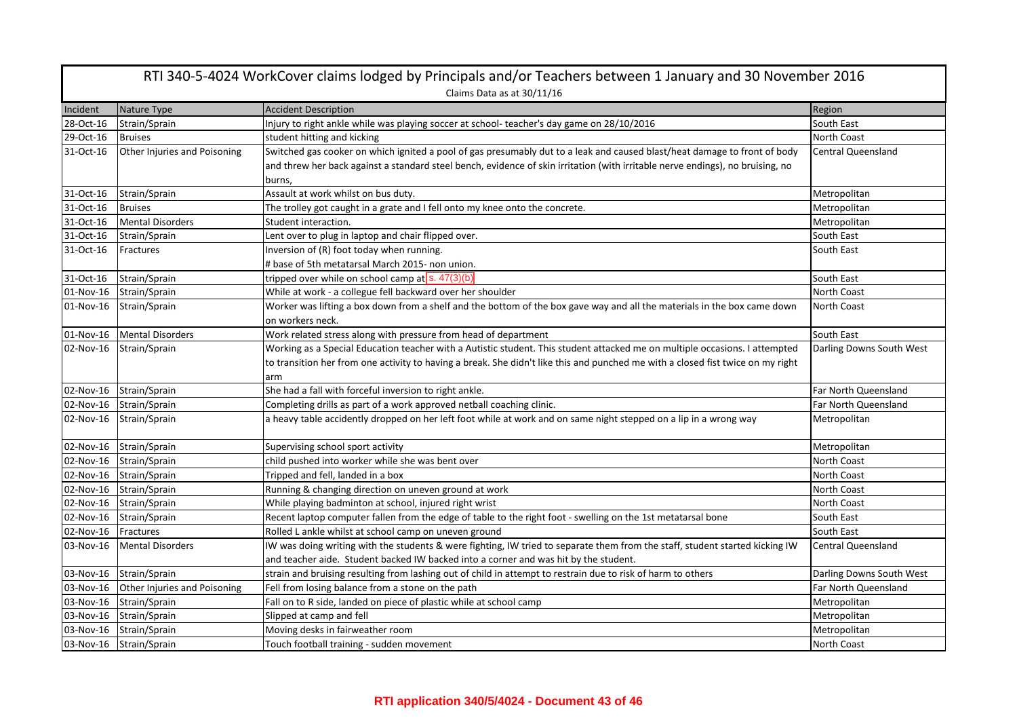|           | RTI 340-5-4024 WorkCover claims lodged by Principals and/or Teachers between 1 January and 30 November 2016 |                                                                                                                                 |                           |  |
|-----------|-------------------------------------------------------------------------------------------------------------|---------------------------------------------------------------------------------------------------------------------------------|---------------------------|--|
|           |                                                                                                             | Claims Data as at 30/11/16                                                                                                      |                           |  |
| Incident  | Nature Type                                                                                                 | <b>Accident Description</b>                                                                                                     | Region                    |  |
| 28-Oct-16 | Strain/Sprain                                                                                               | Injury to right ankle while was playing soccer at school-teacher's day game on 28/10/2016                                       | South East                |  |
| 29-Oct-16 | <b>Bruises</b>                                                                                              | student hitting and kicking                                                                                                     | <b>North Coast</b>        |  |
| 31-Oct-16 | Other Injuries and Poisoning                                                                                | Switched gas cooker on which ignited a pool of gas presumably dut to a leak and caused blast/heat damage to front of body       | <b>Central Queensland</b> |  |
|           |                                                                                                             | and threw her back against a standard steel bench, evidence of skin irritation (with irritable nerve endings), no bruising, no  |                           |  |
|           |                                                                                                             | burns,                                                                                                                          |                           |  |
| 31-Oct-16 | Strain/Sprain                                                                                               | Assault at work whilst on bus duty.                                                                                             | Metropolitan              |  |
| 31-Oct-16 | <b>Bruises</b>                                                                                              | The trolley got caught in a grate and I fell onto my knee onto the concrete.                                                    | Metropolitan              |  |
| 31-Oct-16 | <b>Mental Disorders</b>                                                                                     | Student interaction.                                                                                                            | Metropolitan              |  |
| 31-Oct-16 | Strain/Sprain                                                                                               | Lent over to plug in laptop and chair flipped over.                                                                             | South East                |  |
| 31-Oct-16 | Fractures                                                                                                   | Inversion of (R) foot today when running.                                                                                       | South East                |  |
|           |                                                                                                             | # base of 5th metatarsal March 2015- non union.                                                                                 |                           |  |
| 31-Oct-16 | Strain/Sprain                                                                                               | tripped over while on school camp at s. 47(3)(b)                                                                                | South East                |  |
| 01-Nov-16 | Strain/Sprain                                                                                               | While at work - a collegue fell backward over her shoulder                                                                      | North Coast               |  |
| 01-Nov-16 | Strain/Sprain                                                                                               | Worker was lifting a box down from a shelf and the bottom of the box gave way and all the materials in the box came down        | <b>North Coast</b>        |  |
|           |                                                                                                             | on workers neck.                                                                                                                |                           |  |
| 01-Nov-16 | <b>Mental Disorders</b>                                                                                     | Work related stress along with pressure from head of department                                                                 | South East                |  |
| 02-Nov-16 | Strain/Sprain                                                                                               | Working as a Special Education teacher with a Autistic student. This student attacked me on multiple occasions. I attempted     | Darling Downs South West  |  |
|           |                                                                                                             | to transition her from one activity to having a break. She didn't like this and punched me with a closed fist twice on my right |                           |  |
|           |                                                                                                             | arm                                                                                                                             |                           |  |
| 02-Nov-16 | Strain/Sprain                                                                                               | She had a fall with forceful inversion to right ankle.                                                                          | Far North Queensland      |  |
| 02-Nov-16 | Strain/Sprain                                                                                               | Completing drills as part of a work approved netball coaching clinic.                                                           | Far North Queensland      |  |
| 02-Nov-16 | Strain/Sprain                                                                                               | a heavy table accidently dropped on her left foot while at work and on same night stepped on a lip in a wrong way               | Metropolitan              |  |
|           |                                                                                                             |                                                                                                                                 |                           |  |
| 02-Nov-16 | Strain/Sprain                                                                                               | Supervising school sport activity                                                                                               | Metropolitan              |  |
|           | 02-Nov-16 Strain/Sprain                                                                                     | child pushed into worker while she was bent over                                                                                | <b>North Coast</b>        |  |
|           | 02-Nov-16 Strain/Sprain                                                                                     | Tripped and fell, landed in a box                                                                                               | North Coast               |  |
| 02-Nov-16 | Strain/Sprain                                                                                               | Running & changing direction on uneven ground at work                                                                           | North Coast               |  |
| 02-Nov-16 | Strain/Sprain                                                                                               | While playing badminton at school, injured right wrist                                                                          | <b>North Coast</b>        |  |
| 02-Nov-16 | Strain/Sprain                                                                                               | Recent laptop computer fallen from the edge of table to the right foot - swelling on the 1st metatarsal bone                    | South East                |  |
| 02-Nov-16 | Fractures                                                                                                   | Rolled L ankle whilst at school camp on uneven ground                                                                           | South East                |  |
| 03-Nov-16 | <b>Mental Disorders</b>                                                                                     | IW was doing writing with the students & were fighting, IW tried to separate them from the staff, student started kicking IW    | <b>Central Queensland</b> |  |
|           |                                                                                                             | and teacher aide. Student backed IW backed into a corner and was hit by the student.                                            |                           |  |
|           | 03-Nov-16 Strain/Sprain                                                                                     | strain and bruising resulting from lashing out of child in attempt to restrain due to risk of harm to others                    | Darling Downs South West  |  |
| 03-Nov-16 | Other Injuries and Poisoning                                                                                | Fell from losing balance from a stone on the path                                                                               | Far North Queensland      |  |
| 03-Nov-16 | Strain/Sprain                                                                                               | Fall on to R side, landed on piece of plastic while at school camp                                                              | Metropolitan              |  |
| 03-Nov-16 | Strain/Sprain                                                                                               | Slipped at camp and fell                                                                                                        | Metropolitan              |  |
|           | 03-Nov-16 Strain/Sprain                                                                                     | Moving desks in fairweather room                                                                                                | Metropolitan              |  |
|           | 03-Nov-16 Strain/Sprain                                                                                     | Touch football training - sudden movement                                                                                       | North Coast               |  |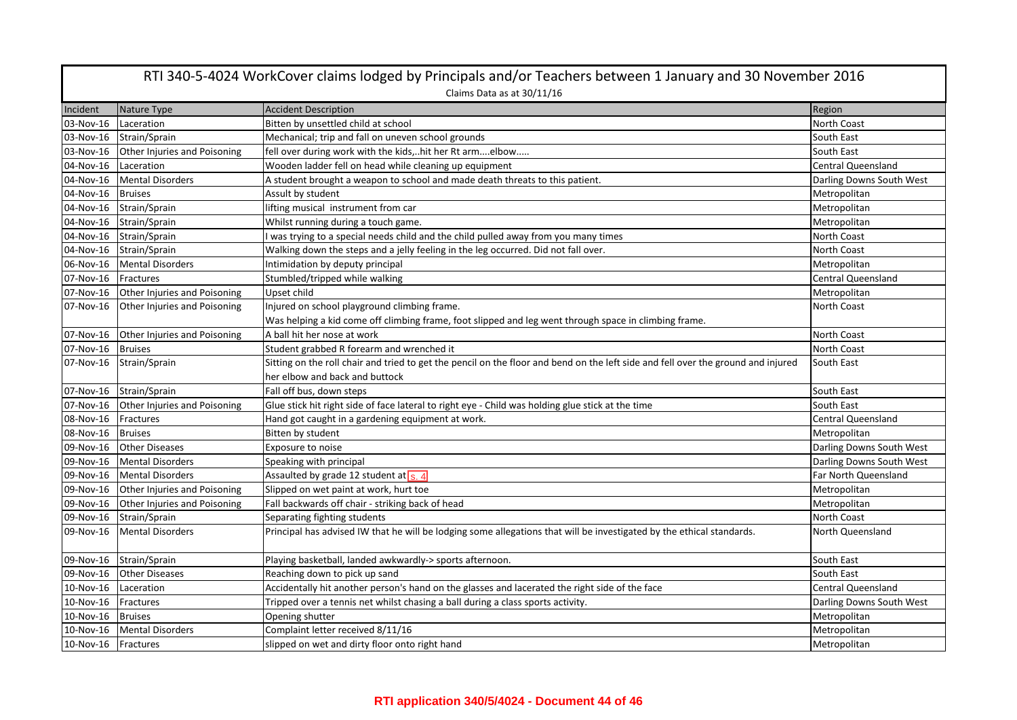| RTI 340-5-4024 WorkCover claims lodged by Principals and/or Teachers between 1 January and 30 November 2016 |                                        |                                                                                                                                                                     |                           |  |  |
|-------------------------------------------------------------------------------------------------------------|----------------------------------------|---------------------------------------------------------------------------------------------------------------------------------------------------------------------|---------------------------|--|--|
|                                                                                                             | Claims Data as at 30/11/16             |                                                                                                                                                                     |                           |  |  |
| Incident                                                                                                    | Nature Type                            | <b>Accident Description</b>                                                                                                                                         | Region                    |  |  |
| 03-Nov-16                                                                                                   | Laceration                             | Bitten by unsettled child at school                                                                                                                                 | <b>North Coast</b>        |  |  |
| 03-Nov-16                                                                                                   | Strain/Sprain                          | Mechanical; trip and fall on uneven school grounds                                                                                                                  | South East                |  |  |
| 03-Nov-16                                                                                                   | Other Injuries and Poisoning           | fell over during work with the kids,hit her Rt armelbow                                                                                                             | South East                |  |  |
| 04-Nov-16                                                                                                   | Laceration                             | Wooden ladder fell on head while cleaning up equipment                                                                                                              | <b>Central Queensland</b> |  |  |
| 04-Nov-16                                                                                                   | <b>Mental Disorders</b>                | A student brought a weapon to school and made death threats to this patient.                                                                                        | Darling Downs South West  |  |  |
| 04-Nov-16                                                                                                   | <b>Bruises</b>                         | Assult by student                                                                                                                                                   | Metropolitan              |  |  |
| 04-Nov-16                                                                                                   | Strain/Sprain                          | lifting musical instrument from car                                                                                                                                 | Metropolitan              |  |  |
|                                                                                                             | 04-Nov-16 Strain/Sprain                | Whilst running during a touch game.                                                                                                                                 | Metropolitan              |  |  |
| 04-Nov-16                                                                                                   | Strain/Sprain                          | I was trying to a special needs child and the child pulled away from you many times                                                                                 | North Coast               |  |  |
| 04-Nov-16                                                                                                   | Strain/Sprain                          | Walking down the steps and a jelly feeling in the leg occurred. Did not fall over.                                                                                  | <b>North Coast</b>        |  |  |
| 06-Nov-16                                                                                                   | <b>Mental Disorders</b>                | Intimidation by deputy principal                                                                                                                                    | Metropolitan              |  |  |
| 07-Nov-16                                                                                                   | Fractures                              | Stumbled/tripped while walking                                                                                                                                      | <b>Central Queensland</b> |  |  |
| 07-Nov-16                                                                                                   | Other Injuries and Poisoning           | Upset child                                                                                                                                                         | Metropolitan              |  |  |
| 07-Nov-16                                                                                                   | Other Injuries and Poisoning           | Injured on school playground climbing frame.                                                                                                                        | North Coast               |  |  |
|                                                                                                             |                                        | Was helping a kid come off climbing frame, foot slipped and leg went through space in climbing frame.                                                               |                           |  |  |
| 07-Nov-16                                                                                                   | Other Injuries and Poisoning           | A ball hit her nose at work                                                                                                                                         | North Coast               |  |  |
| 07-Nov-16                                                                                                   | <b>Bruises</b>                         | Student grabbed R forearm and wrenched it                                                                                                                           | North Coast               |  |  |
| 07-Nov-16                                                                                                   | Strain/Sprain                          | Sitting on the roll chair and tried to get the pencil on the floor and bend on the left side and fell over the ground and injured<br>her elbow and back and buttock | South East                |  |  |
|                                                                                                             | 07-Nov-16 Strain/Sprain                | Fall off bus, down steps                                                                                                                                            | South East                |  |  |
| 07-Nov-16                                                                                                   | Other Injuries and Poisoning           | Glue stick hit right side of face lateral to right eye - Child was holding glue stick at the time                                                                   | South East                |  |  |
| 08-Nov-16                                                                                                   | Fractures                              | Hand got caught in a gardening equipment at work.                                                                                                                   | <b>Central Queensland</b> |  |  |
| 08-Nov-16                                                                                                   | <b>Bruises</b>                         | Bitten by student                                                                                                                                                   | Metropolitan              |  |  |
| 09-Nov-16                                                                                                   | <b>Other Diseases</b>                  | Exposure to noise                                                                                                                                                   | Darling Downs South West  |  |  |
|                                                                                                             | 09-Nov-16 Mental Disorders             | Speaking with principal                                                                                                                                             | Darling Downs South West  |  |  |
| 09-Nov-16                                                                                                   | <b>Mental Disorders</b>                | Assaulted by grade 12 student at $s$ . 4                                                                                                                            | Far North Queensland      |  |  |
| 09-Nov-16                                                                                                   | Other Injuries and Poisoning           | Slipped on wet paint at work, hurt toe                                                                                                                              | Metropolitan              |  |  |
|                                                                                                             | 09-Nov-16 Other Injuries and Poisoning | Fall backwards off chair - striking back of head                                                                                                                    | Metropolitan              |  |  |
| 09-Nov-16                                                                                                   | Strain/Sprain                          | Separating fighting students                                                                                                                                        | North Coast               |  |  |
| 09-Nov-16                                                                                                   | <b>Mental Disorders</b>                | Principal has advised IW that he will be lodging some allegations that will be investigated by the ethical standards.                                               | North Queensland          |  |  |
|                                                                                                             | 09-Nov-16 Strain/Sprain                | Playing basketball, landed awkwardly-> sports afternoon.                                                                                                            | South East                |  |  |
|                                                                                                             | 09-Nov-16 Other Diseases               | Reaching down to pick up sand                                                                                                                                       | South East                |  |  |
| 10-Nov-16                                                                                                   | Laceration                             | Accidentally hit another person's hand on the glasses and lacerated the right side of the face                                                                      | <b>Central Queensland</b> |  |  |
| 10-Nov-16                                                                                                   | Fractures                              | Tripped over a tennis net whilst chasing a ball during a class sports activity.                                                                                     | Darling Downs South West  |  |  |
| 10-Nov-16                                                                                                   | <b>Bruises</b>                         | Opening shutter                                                                                                                                                     | Metropolitan              |  |  |
| 10-Nov-16                                                                                                   | <b>Mental Disorders</b>                | Complaint letter received 8/11/16                                                                                                                                   | Metropolitan              |  |  |
| 10-Nov-16 Fractures                                                                                         |                                        | slipped on wet and dirty floor onto right hand                                                                                                                      | Metropolitan              |  |  |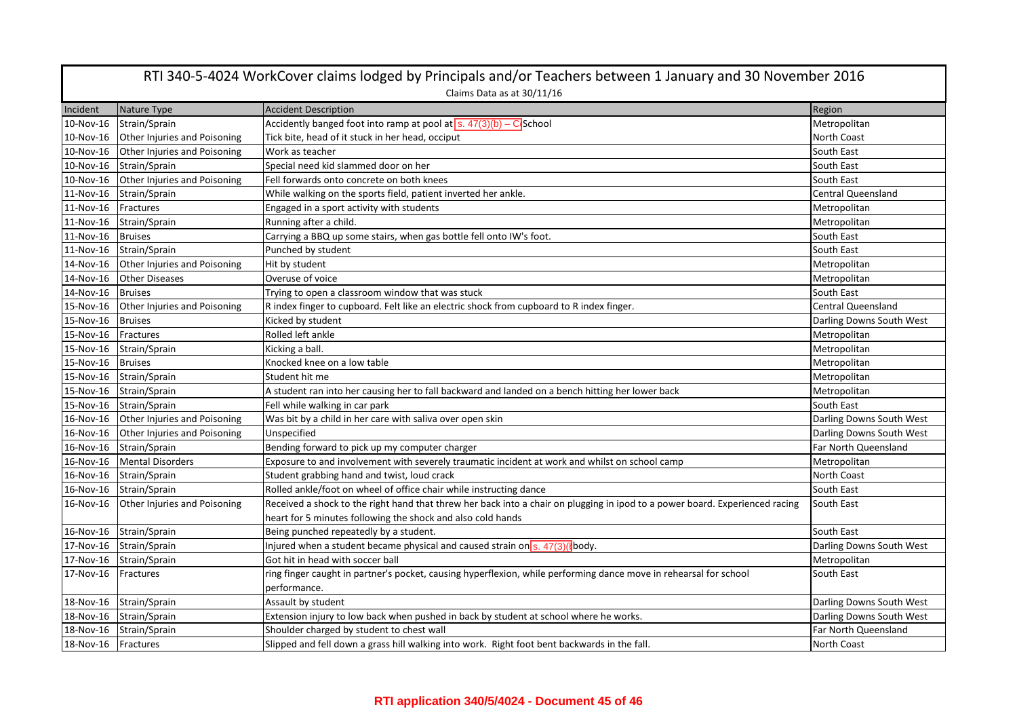|                     | RTI 340-5-4024 WorkCover claims lodged by Principals and/or Teachers between 1 January and 30 November 2016 |                                                                                                                              |                           |  |
|---------------------|-------------------------------------------------------------------------------------------------------------|------------------------------------------------------------------------------------------------------------------------------|---------------------------|--|
|                     | Claims Data as at 30/11/16                                                                                  |                                                                                                                              |                           |  |
| Incident            | Nature Type                                                                                                 | <b>Accident Description</b>                                                                                                  | Region                    |  |
| 10-Nov-16           | Strain/Sprain                                                                                               | Accidently banged foot into ramp at pool at $\sqrt{s}$ . $47(3)(b) - C$ School                                               | Metropolitan              |  |
| 10-Nov-16           | <b>Other Injuries and Poisoning</b>                                                                         | Tick bite, head of it stuck in her head, occiput                                                                             | North Coast               |  |
| 10-Nov-16           | Other Injuries and Poisoning                                                                                | Work as teacher                                                                                                              | South East                |  |
| 10-Nov-16           | Strain/Sprain                                                                                               | Special need kid slammed door on her                                                                                         | South East                |  |
| 10-Nov-16           | Other Injuries and Poisoning                                                                                | Fell forwards onto concrete on both knees                                                                                    | South East                |  |
| 11-Nov-16           | Strain/Sprain                                                                                               | While walking on the sports field, patient inverted her ankle.                                                               | <b>Central Queensland</b> |  |
| 11-Nov-16           | Fractures                                                                                                   | Engaged in a sport activity with students                                                                                    | Metropolitan              |  |
| 11-Nov-16           | Strain/Sprain                                                                                               | Running after a child.                                                                                                       | Metropolitan              |  |
| 11-Nov-16           | <b>Bruises</b>                                                                                              | Carrying a BBQ up some stairs, when gas bottle fell onto IW's foot.                                                          | South East                |  |
| 11-Nov-16           | Strain/Sprain                                                                                               | Punched by student                                                                                                           | South East                |  |
| 14-Nov-16           | Other Injuries and Poisoning                                                                                | Hit by student                                                                                                               | Metropolitan              |  |
| 14-Nov-16           | <b>Other Diseases</b>                                                                                       | Overuse of voice                                                                                                             | Metropolitan              |  |
| 14-Nov-16           | <b>Bruises</b>                                                                                              | Trying to open a classroom window that was stuck                                                                             | South East                |  |
| 15-Nov-16           | Other Injuries and Poisoning                                                                                | R index finger to cupboard. Felt like an electric shock from cupboard to R index finger.                                     | <b>Central Queensland</b> |  |
| 15-Nov-16           | <b>Bruises</b>                                                                                              | Kicked by student                                                                                                            | Darling Downs South West  |  |
| 15-Nov-16           | Fractures                                                                                                   | Rolled left ankle                                                                                                            | Metropolitan              |  |
| 15-Nov-16           | Strain/Sprain                                                                                               | Kicking a ball.                                                                                                              | Metropolitan              |  |
| 15-Nov-16 Bruises   |                                                                                                             | Knocked knee on a low table                                                                                                  | Metropolitan              |  |
|                     | 15-Nov-16 Strain/Sprain                                                                                     | Student hit me                                                                                                               | Metropolitan              |  |
|                     | 15-Nov-16 Strain/Sprain                                                                                     | A student ran into her causing her to fall backward and landed on a bench hitting her lower back                             | Metropolitan              |  |
|                     | 15-Nov-16 Strain/Sprain                                                                                     | Fell while walking in car park                                                                                               | South East                |  |
| 16-Nov-16           | Other Injuries and Poisoning                                                                                | Was bit by a child in her care with saliva over open skin                                                                    | Darling Downs South West  |  |
| 16-Nov-16           | <b>Other Injuries and Poisoning</b>                                                                         | Unspecified                                                                                                                  | Darling Downs South West  |  |
| 16-Nov-16           | Strain/Sprain                                                                                               | Bending forward to pick up my computer charger                                                                               | Far North Queensland      |  |
| 16-Nov-16           | <b>Mental Disorders</b>                                                                                     | Exposure to and involvement with severely traumatic incident at work and whilst on school camp                               | Metropolitan              |  |
|                     | 16-Nov-16 Strain/Sprain                                                                                     | Student grabbing hand and twist, loud crack                                                                                  | North Coast               |  |
|                     | 16-Nov-16 Strain/Sprain                                                                                     | Rolled ankle/foot on wheel of office chair while instructing dance                                                           | South East                |  |
| 16-Nov-16           | <b>Other Injuries and Poisoning</b>                                                                         | Received a shock to the right hand that threw her back into a chair on plugging in ipod to a power board. Experienced racing | South East                |  |
|                     |                                                                                                             | heart for 5 minutes following the shock and also cold hands                                                                  |                           |  |
|                     | 16-Nov-16 Strain/Sprain                                                                                     | Being punched repeatedly by a student.                                                                                       | South East                |  |
|                     | 17-Nov-16 Strain/Sprain                                                                                     | Injured when a student became physical and caused strain on $s$ . 47(3)(body.                                                | Darling Downs South West  |  |
| 17-Nov-16           | Strain/Sprain                                                                                               | Got hit in head with soccer ball                                                                                             | Metropolitan              |  |
| 17-Nov-16           | Fractures                                                                                                   | ring finger caught in partner's pocket, causing hyperflexion, while performing dance move in rehearsal for school            | South East                |  |
|                     |                                                                                                             | performance.                                                                                                                 |                           |  |
|                     | 18-Nov-16 Strain/Sprain                                                                                     | Assault by student                                                                                                           | Darling Downs South West  |  |
|                     | 18-Nov-16 Strain/Sprain                                                                                     | Extension injury to low back when pushed in back by student at school where he works.                                        | Darling Downs South West  |  |
|                     | 18-Nov-16 Strain/Sprain                                                                                     | Shoulder charged by student to chest wall                                                                                    | Far North Queensland      |  |
| 18-Nov-16 Fractures |                                                                                                             | Slipped and fell down a grass hill walking into work. Right foot bent backwards in the fall.                                 | North Coast               |  |